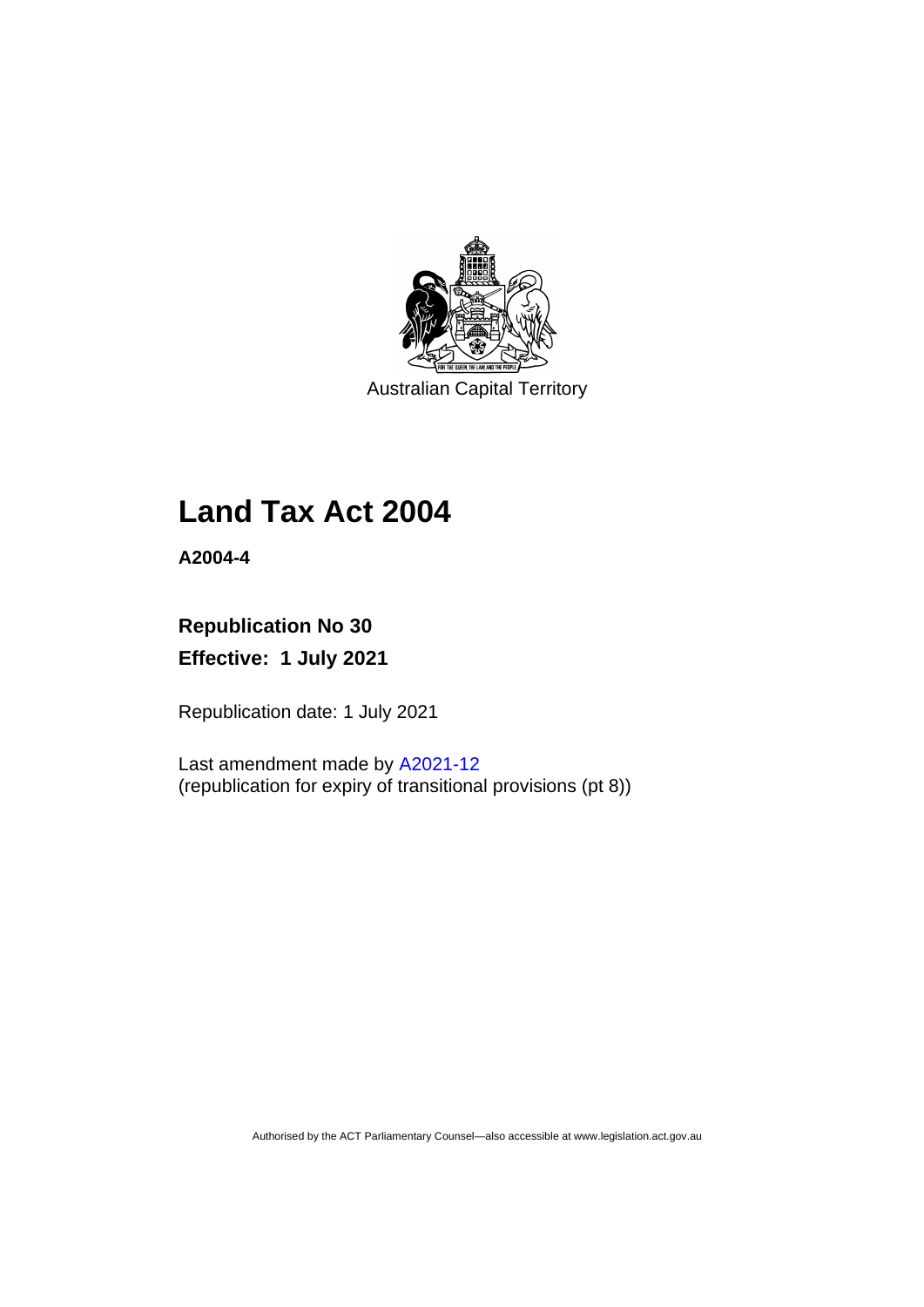

Australian Capital Territory

# **Land Tax Act 2004**

**A2004-4**

## **Republication No 30 Effective: 1 July 2021**

Republication date: 1 July 2021

Last amendment made by [A2021-12](http://www.legislation.act.gov.au/a/2021-12/) (republication for expiry of transitional provisions (pt 8))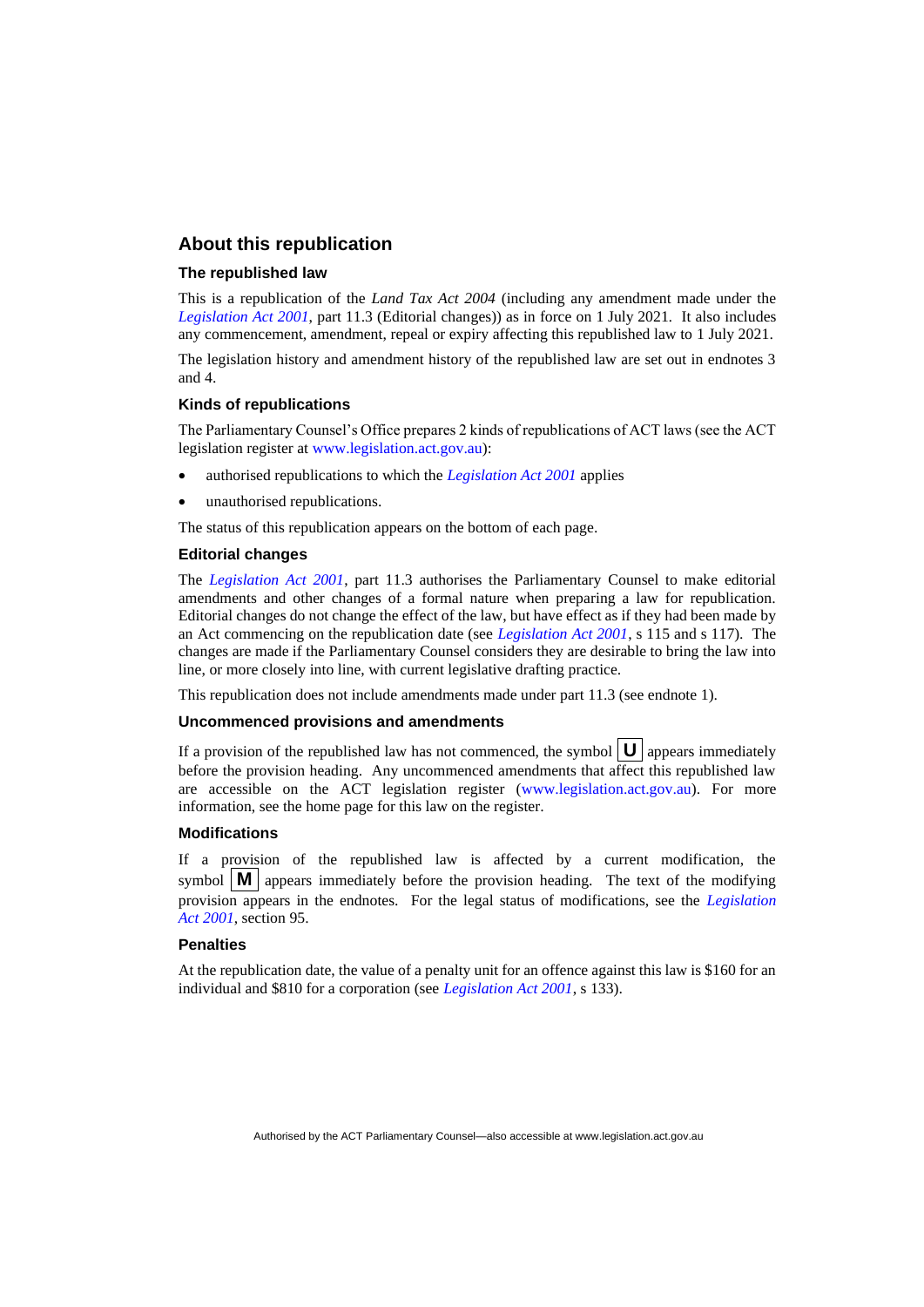### **About this republication**

#### **The republished law**

This is a republication of the *Land Tax Act 2004* (including any amendment made under the *[Legislation Act 2001](http://www.legislation.act.gov.au/a/2001-14)*, part 11.3 (Editorial changes)) as in force on 1 July 2021*.* It also includes any commencement, amendment, repeal or expiry affecting this republished law to 1 July 2021.

The legislation history and amendment history of the republished law are set out in endnotes 3 and 4.

#### **Kinds of republications**

The Parliamentary Counsel's Office prepares 2 kinds of republications of ACT laws (see the ACT legislation register at [www.legislation.act.gov.au\)](http://www.legislation.act.gov.au/):

- authorised republications to which the *[Legislation Act 2001](http://www.legislation.act.gov.au/a/2001-14)* applies
- unauthorised republications.

The status of this republication appears on the bottom of each page.

#### **Editorial changes**

The *[Legislation Act 2001](http://www.legislation.act.gov.au/a/2001-14)*, part 11.3 authorises the Parliamentary Counsel to make editorial amendments and other changes of a formal nature when preparing a law for republication. Editorial changes do not change the effect of the law, but have effect as if they had been made by an Act commencing on the republication date (see *[Legislation Act 2001](http://www.legislation.act.gov.au/a/2001-14)*, s 115 and s 117). The changes are made if the Parliamentary Counsel considers they are desirable to bring the law into line, or more closely into line, with current legislative drafting practice.

This republication does not include amendments made under part 11.3 (see endnote 1).

#### **Uncommenced provisions and amendments**

If a provision of the republished law has not commenced, the symbol  $\mathbf{U}$  appears immediately before the provision heading. Any uncommenced amendments that affect this republished law are accessible on the ACT legislation register [\(www.legislation.act.gov.au\)](http://www.legislation.act.gov.au/). For more information, see the home page for this law on the register.

#### **Modifications**

If a provision of the republished law is affected by a current modification, the symbol  $\mathbf{M}$  appears immediately before the provision heading. The text of the modifying provision appears in the endnotes. For the legal status of modifications, see the *[Legislation](http://www.legislation.act.gov.au/a/2001-14)  Act [2001](http://www.legislation.act.gov.au/a/2001-14)*, section 95.

#### **Penalties**

At the republication date, the value of a penalty unit for an offence against this law is \$160 for an individual and \$810 for a corporation (see *[Legislation Act 2001](http://www.legislation.act.gov.au/a/2001-14)*, s 133).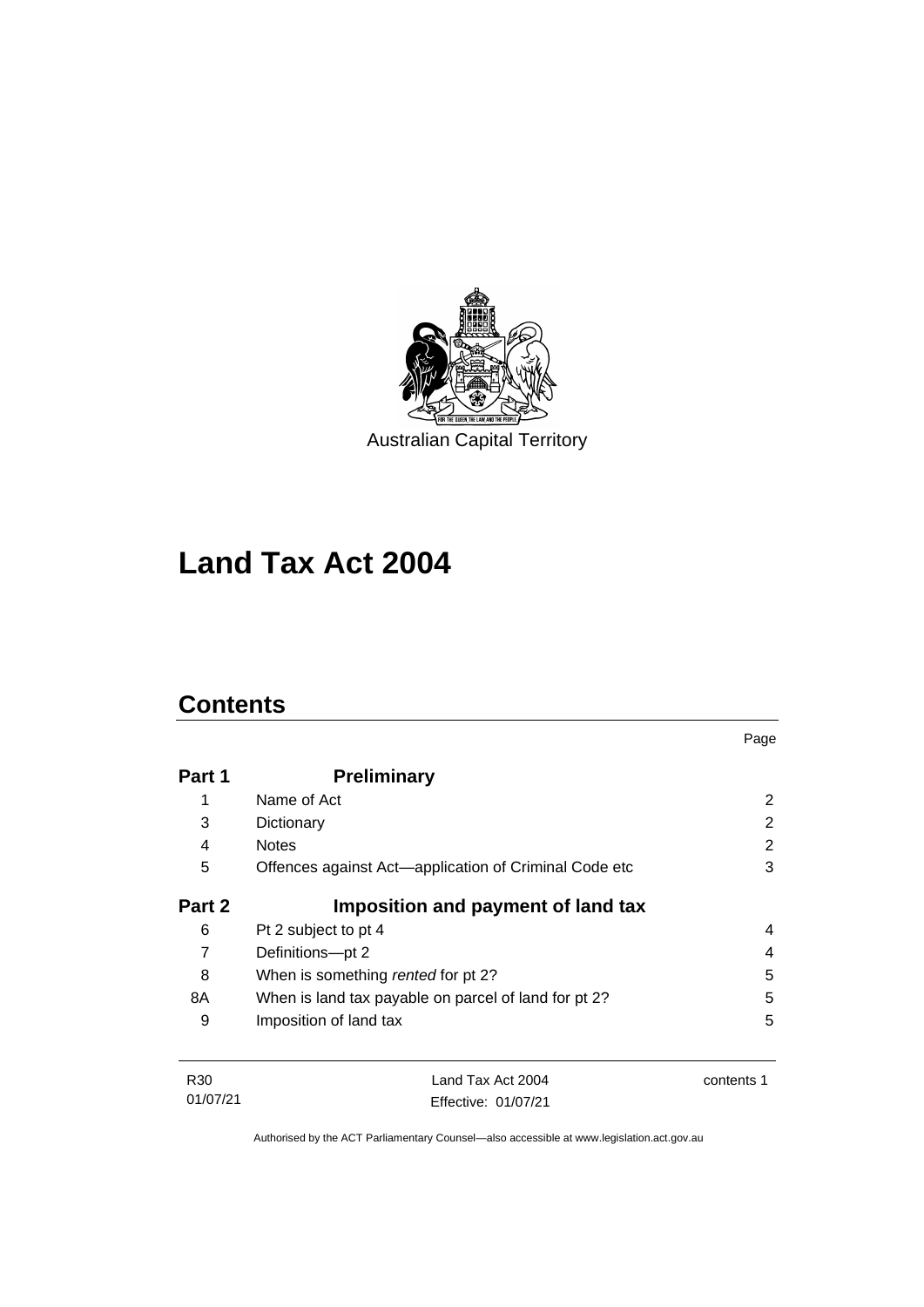

# **Land Tax Act 2004**

## **Contents**

|        |                                                       | Page                  |
|--------|-------------------------------------------------------|-----------------------|
| Part 1 | <b>Preliminary</b>                                    |                       |
| 1      | Name of Act                                           | $\mathbf{2}^{\prime}$ |
| 3      | Dictionary                                            | 2                     |
| 4      | <b>Notes</b>                                          | $\overline{2}$        |
| 5      | Offences against Act-application of Criminal Code etc | 3                     |
| Part 2 | Imposition and payment of land tax                    |                       |
| 6      | Pt 2 subject to pt 4                                  | 4                     |
| 7      | Definitions-pt 2                                      | 4                     |
| 8      | When is something rented for pt 2?                    | 5                     |
| 8A     | When is land tax payable on parcel of land for pt 2?  | 5                     |
| 9      | Imposition of land tax                                | 5                     |
|        |                                                       |                       |

R30 01/07/21 Land Tax Act 2004 Effective: 01/07/21 contents 1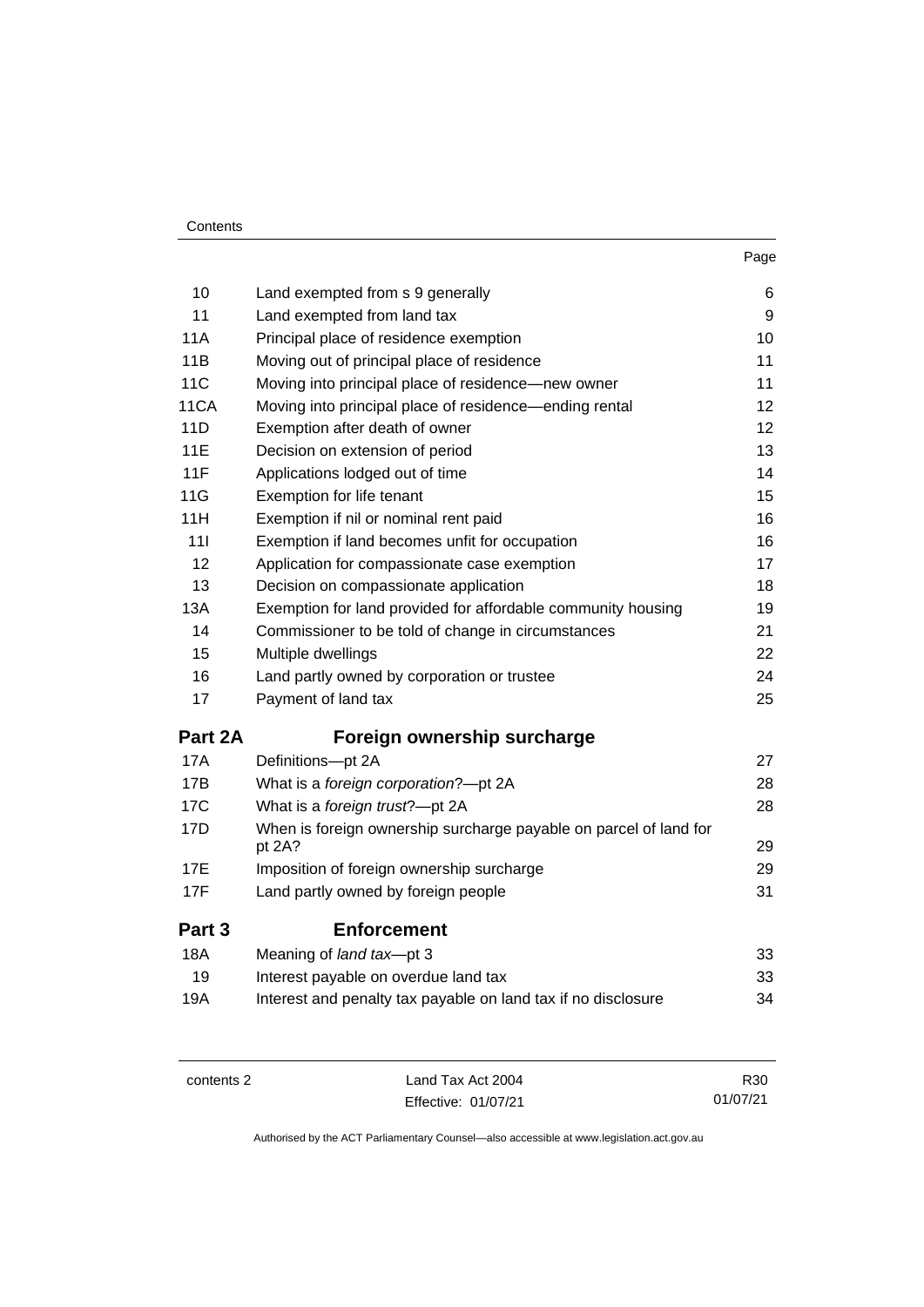| Contents |
|----------|
|----------|

| 10              | Land exempted from s 9 generally                                            | 6  |
|-----------------|-----------------------------------------------------------------------------|----|
| 11              | Land exempted from land tax                                                 | 9  |
| <b>11A</b>      | Principal place of residence exemption                                      | 10 |
| 11B             | Moving out of principal place of residence                                  | 11 |
| <b>11C</b>      | Moving into principal place of residence-new owner                          | 11 |
| 11CA            | Moving into principal place of residence—ending rental                      | 12 |
| 11D             | Exemption after death of owner                                              | 12 |
| <b>11E</b>      | Decision on extension of period                                             | 13 |
| 11F             | Applications lodged out of time                                             | 14 |
| 11G             | Exemption for life tenant                                                   | 15 |
| 11H             | Exemption if nil or nominal rent paid                                       | 16 |
| 111             | Exemption if land becomes unfit for occupation                              | 16 |
| 12              | Application for compassionate case exemption                                | 17 |
| 13              | Decision on compassionate application                                       | 18 |
| 13A             | Exemption for land provided for affordable community housing                | 19 |
| 14              | Commissioner to be told of change in circumstances                          | 21 |
| 15              | Multiple dwellings                                                          | 22 |
| 16              | Land partly owned by corporation or trustee                                 | 24 |
| 17              | Payment of land tax                                                         | 25 |
| Part 2A         | Foreign ownership surcharge                                                 |    |
| <b>17A</b>      | Definitions-pt 2A                                                           | 27 |
| 17B             | What is a foreign corporation?-pt 2A                                        | 28 |
| 17 <sub>C</sub> | What is a foreign trust?-pt 2A                                              | 28 |
| 17D             | When is foreign ownership surcharge payable on parcel of land for<br>pt 2A? | 29 |
| 17E             | Imposition of foreign ownership surcharge                                   | 29 |
| 17F             | Land partly owned by foreign people                                         | 31 |
| Part 3          | <b>Enforcement</b>                                                          |    |
| <b>18A</b>      | Meaning of land tax-pt 3                                                    | 33 |
| 19              | Interest payable on overdue land tax                                        | 33 |
| 19A             | Interest and penalty tax payable on land tax if no disclosure               | 34 |
|                 |                                                                             |    |

contents 2 Land Tax Act 2004 Effective: 01/07/21

R30 01/07/21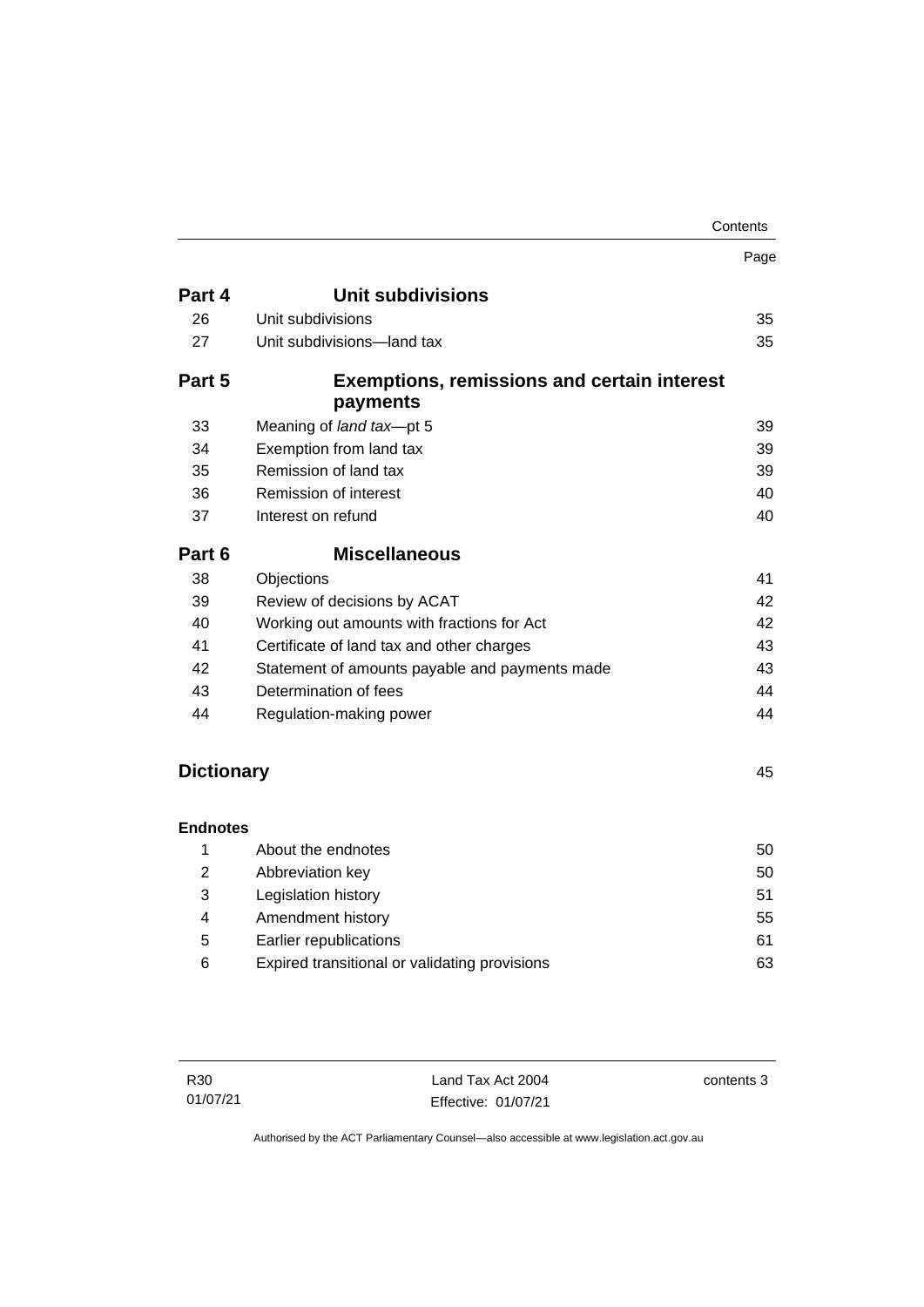|                   |                                                                | Contents |
|-------------------|----------------------------------------------------------------|----------|
|                   |                                                                | Page     |
| Part 4            | <b>Unit subdivisions</b>                                       |          |
| 26                | Unit subdivisions                                              | 35       |
| 27                | Unit subdivisions-land tax                                     | 35       |
| Part 5            | <b>Exemptions, remissions and certain interest</b><br>payments |          |
| 33                | Meaning of land tax-pt 5                                       | 39       |
| 34                | Exemption from land tax                                        | 39       |
| 35                | Remission of land tax                                          | 39       |
| 36                | Remission of interest                                          | 40       |
| 37                | Interest on refund                                             | 40       |
| Part 6            | <b>Miscellaneous</b>                                           |          |
| 38                | Objections                                                     | 41       |
| 39                | Review of decisions by ACAT                                    | 42       |
| 40                | Working out amounts with fractions for Act                     | 42       |
| 41                | Certificate of land tax and other charges                      | 43       |
| 42                | Statement of amounts payable and payments made                 | 43       |
| 43                | Determination of fees                                          | 44       |
| 44                | Regulation-making power                                        | 44       |
| <b>Dictionary</b> |                                                                | 45       |
| <b>Endnotes</b>   |                                                                |          |
| 1                 | About the endnotes                                             | 50       |
| $\overline{2}$    | Abbreviation key                                               | 50       |
| 3                 | Legislation history                                            | 51       |
| 4                 | Amendment history                                              | 55       |
| 5                 | Earlier republications                                         | 61       |
| 6                 | Expired transitional or validating provisions                  | 63       |
|                   |                                                                |          |

Land Tax Act 2004 Effective: 01/07/21 contents 3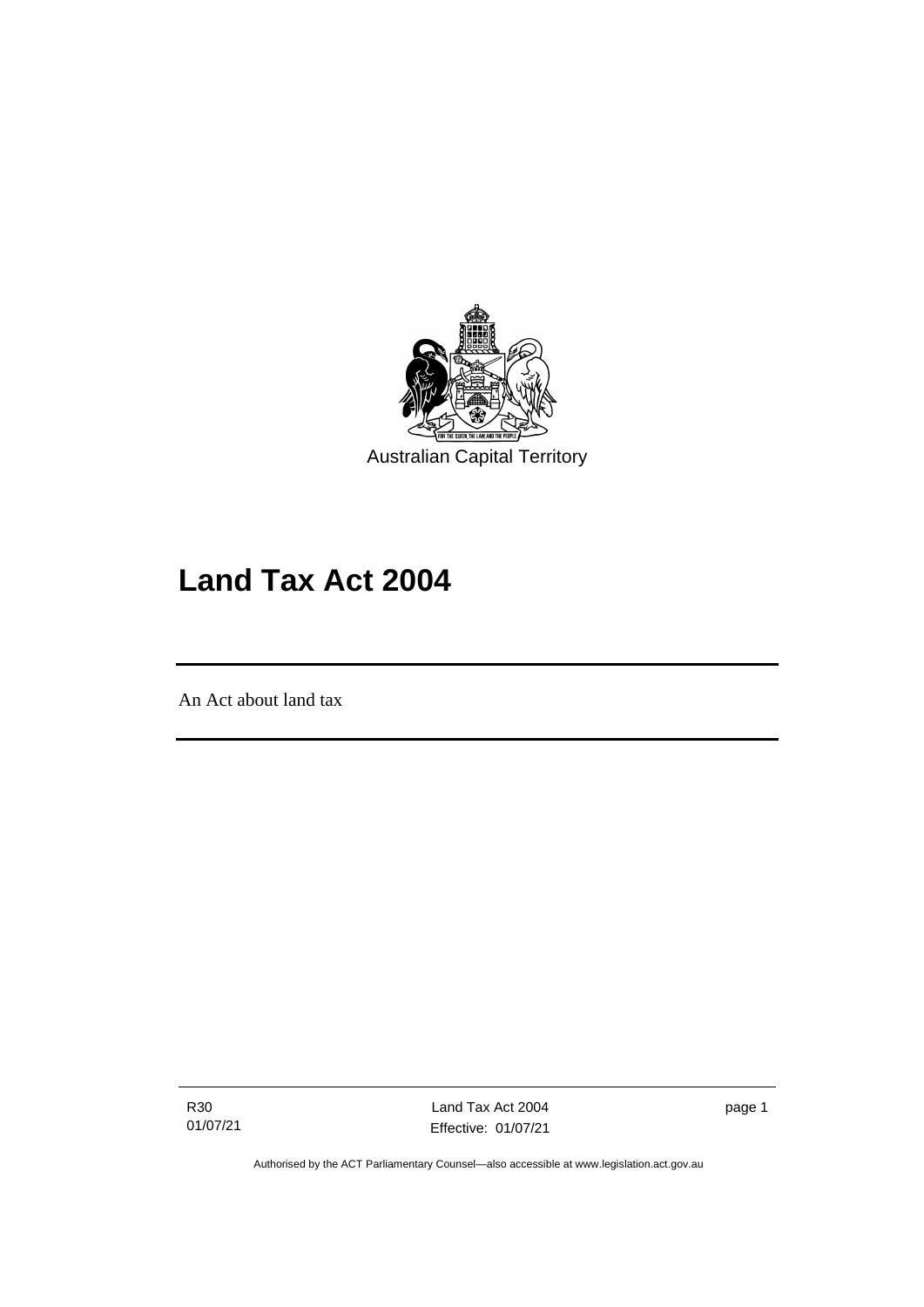

# **Land Tax Act 2004**

An Act about land tax

֖֖֖֚֚֚֡֬֝֬

R30 01/07/21

Land Tax Act 2004 Effective: 01/07/21 page 1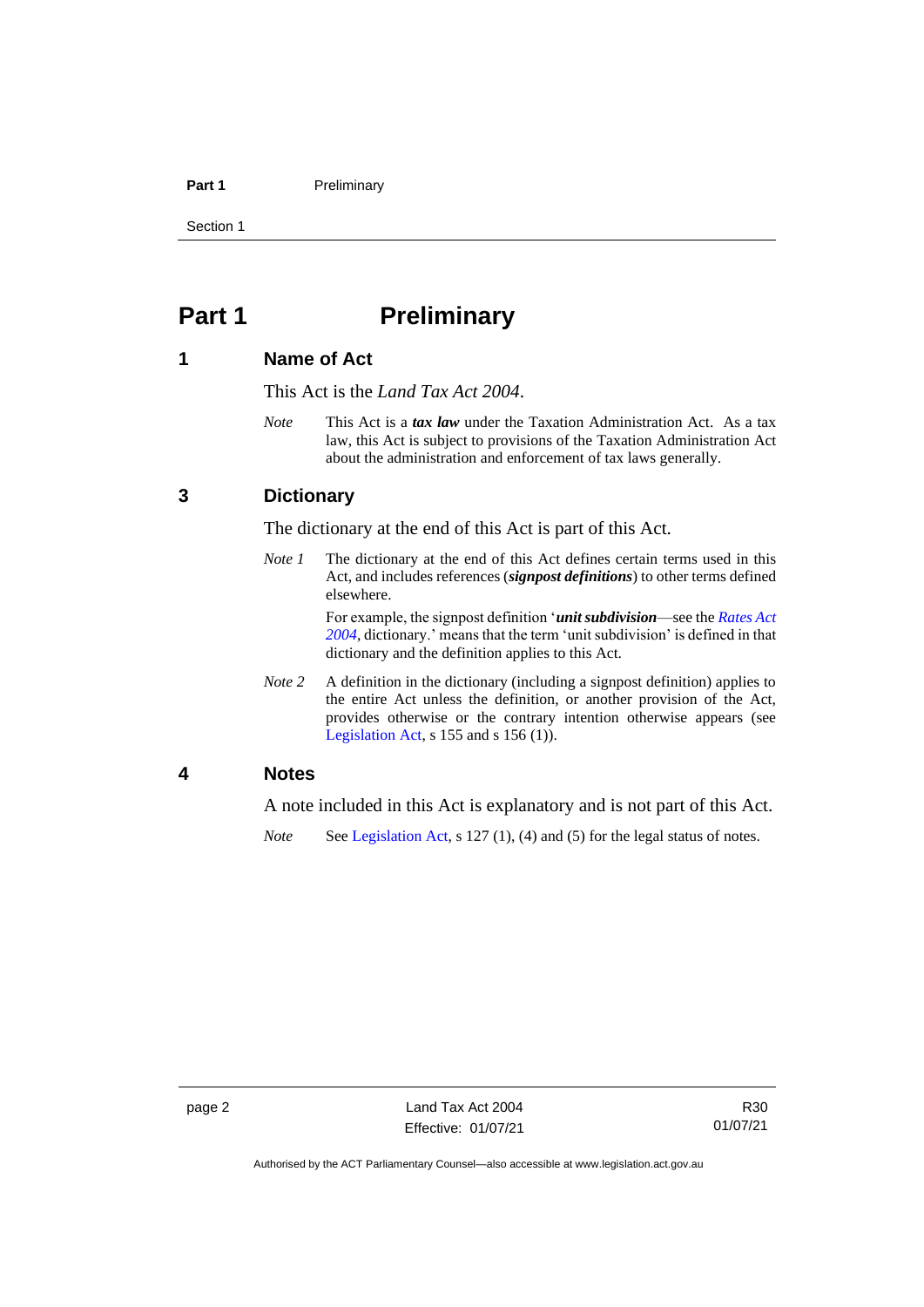#### **Part 1** Preliminary

Section 1

## <span id="page-7-0"></span>**Part 1 Preliminary**

## <span id="page-7-1"></span>**1 Name of Act**

This Act is the *Land Tax Act 2004*.

*Note* This Act is a *tax law* under the Taxation Administration Act. As a tax law, this Act is subject to provisions of the Taxation Administration Act about the administration and enforcement of tax laws generally.

## <span id="page-7-2"></span>**3 Dictionary**

The dictionary at the end of this Act is part of this Act.

*Note 1* The dictionary at the end of this Act defines certain terms used in this Act, and includes references (*signpost definitions*) to other terms defined elsewhere.

> For example, the signpost definition '*unit subdivision*—see the *[Rates Act](http://www.legislation.act.gov.au/a/2004-3)  [2004](http://www.legislation.act.gov.au/a/2004-3)*, dictionary.' means that the term 'unit subdivision' is defined in that dictionary and the definition applies to this Act.

*Note 2* A definition in the dictionary (including a signpost definition) applies to the entire Act unless the definition, or another provision of the Act, provides otherwise or the contrary intention otherwise appears (see [Legislation Act,](http://www.legislation.act.gov.au/a/2001-14) s 155 and s 156 (1)).

## <span id="page-7-3"></span>**4 Notes**

A note included in this Act is explanatory and is not part of this Act.

*Note* See [Legislation Act,](http://www.legislation.act.gov.au/a/2001-14) s 127 (1), (4) and (5) for the legal status of notes.

Authorised by the ACT Parliamentary Counsel—also accessible at www.legislation.act.gov.au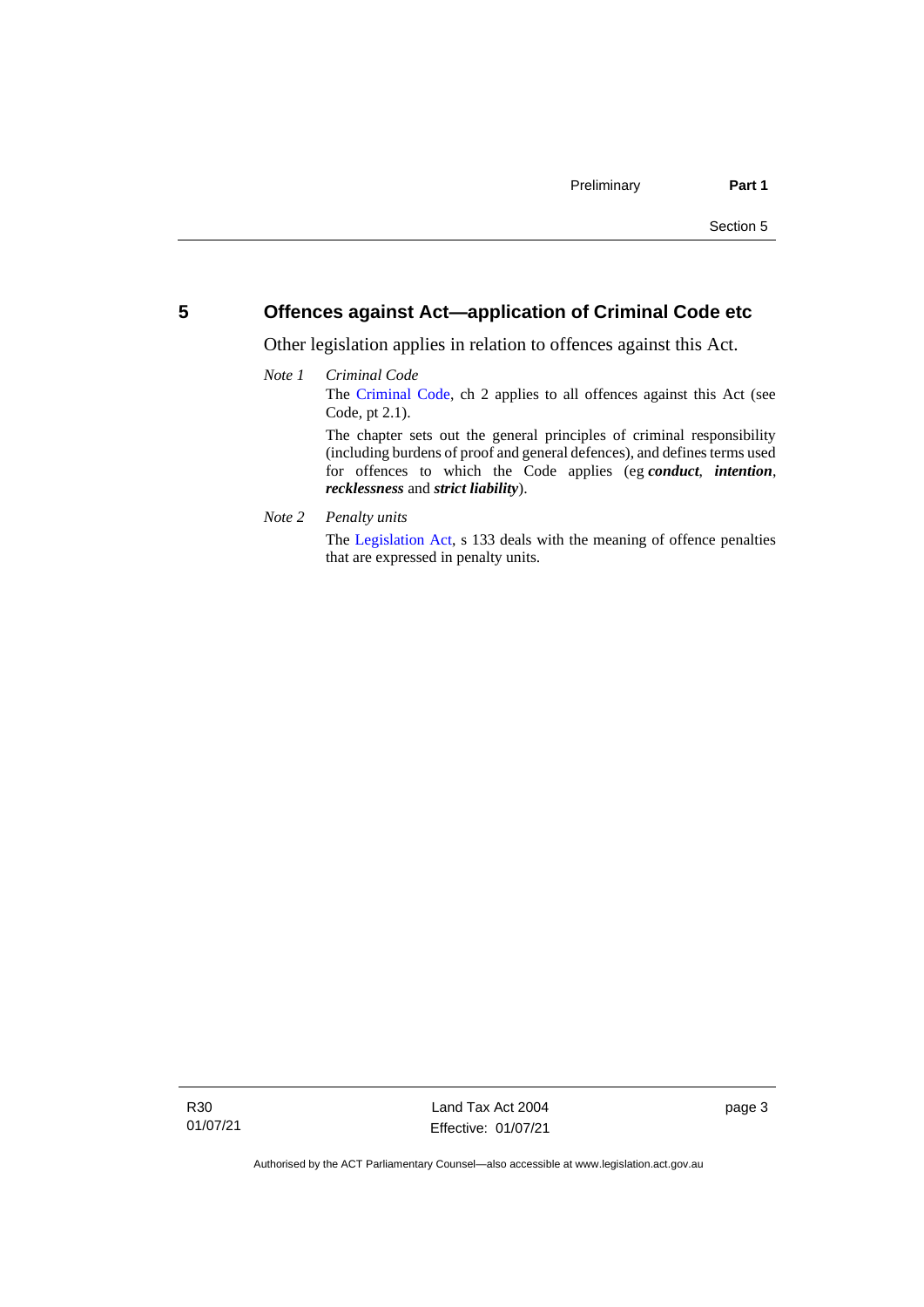## <span id="page-8-0"></span>**5 Offences against Act—application of Criminal Code etc**

*recklessness* and *strict liability*).

Other legislation applies in relation to offences against this Act.

#### *Note 1 Criminal Code* The [Criminal Code,](http://www.legislation.act.gov.au/a/2002-51) ch 2 applies to all offences against this Act (see Code, pt 2.1). The chapter sets out the general principles of criminal responsibility (including burdens of proof and general defences), and defines terms used for offences to which the Code applies (eg *conduct*, *intention*,

*Note 2 Penalty units*

The [Legislation Act,](http://www.legislation.act.gov.au/a/2001-14) s 133 deals with the meaning of offence penalties that are expressed in penalty units.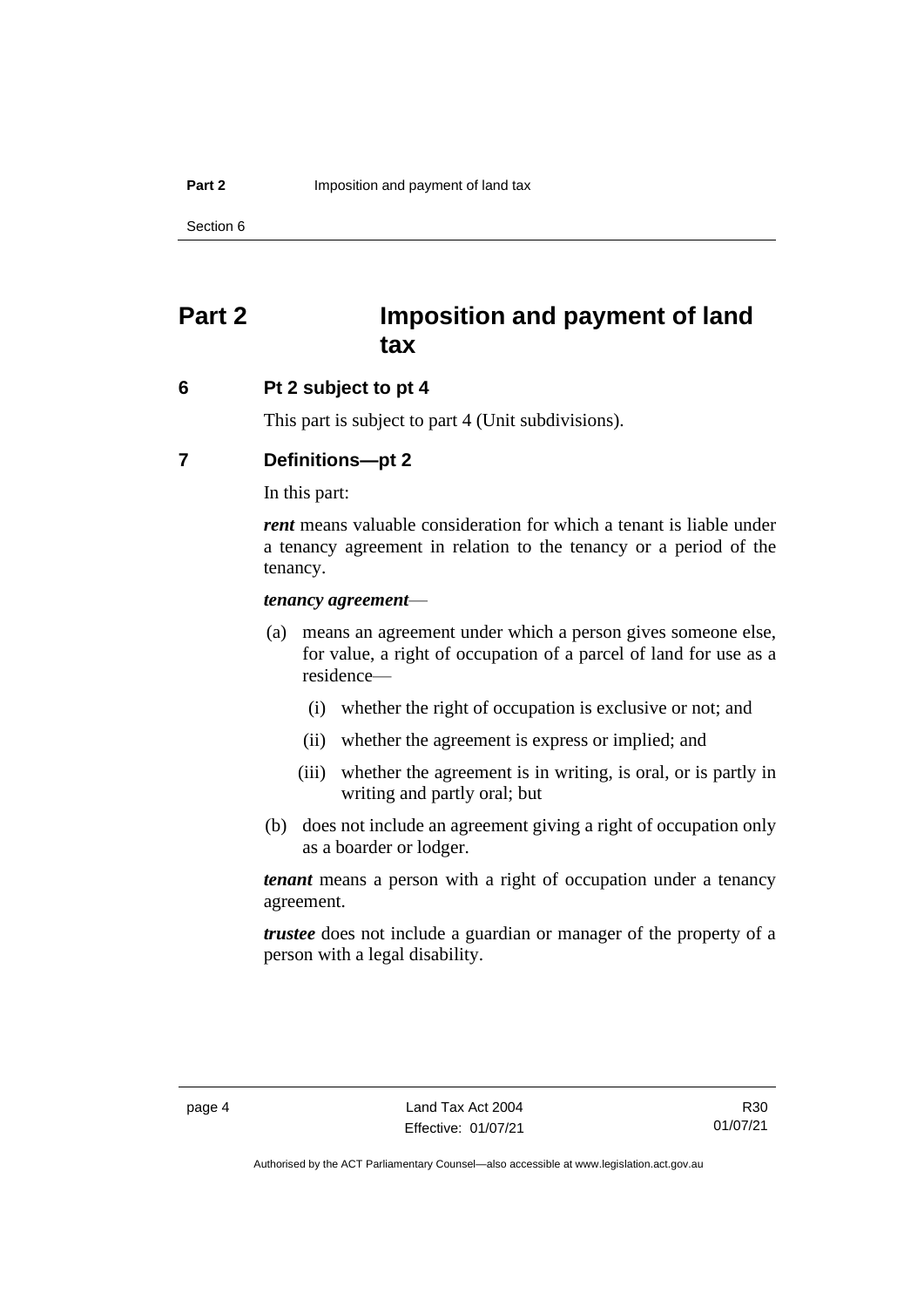## <span id="page-9-0"></span>**Part 2 Imposition and payment of land tax**

## <span id="page-9-1"></span>**6 Pt 2 subject to pt 4**

This part is subject to part 4 (Unit subdivisions).

## <span id="page-9-2"></span>**7 Definitions—pt 2**

In this part:

*rent* means valuable consideration for which a tenant is liable under a tenancy agreement in relation to the tenancy or a period of the tenancy.

#### *tenancy agreement*—

- (a) means an agreement under which a person gives someone else, for value, a right of occupation of a parcel of land for use as a residence—
	- (i) whether the right of occupation is exclusive or not; and
	- (ii) whether the agreement is express or implied; and
	- (iii) whether the agreement is in writing, is oral, or is partly in writing and partly oral; but
- (b) does not include an agreement giving a right of occupation only as a boarder or lodger.

*tenant* means a person with a right of occupation under a tenancy agreement.

*trustee* does not include a guardian or manager of the property of a person with a legal disability.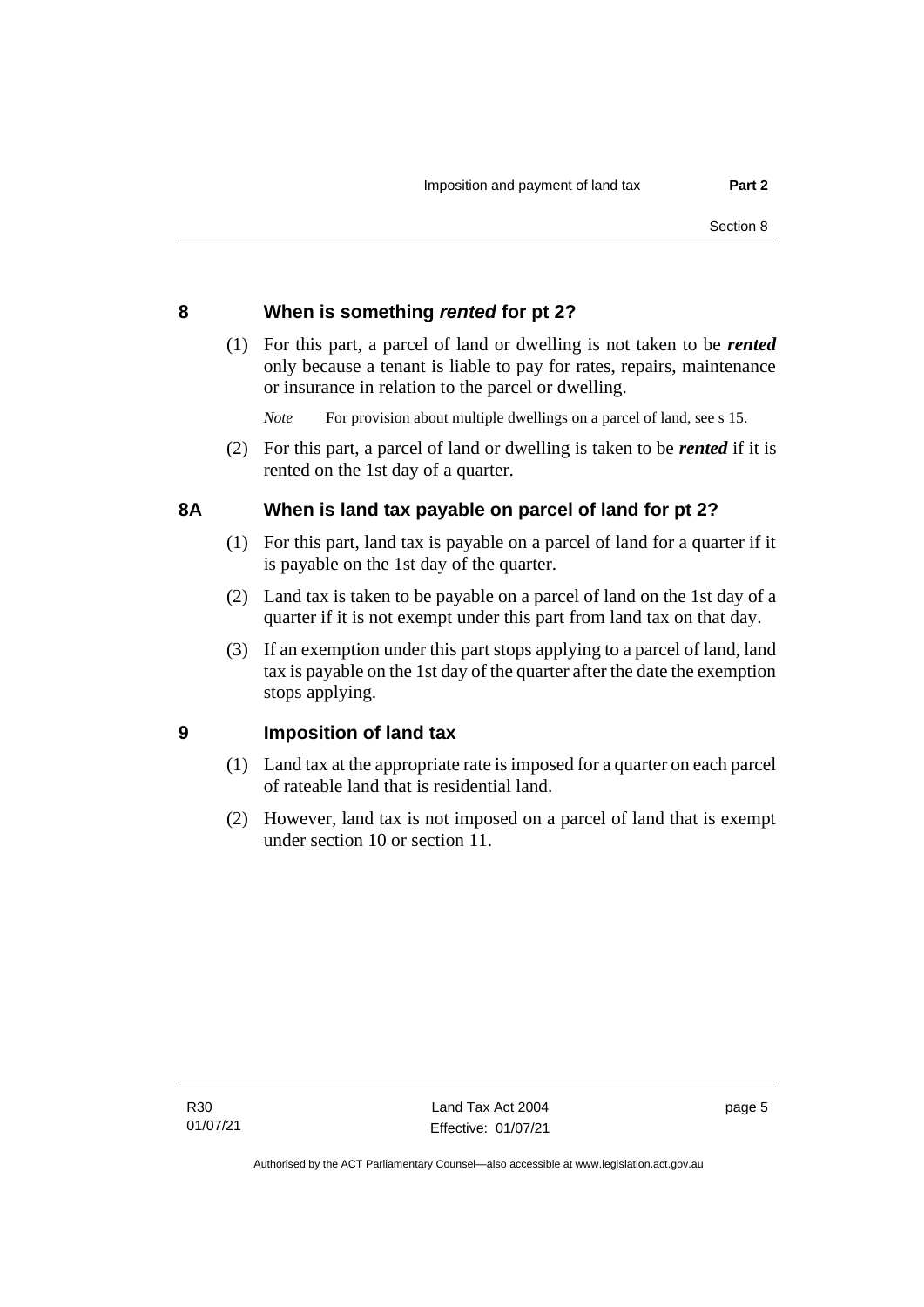## <span id="page-10-0"></span>**8 When is something** *rented* **for pt 2?**

(1) For this part, a parcel of land or dwelling is not taken to be *rented* only because a tenant is liable to pay for rates, repairs, maintenance or insurance in relation to the parcel or dwelling.

*Note* For provision about multiple dwellings on a parcel of land, see s 15.

(2) For this part, a parcel of land or dwelling is taken to be *rented* if it is rented on the 1st day of a quarter.

## <span id="page-10-1"></span>**8A When is land tax payable on parcel of land for pt 2?**

- (1) For this part, land tax is payable on a parcel of land for a quarter if it is payable on the 1st day of the quarter.
- (2) Land tax is taken to be payable on a parcel of land on the 1st day of a quarter if it is not exempt under this part from land tax on that day.
- (3) If an exemption under this part stops applying to a parcel of land, land tax is payable on the 1st day of the quarter after the date the exemption stops applying.

## <span id="page-10-2"></span>**9 Imposition of land tax**

- (1) Land tax at the appropriate rate is imposed for a quarter on each parcel of rateable land that is residential land.
- (2) However, land tax is not imposed on a parcel of land that is exempt under section 10 or section 11.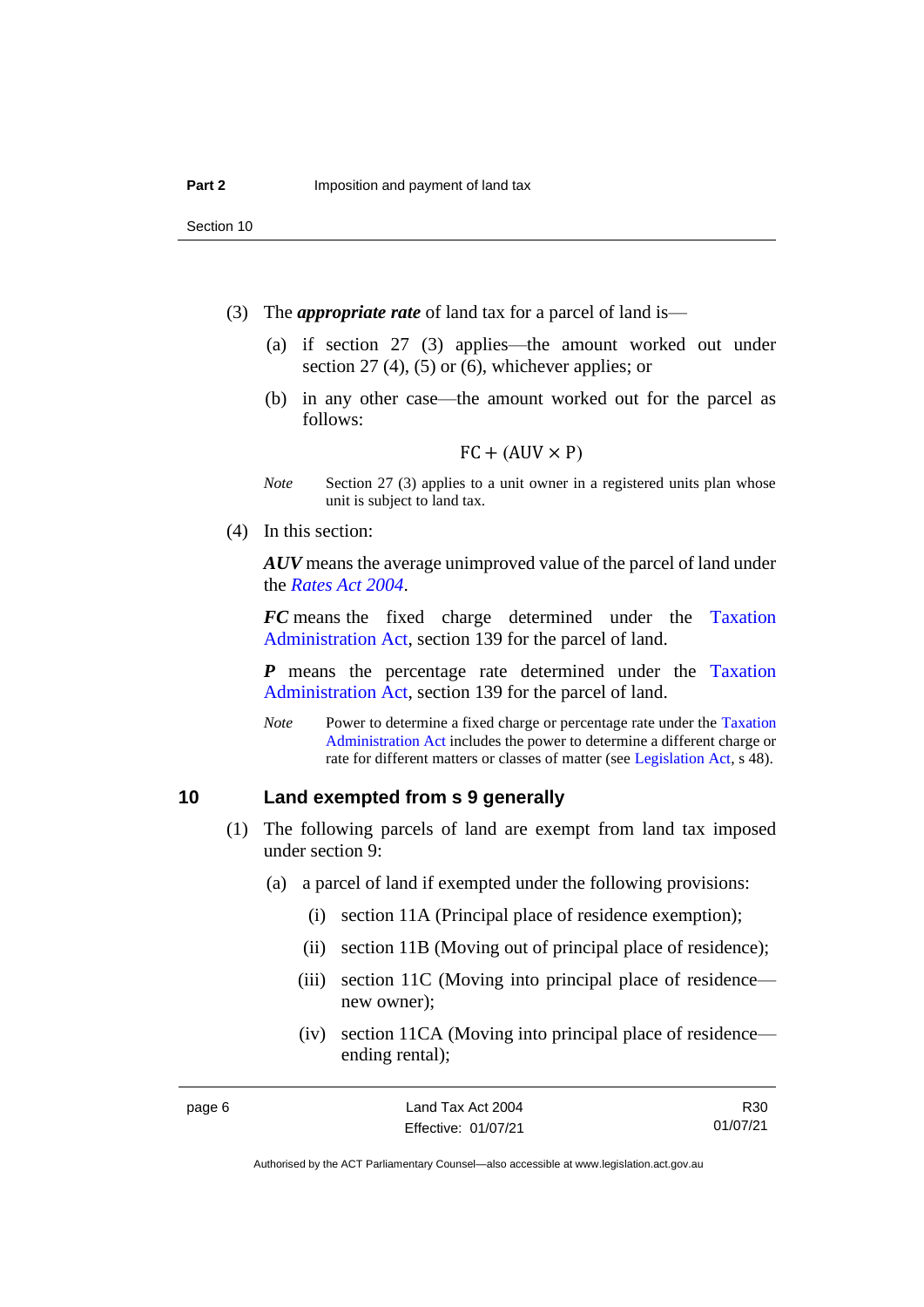Section 10

- (3) The *appropriate rate* of land tax for a parcel of land is—
	- (a) if section 27 (3) applies—the amount worked out under section 27 (4), (5) or (6), whichever applies; or
	- (b) in any other case—the amount worked out for the parcel as follows:

#### $FC + (AUV \times P)$

- *Note* Section 27 (3) applies to a unit owner in a registered units plan whose unit is subject to land tax.
- (4) In this section:

*AUV* means the average unimproved value of the parcel of land under the *[Rates Act 2004](http://www.legislation.act.gov.au/a/2004-3)*.

*FC* means the fixed charge determined under the [Taxation](http://www.legislation.act.gov.au/a/1999-4/default.asp)  [Administration Act,](http://www.legislation.act.gov.au/a/1999-4/default.asp) section 139 for the parcel of land.

*P* means the percentage rate determined under the [Taxation](http://www.legislation.act.gov.au/a/1999-4/default.asp)  [Administration Act,](http://www.legislation.act.gov.au/a/1999-4/default.asp) section 139 for the parcel of land.

*Note* Power to determine a fixed charge or percentage rate under the Taxation [Administration Act](http://www.legislation.act.gov.au/a/1999-4/default.asp) includes the power to determine a different charge or rate for different matters or classes of matter (see [Legislation Act,](http://www.legislation.act.gov.au/a/2001-14) s 48).

## <span id="page-11-0"></span>**10 Land exempted from s 9 generally**

- (1) The following parcels of land are exempt from land tax imposed under section 9:
	- (a) a parcel of land if exempted under the following provisions:
		- (i) section 11A (Principal place of residence exemption);
		- (ii) section 11B (Moving out of principal place of residence);
		- (iii) section 11C (Moving into principal place of residence new owner);
		- (iv) section 11CA (Moving into principal place of residence ending rental);

R30 01/07/21

Authorised by the ACT Parliamentary Counsel—also accessible at www.legislation.act.gov.au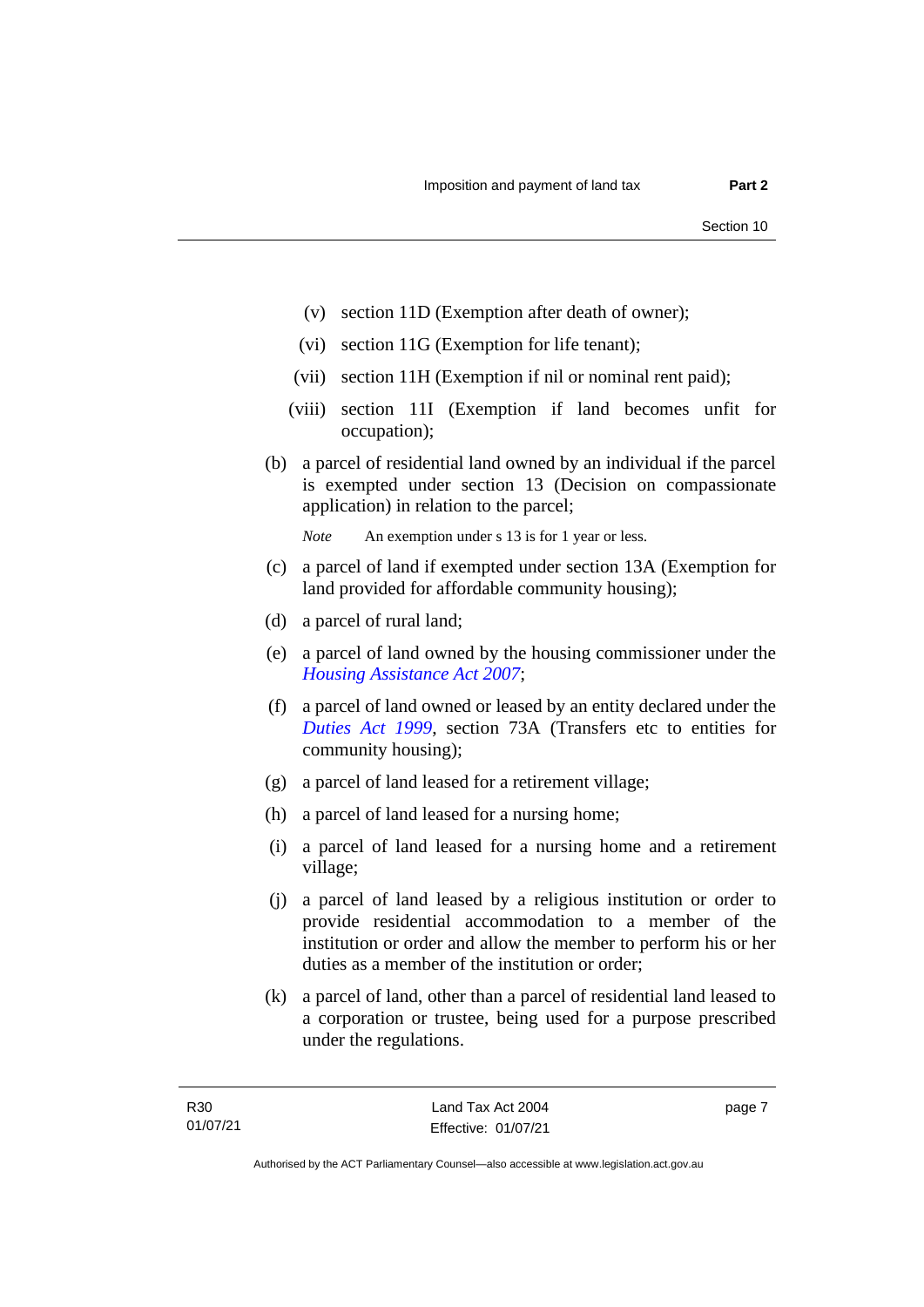- (v) section 11D (Exemption after death of owner);
- (vi) section 11G (Exemption for life tenant);
- (vii) section 11H (Exemption if nil or nominal rent paid);
- (viii) section 11I (Exemption if land becomes unfit for occupation);
- (b) a parcel of residential land owned by an individual if the parcel is exempted under section 13 (Decision on compassionate application) in relation to the parcel;

*Note* An exemption under s 13 is for 1 year or less.

- (c) a parcel of land if exempted under section 13A (Exemption for land provided for affordable community housing);
- (d) a parcel of rural land;
- (e) a parcel of land owned by the housing commissioner under the *[Housing Assistance Act 2007](http://www.legislation.act.gov.au/a/2007-8)*;
- (f) a parcel of land owned or leased by an entity declared under the *[Duties Act 1999](http://www.legislation.act.gov.au/a/1999-7)*, section 73A (Transfers etc to entities for community housing);
- (g) a parcel of land leased for a retirement village;
- (h) a parcel of land leased for a nursing home;
- (i) a parcel of land leased for a nursing home and a retirement village;
- (j) a parcel of land leased by a religious institution or order to provide residential accommodation to a member of the institution or order and allow the member to perform his or her duties as a member of the institution or order;
- (k) a parcel of land, other than a parcel of residential land leased to a corporation or trustee, being used for a purpose prescribed under the regulations.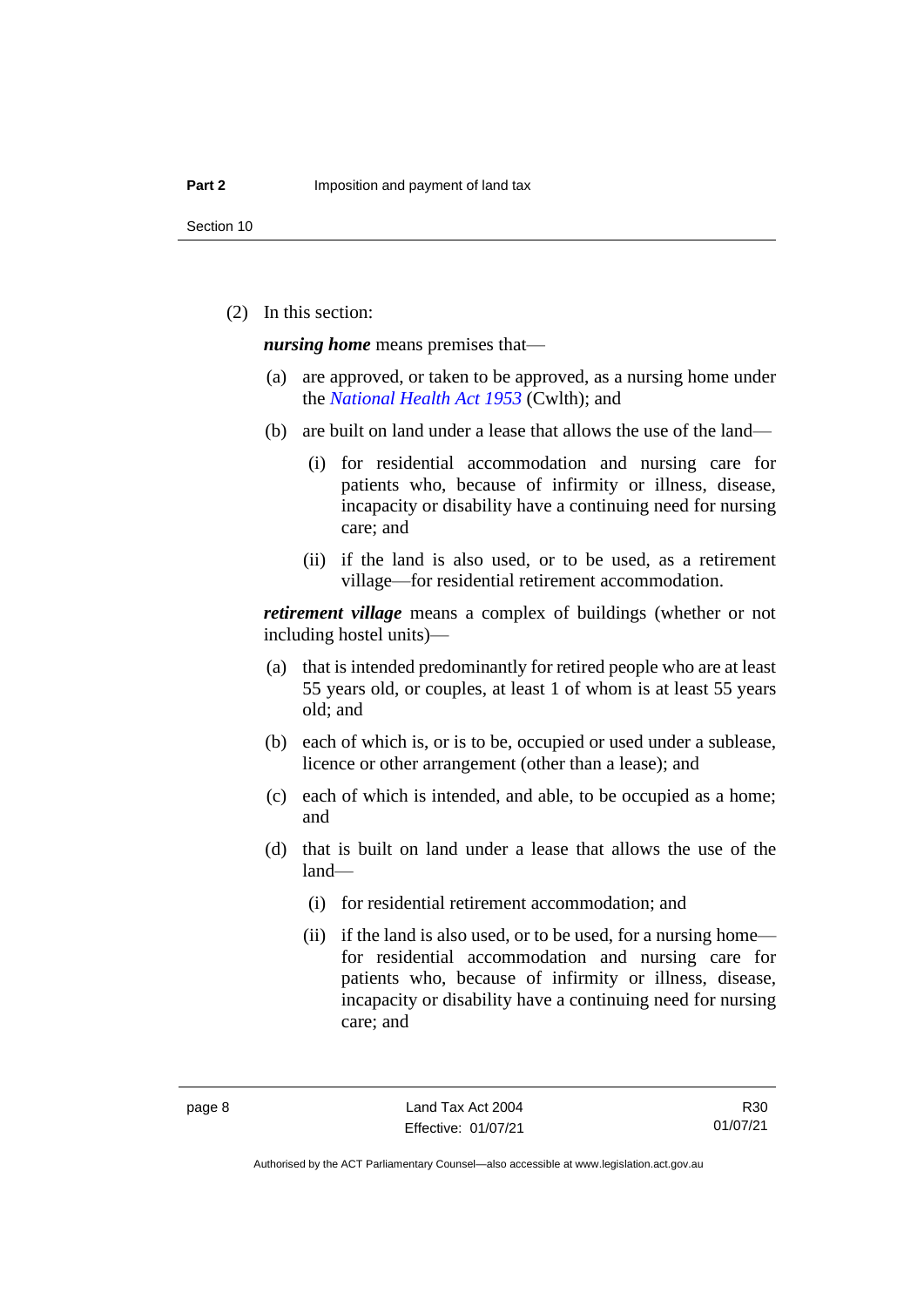(2) In this section:

*nursing home* means premises that—

- (a) are approved, or taken to be approved, as a nursing home under the *[National Health Act 1953](http://www.comlaw.gov.au/Details/C2013C00083)* (Cwlth); and
- (b) are built on land under a lease that allows the use of the land—
	- (i) for residential accommodation and nursing care for patients who, because of infirmity or illness, disease, incapacity or disability have a continuing need for nursing care; and
	- (ii) if the land is also used, or to be used, as a retirement village—for residential retirement accommodation.

*retirement village* means a complex of buildings (whether or not including hostel units)—

- (a) that is intended predominantly for retired people who are at least 55 years old, or couples, at least 1 of whom is at least 55 years old; and
- (b) each of which is, or is to be, occupied or used under a sublease, licence or other arrangement (other than a lease); and
- (c) each of which is intended, and able, to be occupied as a home; and
- (d) that is built on land under a lease that allows the use of the land—
	- (i) for residential retirement accommodation; and
	- (ii) if the land is also used, or to be used, for a nursing home for residential accommodation and nursing care for patients who, because of infirmity or illness, disease, incapacity or disability have a continuing need for nursing care; and

R30 01/07/21

Authorised by the ACT Parliamentary Counsel—also accessible at www.legislation.act.gov.au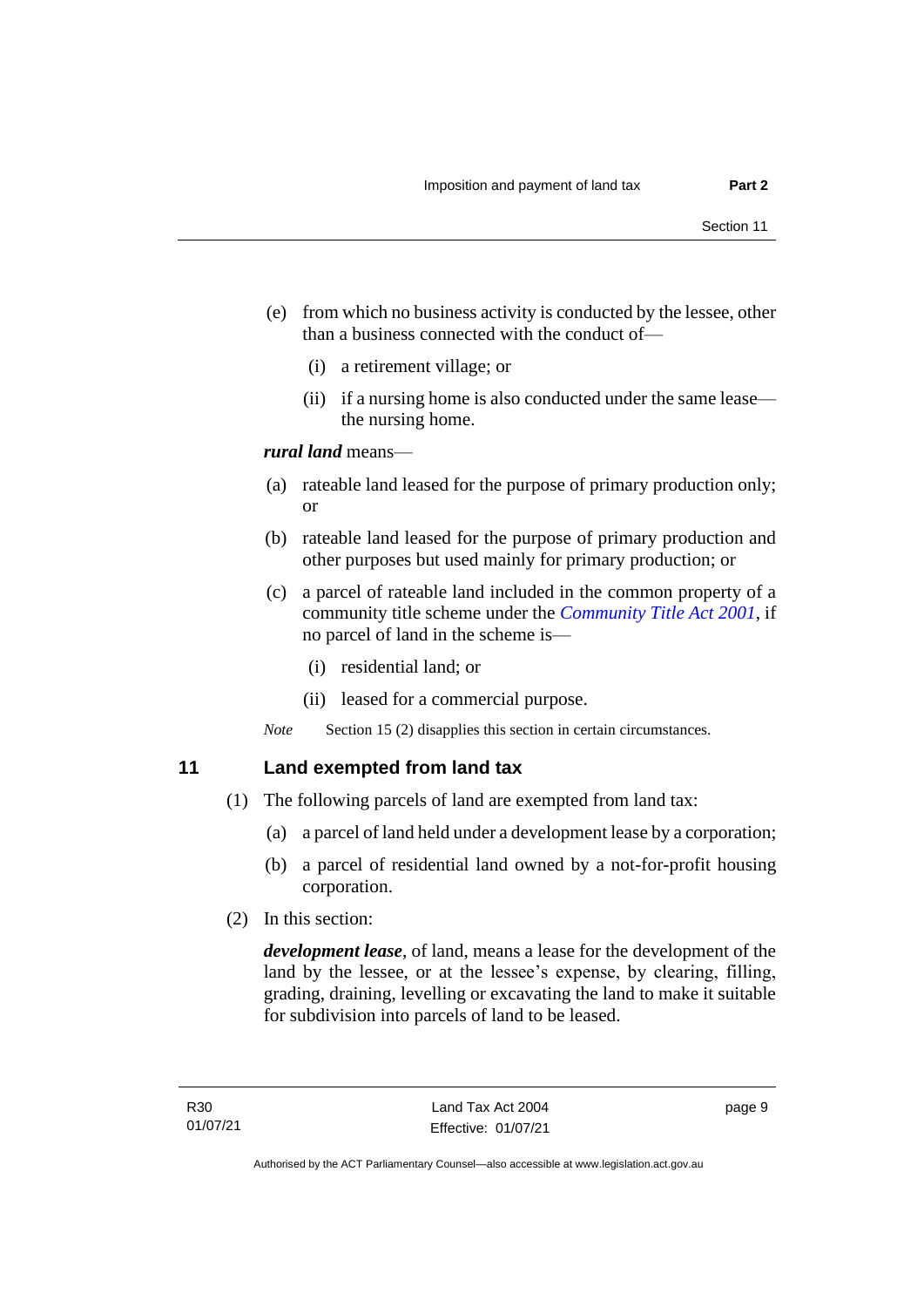- (e) from which no business activity is conducted by the lessee, other than a business connected with the conduct of—
	- (i) a retirement village; or
	- (ii) if a nursing home is also conducted under the same lease the nursing home.

#### *rural land* means—

- (a) rateable land leased for the purpose of primary production only; or
- (b) rateable land leased for the purpose of primary production and other purposes but used mainly for primary production; or
- (c) a parcel of rateable land included in the common property of a community title scheme under the *[Community Title Act](http://www.legislation.act.gov.au/a/2001-58) 2001*, if no parcel of land in the scheme is—
	- (i) residential land; or
	- (ii) leased for a commercial purpose.

*Note* Section 15 (2) disapplies this section in certain circumstances.

## <span id="page-14-0"></span>**11 Land exempted from land tax**

- (1) The following parcels of land are exempted from land tax:
	- (a) a parcel of land held under a development lease by a corporation;
	- (b) a parcel of residential land owned by a not-for-profit housing corporation.
- (2) In this section:

*development lease*, of land, means a lease for the development of the land by the lessee, or at the lessee's expense, by clearing, filling, grading, draining, levelling or excavating the land to make it suitable for subdivision into parcels of land to be leased.

page 9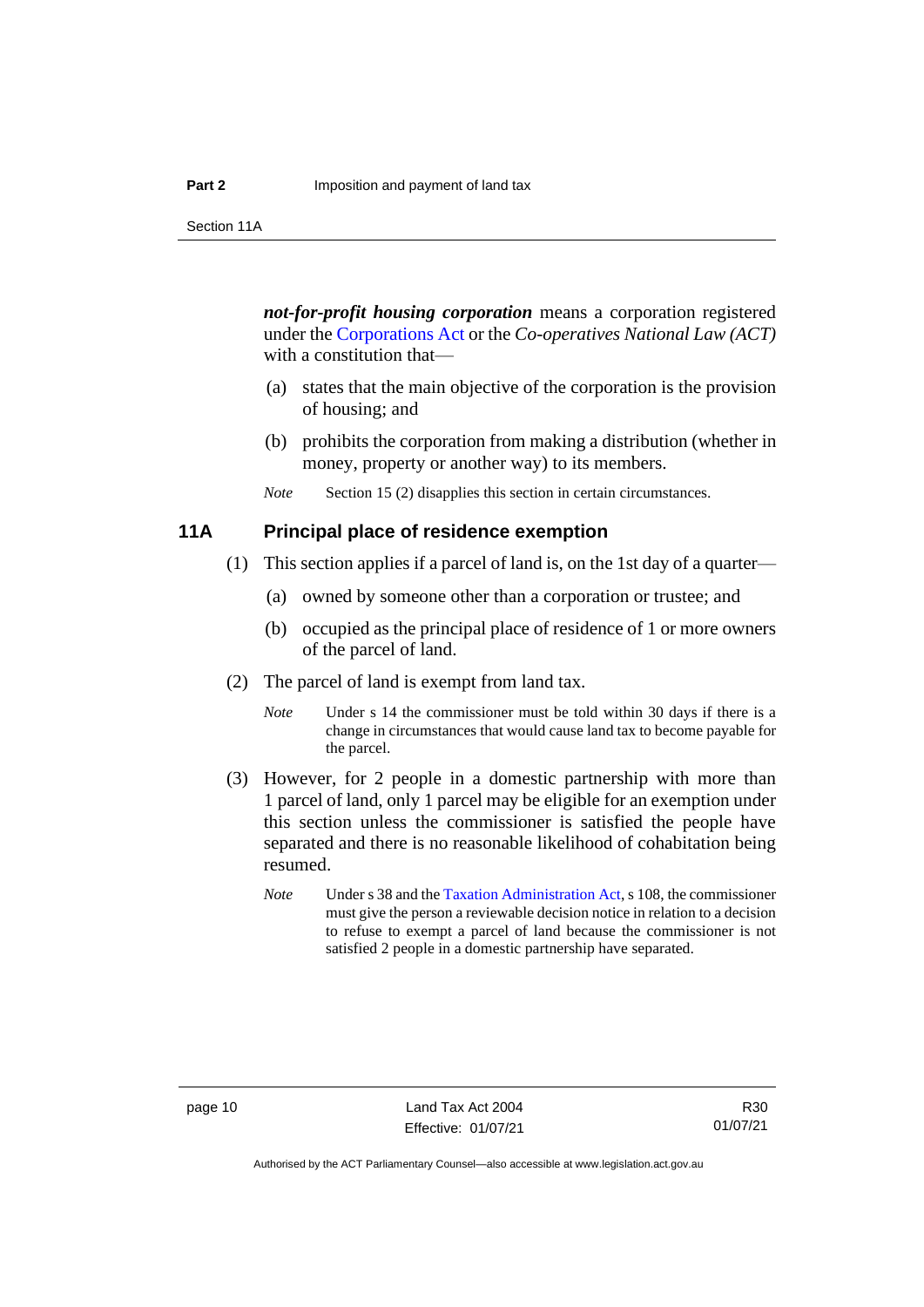*not-for-profit housing corporation* means a corporation registered under the [Corporations Act](http://www.comlaw.gov.au/Series/C2004A00818) or the *Co-operatives National Law (ACT)* with a constitution that—

- (a) states that the main objective of the corporation is the provision of housing; and
- (b) prohibits the corporation from making a distribution (whether in money, property or another way) to its members.
- *Note* Section 15 (2) disapplies this section in certain circumstances.

### <span id="page-15-0"></span>**11A Principal place of residence exemption**

- (1) This section applies if a parcel of land is, on the 1st day of a quarter—
	- (a) owned by someone other than a corporation or trustee; and
	- (b) occupied as the principal place of residence of 1 or more owners of the parcel of land.
- (2) The parcel of land is exempt from land tax.
	- *Note* Under s 14 the commissioner must be told within 30 days if there is a change in circumstances that would cause land tax to become payable for the parcel.
- (3) However, for 2 people in a domestic partnership with more than 1 parcel of land, only 1 parcel may be eligible for an exemption under this section unless the commissioner is satisfied the people have separated and there is no reasonable likelihood of cohabitation being resumed.
	- *Note* Under s 38 and the [Taxation Administration Act,](http://www.legislation.act.gov.au/a/1999-4/default.asp) s 108, the commissioner must give the person a reviewable decision notice in relation to a decision to refuse to exempt a parcel of land because the commissioner is not satisfied 2 people in a domestic partnership have separated.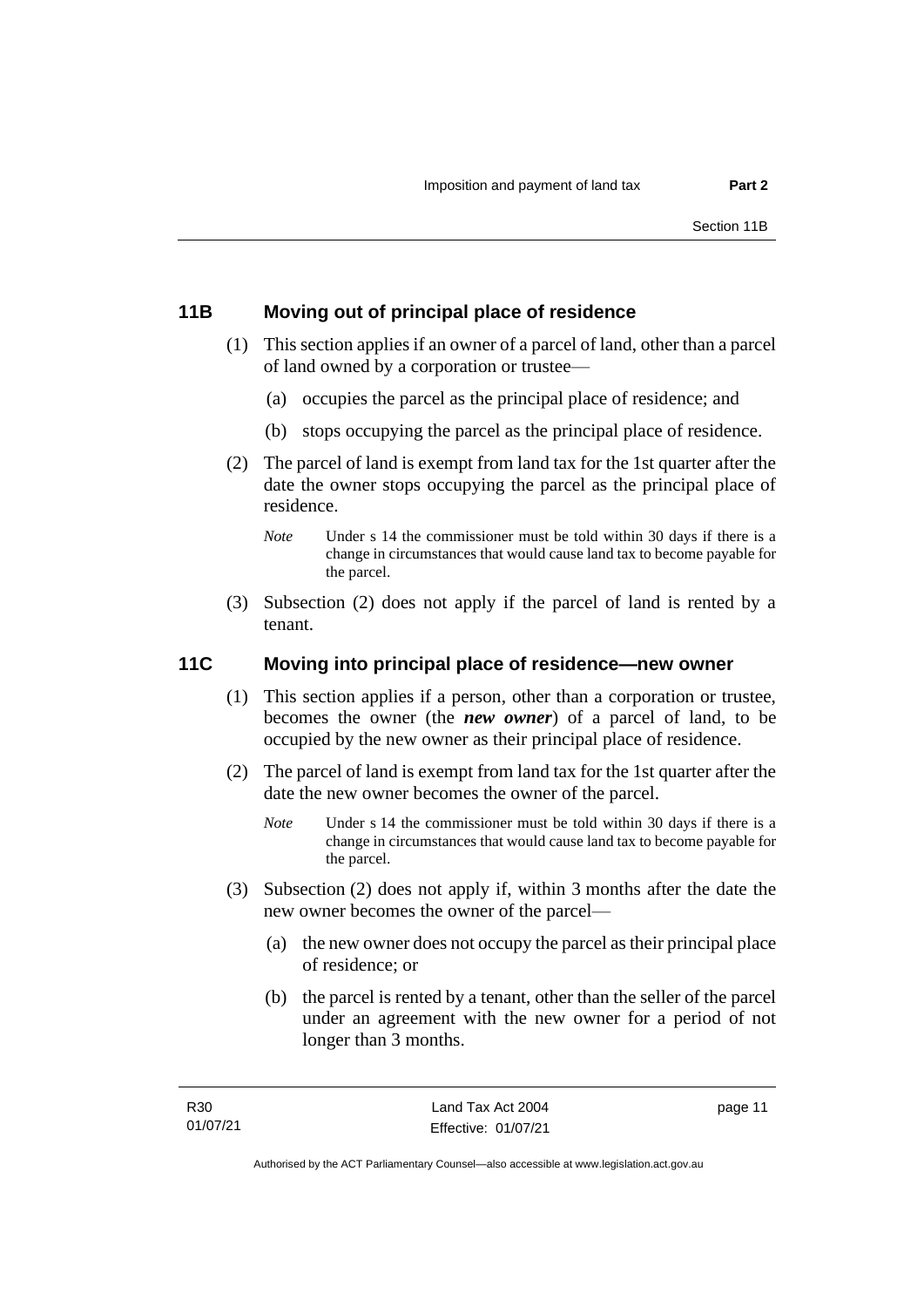## <span id="page-16-0"></span>**11B Moving out of principal place of residence**

- (1) This section applies if an owner of a parcel of land, other than a parcel of land owned by a corporation or trustee—
	- (a) occupies the parcel as the principal place of residence; and
	- (b) stops occupying the parcel as the principal place of residence.
- (2) The parcel of land is exempt from land tax for the 1st quarter after the date the owner stops occupying the parcel as the principal place of residence.
	- *Note* Under s 14 the commissioner must be told within 30 days if there is a change in circumstances that would cause land tax to become payable for the parcel.
- (3) Subsection (2) does not apply if the parcel of land is rented by a tenant.

## <span id="page-16-1"></span>**11C Moving into principal place of residence—new owner**

- (1) This section applies if a person, other than a corporation or trustee, becomes the owner (the *new owner*) of a parcel of land, to be occupied by the new owner as their principal place of residence.
- (2) The parcel of land is exempt from land tax for the 1st quarter after the date the new owner becomes the owner of the parcel.
	- *Note* Under s 14 the commissioner must be told within 30 days if there is a change in circumstances that would cause land tax to become payable for the parcel.
- (3) Subsection (2) does not apply if, within 3 months after the date the new owner becomes the owner of the parcel—
	- (a) the new owner does not occupy the parcel as their principal place of residence; or
	- (b) the parcel is rented by a tenant, other than the seller of the parcel under an agreement with the new owner for a period of not longer than 3 months.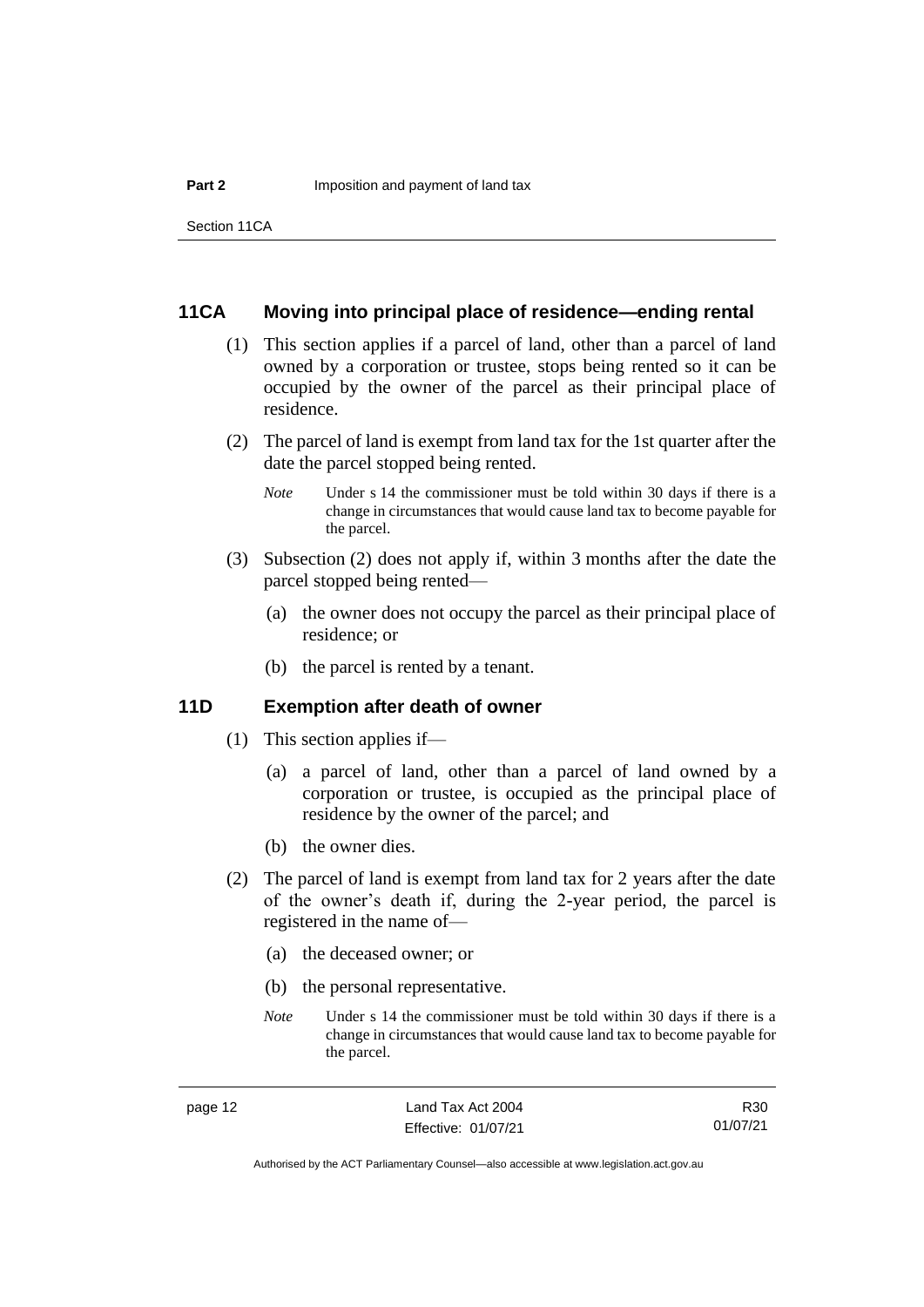## <span id="page-17-0"></span>**11CA Moving into principal place of residence—ending rental**

- (1) This section applies if a parcel of land, other than a parcel of land owned by a corporation or trustee, stops being rented so it can be occupied by the owner of the parcel as their principal place of residence.
- (2) The parcel of land is exempt from land tax for the 1st quarter after the date the parcel stopped being rented.
	- *Note* Under s 14 the commissioner must be told within 30 days if there is a change in circumstances that would cause land tax to become payable for the parcel.
- (3) Subsection (2) does not apply if, within 3 months after the date the parcel stopped being rented—
	- (a) the owner does not occupy the parcel as their principal place of residence; or
	- (b) the parcel is rented by a tenant.

#### <span id="page-17-1"></span>**11D Exemption after death of owner**

- (1) This section applies if—
	- (a) a parcel of land, other than a parcel of land owned by a corporation or trustee, is occupied as the principal place of residence by the owner of the parcel; and
	- (b) the owner dies.
- (2) The parcel of land is exempt from land tax for 2 years after the date of the owner's death if, during the 2-year period, the parcel is registered in the name of—
	- (a) the deceased owner; or
	- (b) the personal representative.
	- *Note* Under s 14 the commissioner must be told within 30 days if there is a change in circumstances that would cause land tax to become payable for the parcel.

R30 01/07/21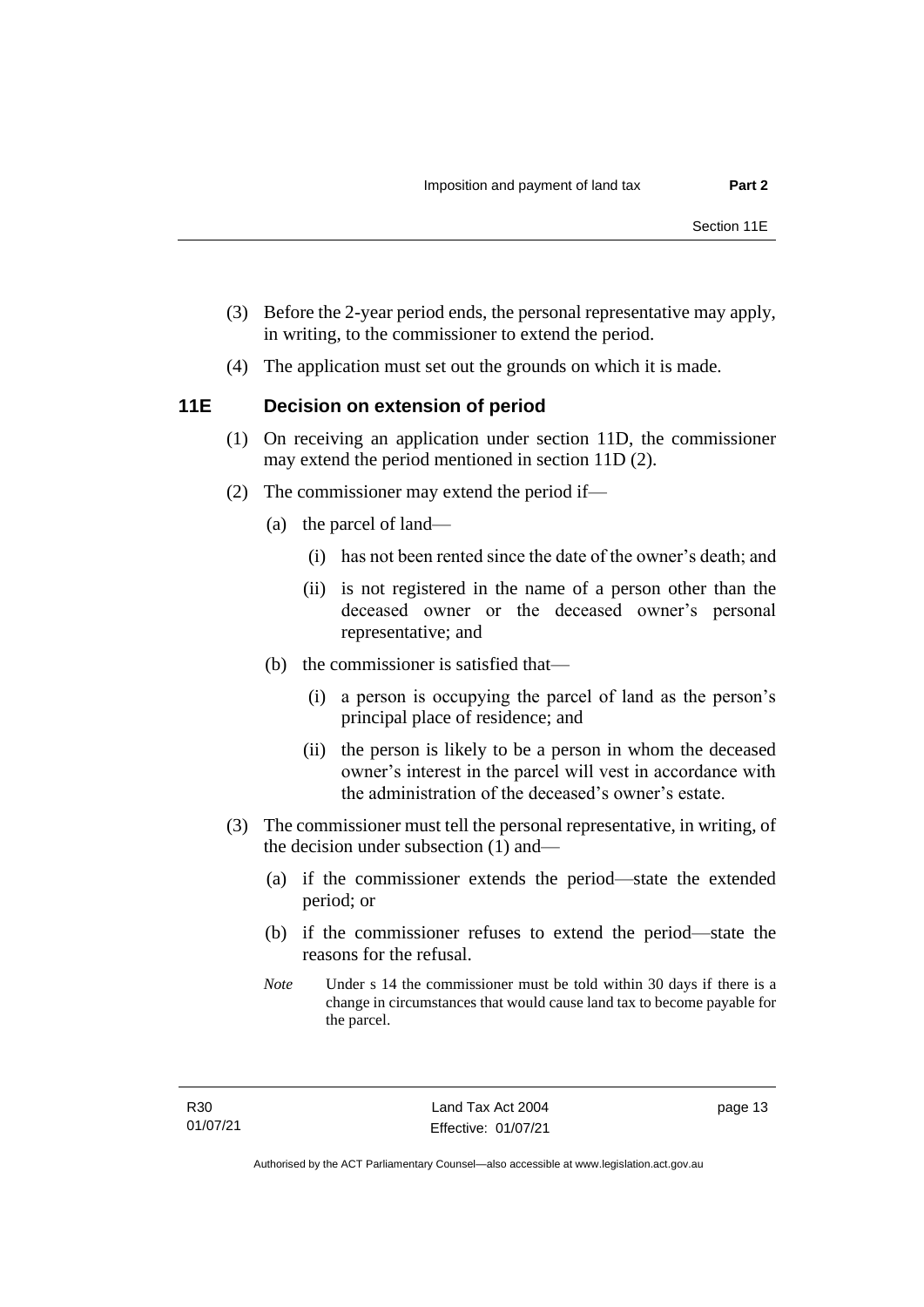- (3) Before the 2-year period ends, the personal representative may apply, in writing, to the commissioner to extend the period.
- (4) The application must set out the grounds on which it is made.

## <span id="page-18-0"></span>**11E Decision on extension of period**

- (1) On receiving an application under section 11D, the commissioner may extend the period mentioned in section 11D (2).
- (2) The commissioner may extend the period if—
	- (a) the parcel of land—
		- (i) has not been rented since the date of the owner's death; and
		- (ii) is not registered in the name of a person other than the deceased owner or the deceased owner's personal representative; and
	- (b) the commissioner is satisfied that—
		- (i) a person is occupying the parcel of land as the person's principal place of residence; and
		- (ii) the person is likely to be a person in whom the deceased owner's interest in the parcel will vest in accordance with the administration of the deceased's owner's estate.
- (3) The commissioner must tell the personal representative, in writing, of the decision under subsection (1) and—
	- (a) if the commissioner extends the period—state the extended period; or
	- (b) if the commissioner refuses to extend the period—state the reasons for the refusal.
	- *Note* Under s 14 the commissioner must be told within 30 days if there is a change in circumstances that would cause land tax to become payable for the parcel.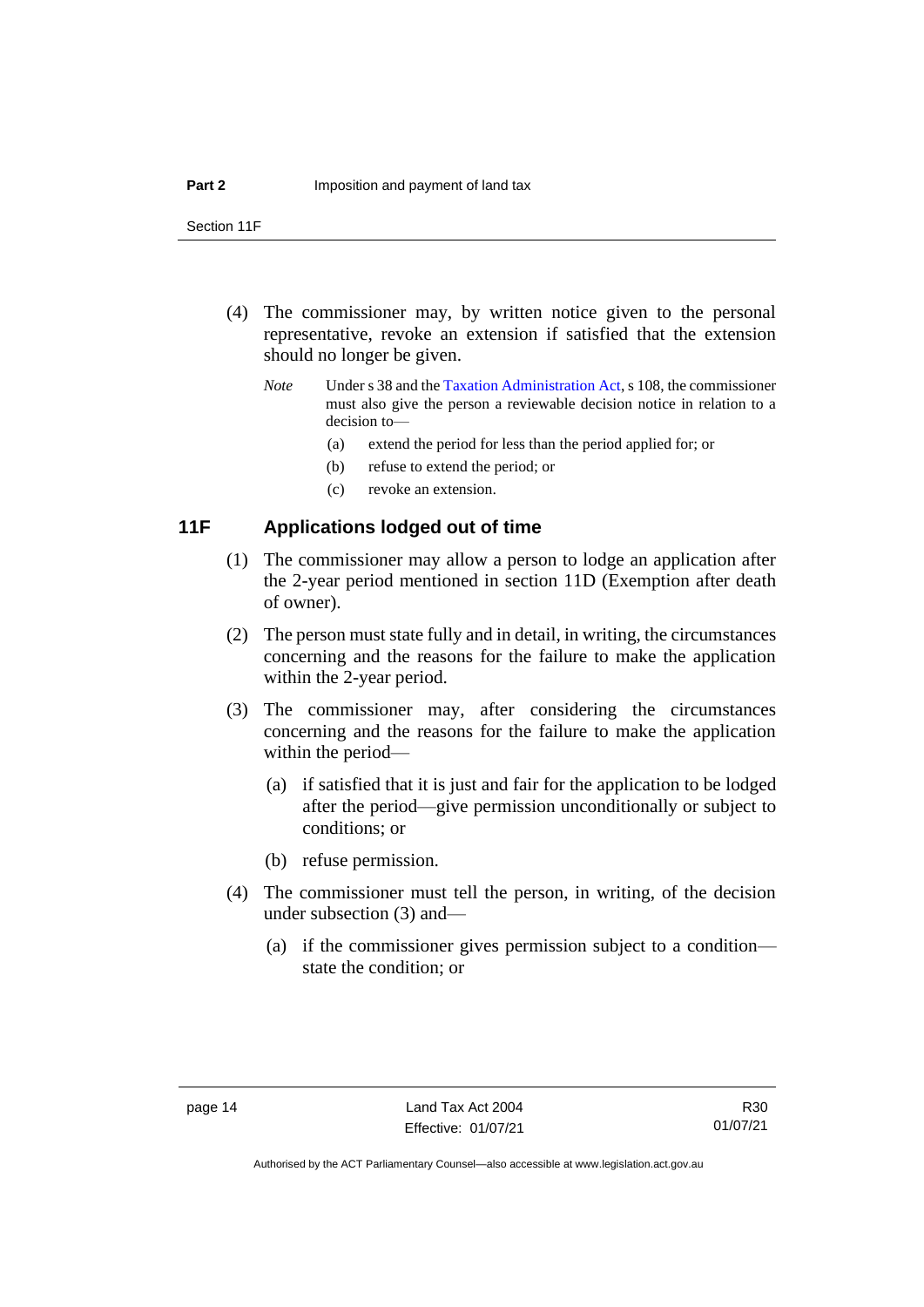Section 11F

- (4) The commissioner may, by written notice given to the personal representative, revoke an extension if satisfied that the extension should no longer be given.
	- *Note* Under s 38 and th[e Taxation Administration Act,](http://www.legislation.act.gov.au/a/1999-4/default.asp) s 108, the commissioner must also give the person a reviewable decision notice in relation to a decision to—
		- (a) extend the period for less than the period applied for; or
		- (b) refuse to extend the period; or
		- (c) revoke an extension.

## <span id="page-19-0"></span>**11F Applications lodged out of time**

- (1) The commissioner may allow a person to lodge an application after the 2-year period mentioned in section 11D (Exemption after death of owner).
- (2) The person must state fully and in detail, in writing, the circumstances concerning and the reasons for the failure to make the application within the 2-year period.
- (3) The commissioner may, after considering the circumstances concerning and the reasons for the failure to make the application within the period—
	- (a) if satisfied that it is just and fair for the application to be lodged after the period—give permission unconditionally or subject to conditions; or
	- (b) refuse permission.
- (4) The commissioner must tell the person, in writing, of the decision under subsection (3) and—
	- (a) if the commissioner gives permission subject to a condition state the condition; or

Authorised by the ACT Parliamentary Counsel—also accessible at www.legislation.act.gov.au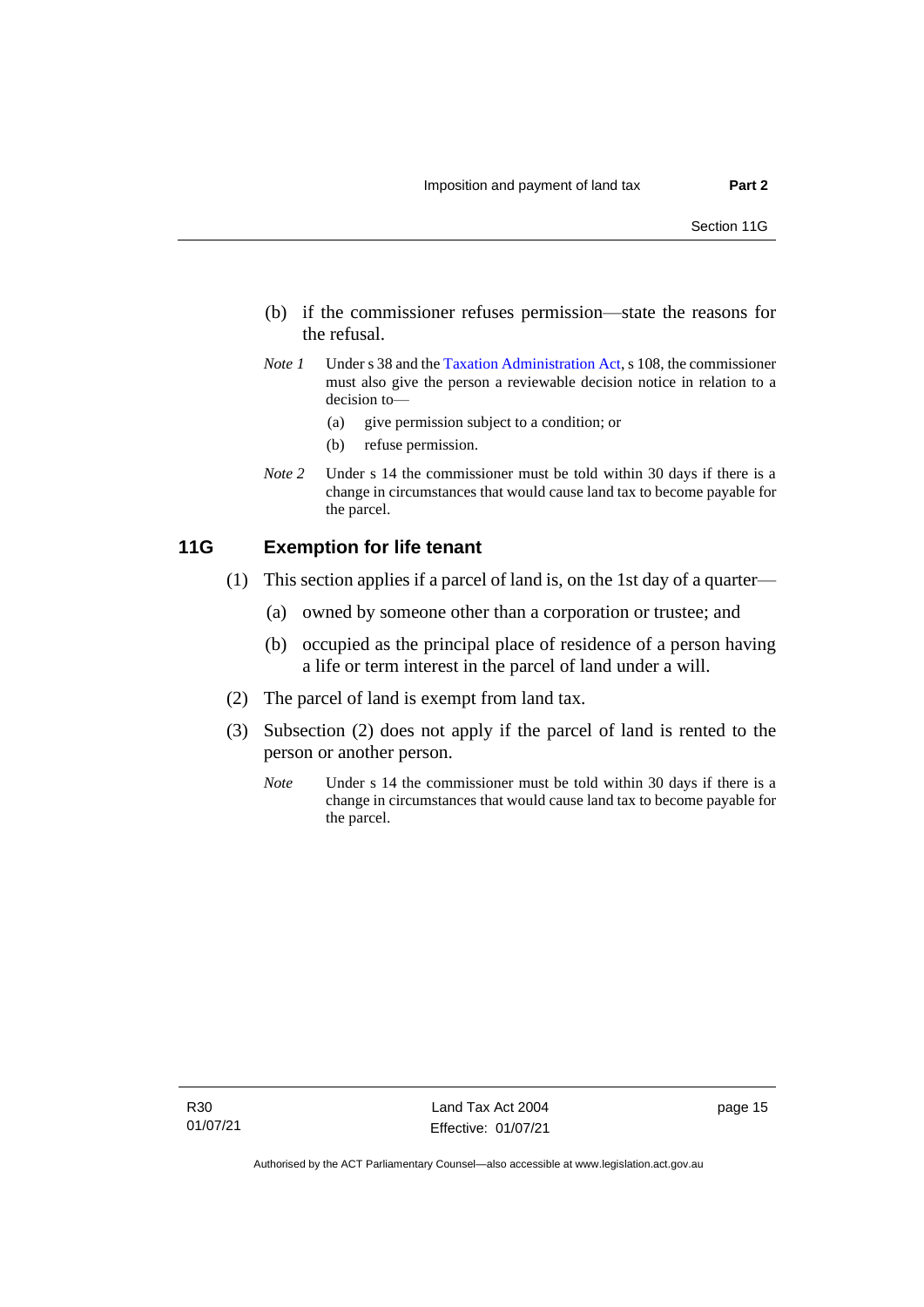- (b) if the commissioner refuses permission—state the reasons for the refusal.
- *Note 1* Under s 38 and th[e Taxation Administration Act,](http://www.legislation.act.gov.au/a/1999-4/default.asp) s 108, the commissioner must also give the person a reviewable decision notice in relation to a decision to—
	- (a) give permission subject to a condition; or
	- (b) refuse permission.
- *Note 2* Under s 14 the commissioner must be told within 30 days if there is a change in circumstances that would cause land tax to become payable for the parcel.

#### <span id="page-20-0"></span>**11G Exemption for life tenant**

- (1) This section applies if a parcel of land is, on the 1st day of a quarter—
	- (a) owned by someone other than a corporation or trustee; and
	- (b) occupied as the principal place of residence of a person having a life or term interest in the parcel of land under a will.
- (2) The parcel of land is exempt from land tax.
- (3) Subsection (2) does not apply if the parcel of land is rented to the person or another person.
	- *Note* Under s 14 the commissioner must be told within 30 days if there is a change in circumstances that would cause land tax to become payable for the parcel.

page 15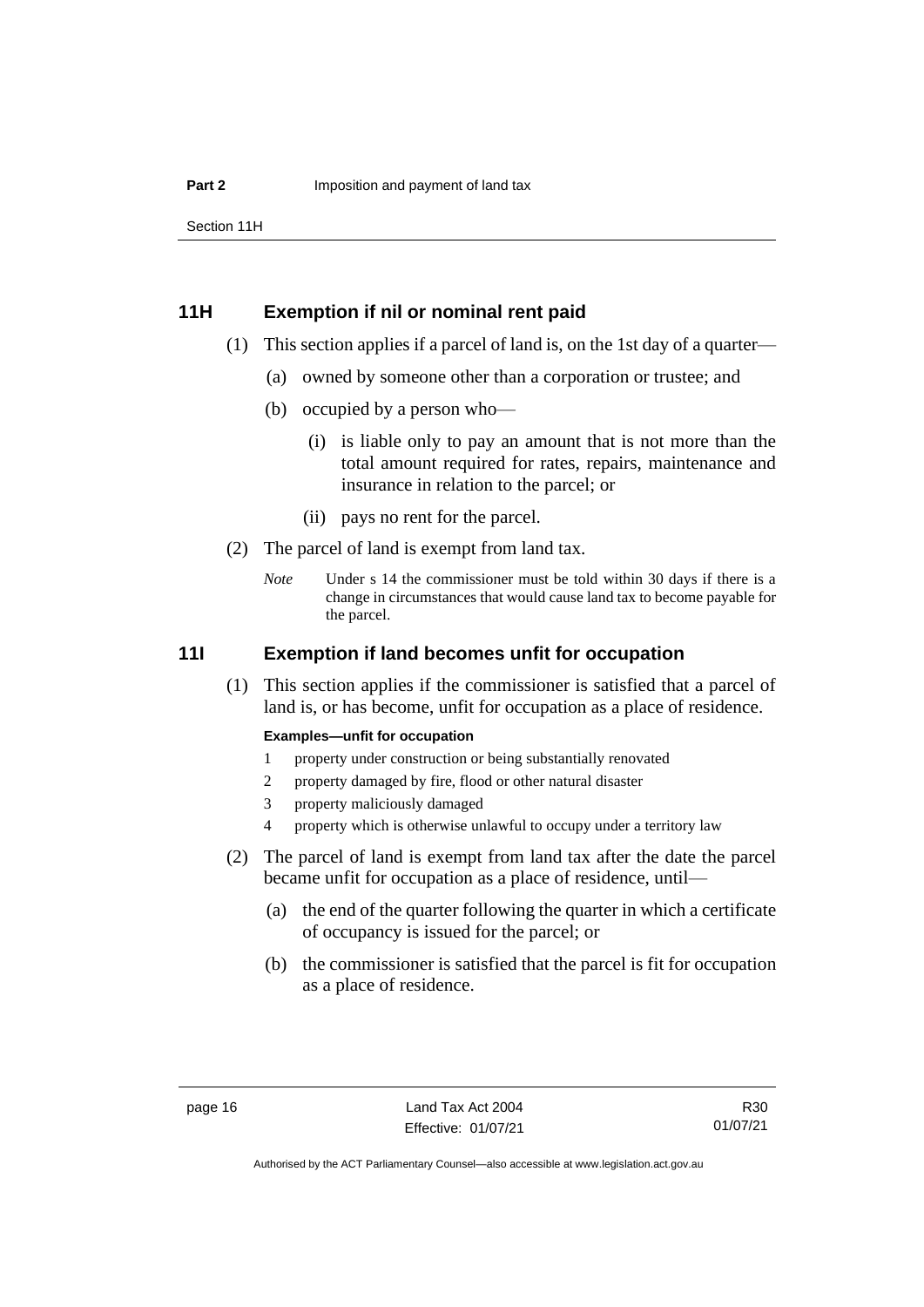Section 11H

## <span id="page-21-0"></span>**11H Exemption if nil or nominal rent paid**

- (1) This section applies if a parcel of land is, on the 1st day of a quarter—
	- (a) owned by someone other than a corporation or trustee; and
	- (b) occupied by a person who—
		- (i) is liable only to pay an amount that is not more than the total amount required for rates, repairs, maintenance and insurance in relation to the parcel; or
		- (ii) pays no rent for the parcel.
- (2) The parcel of land is exempt from land tax.
	- *Note* Under s 14 the commissioner must be told within 30 days if there is a change in circumstances that would cause land tax to become payable for the parcel.

## <span id="page-21-1"></span>**11I Exemption if land becomes unfit for occupation**

(1) This section applies if the commissioner is satisfied that a parcel of land is, or has become, unfit for occupation as a place of residence.

#### **Examples—unfit for occupation**

- 1 property under construction or being substantially renovated
- 2 property damaged by fire, flood or other natural disaster
- 3 property maliciously damaged
- 4 property which is otherwise unlawful to occupy under a territory law
- (2) The parcel of land is exempt from land tax after the date the parcel became unfit for occupation as a place of residence, until—
	- (a) the end of the quarter following the quarter in which a certificate of occupancy is issued for the parcel; or
	- (b) the commissioner is satisfied that the parcel is fit for occupation as a place of residence.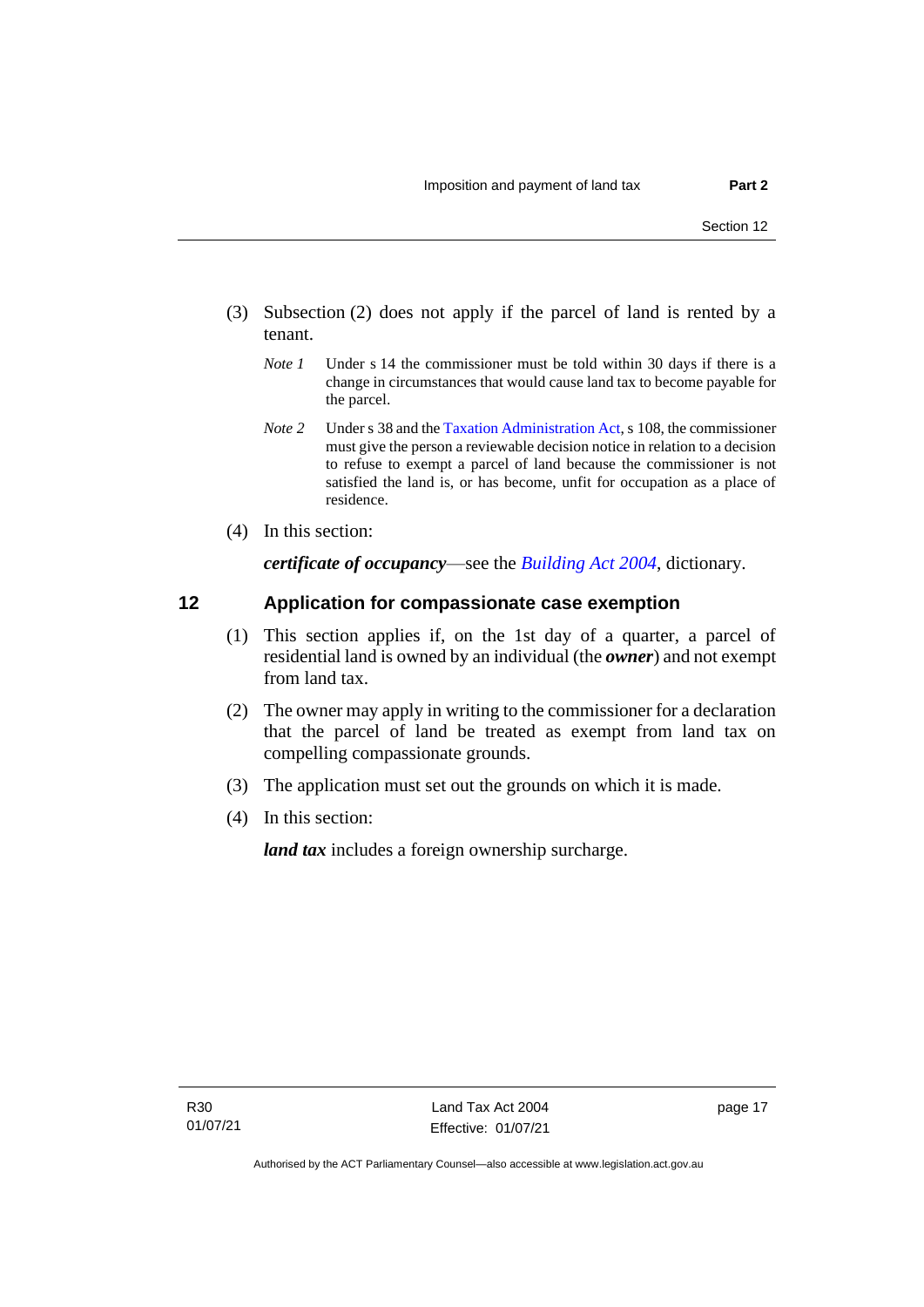- (3) Subsection (2) does not apply if the parcel of land is rented by a tenant.
	- *Note 1* Under s 14 the commissioner must be told within 30 days if there is a change in circumstances that would cause land tax to become payable for the parcel.
	- *Note 2* Under s 38 and th[e Taxation Administration Act,](https://www.legislation.act.gov.au/a/1999-4/) s 108, the commissioner must give the person a reviewable decision notice in relation to a decision to refuse to exempt a parcel of land because the commissioner is not satisfied the land is, or has become, unfit for occupation as a place of residence.
- (4) In this section:

*certificate of occupancy*—see the *[Building Act 2004](http://www.legislation.act.gov.au/a/2004-11)*, dictionary.

## <span id="page-22-0"></span>**12 Application for compassionate case exemption**

- (1) This section applies if, on the 1st day of a quarter, a parcel of residential land is owned by an individual (the *owner*) and not exempt from land tax.
- (2) The owner may apply in writing to the commissioner for a declaration that the parcel of land be treated as exempt from land tax on compelling compassionate grounds.
- (3) The application must set out the grounds on which it is made.
- (4) In this section:

*land tax* includes a foreign ownership surcharge.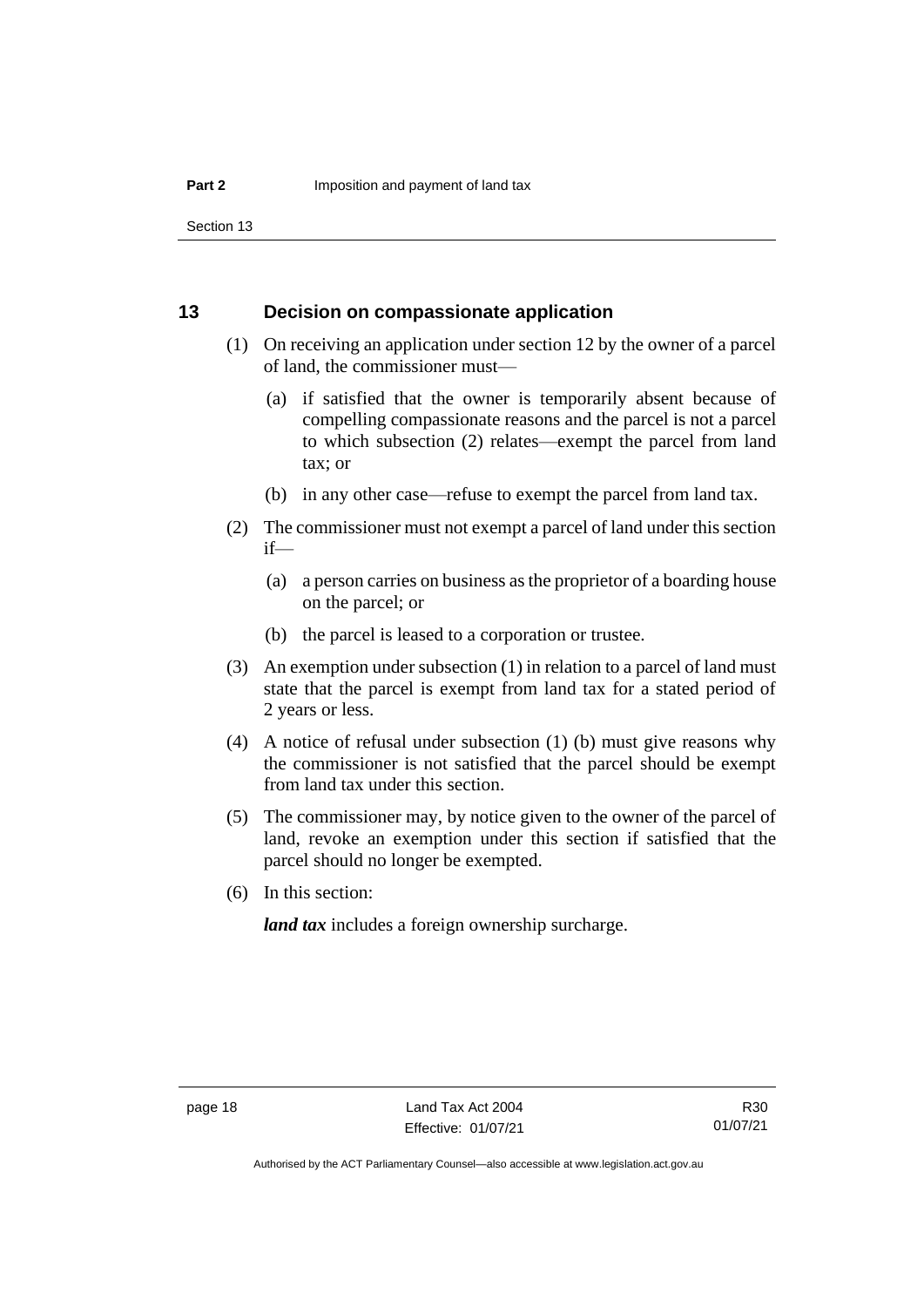Section 13

#### <span id="page-23-0"></span>**13 Decision on compassionate application**

- (1) On receiving an application under section 12 by the owner of a parcel of land, the commissioner must—
	- (a) if satisfied that the owner is temporarily absent because of compelling compassionate reasons and the parcel is not a parcel to which subsection (2) relates—exempt the parcel from land tax; or
	- (b) in any other case—refuse to exempt the parcel from land tax.
- (2) The commissioner must not exempt a parcel of land under this section if—
	- (a) a person carries on business as the proprietor of a boarding house on the parcel; or
	- (b) the parcel is leased to a corporation or trustee.
- (3) An exemption under subsection (1) in relation to a parcel of land must state that the parcel is exempt from land tax for a stated period of 2 years or less.
- (4) A notice of refusal under subsection (1) (b) must give reasons why the commissioner is not satisfied that the parcel should be exempt from land tax under this section.
- (5) The commissioner may, by notice given to the owner of the parcel of land, revoke an exemption under this section if satisfied that the parcel should no longer be exempted.
- (6) In this section:

*land tax* includes a foreign ownership surcharge.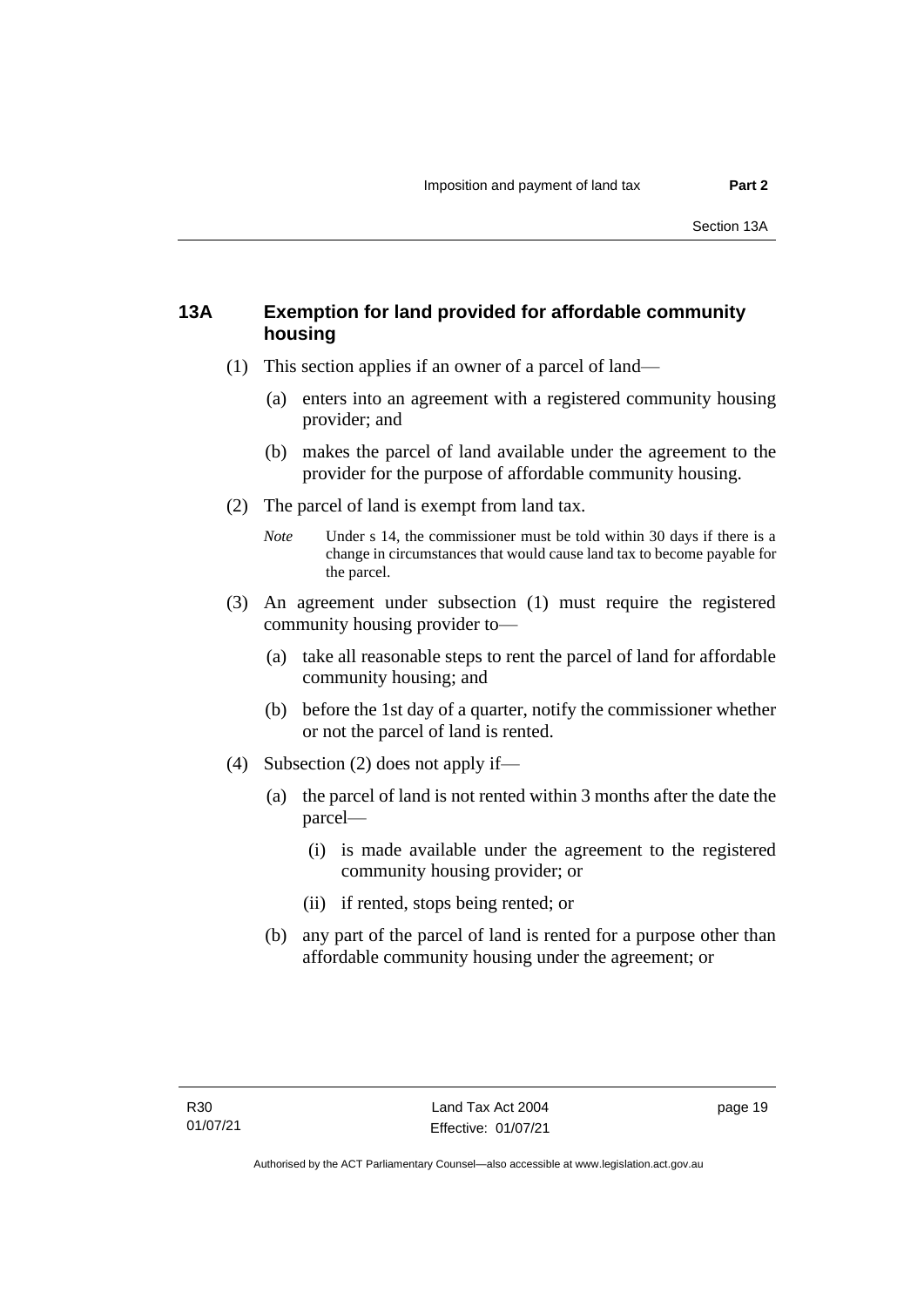## <span id="page-24-0"></span>**13A Exemption for land provided for affordable community housing**

- (1) This section applies if an owner of a parcel of land—
	- (a) enters into an agreement with a registered community housing provider; and
	- (b) makes the parcel of land available under the agreement to the provider for the purpose of affordable community housing.
- (2) The parcel of land is exempt from land tax.
	- *Note* Under s 14, the commissioner must be told within 30 days if there is a change in circumstances that would cause land tax to become payable for the parcel.
- (3) An agreement under subsection (1) must require the registered community housing provider to—
	- (a) take all reasonable steps to rent the parcel of land for affordable community housing; and
	- (b) before the 1st day of a quarter, notify the commissioner whether or not the parcel of land is rented.
- (4) Subsection (2) does not apply if—
	- (a) the parcel of land is not rented within 3 months after the date the parcel—
		- (i) is made available under the agreement to the registered community housing provider; or
		- (ii) if rented, stops being rented; or
	- (b) any part of the parcel of land is rented for a purpose other than affordable community housing under the agreement; or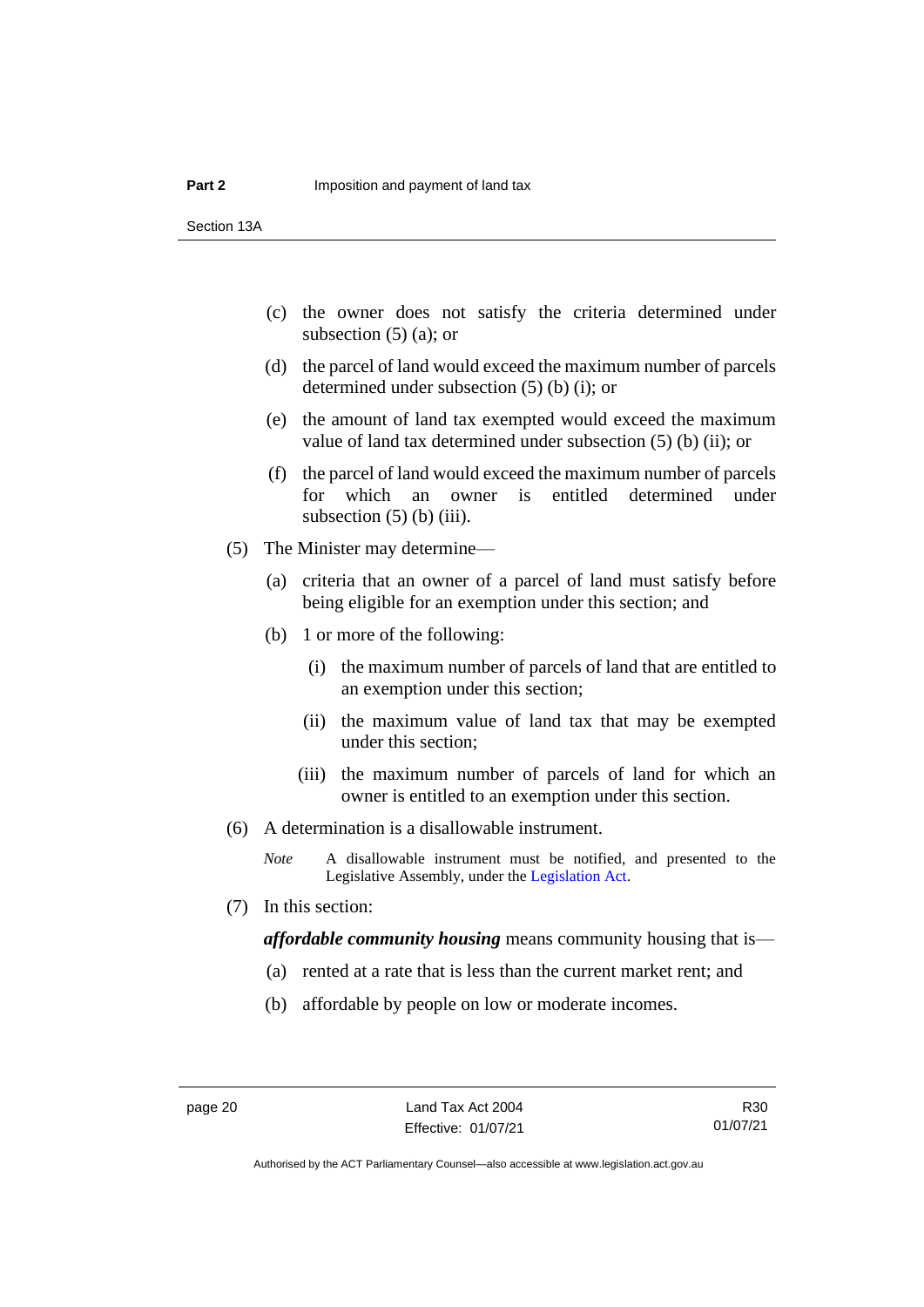Section 13A

- (c) the owner does not satisfy the criteria determined under subsection  $(5)$  (a); or
- (d) the parcel of land would exceed the maximum number of parcels determined under subsection (5) (b) (i); or
- (e) the amount of land tax exempted would exceed the maximum value of land tax determined under subsection (5) (b) (ii); or
- (f) the parcel of land would exceed the maximum number of parcels for which an owner is entitled determined under subsection  $(5)$  (b) (iii).
- (5) The Minister may determine—
	- (a) criteria that an owner of a parcel of land must satisfy before being eligible for an exemption under this section; and
	- (b) 1 or more of the following:
		- (i) the maximum number of parcels of land that are entitled to an exemption under this section;
		- (ii) the maximum value of land tax that may be exempted under this section;
		- (iii) the maximum number of parcels of land for which an owner is entitled to an exemption under this section.
- (6) A determination is a disallowable instrument.
	- *Note* A disallowable instrument must be notified, and presented to the Legislative Assembly, under the [Legislation Act.](http://www.legislation.act.gov.au/a/2001-14)
- (7) In this section:

*affordable community housing* means community housing that is—

- (a) rented at a rate that is less than the current market rent; and
- (b) affordable by people on low or moderate incomes.

R30 01/07/21

Authorised by the ACT Parliamentary Counsel—also accessible at www.legislation.act.gov.au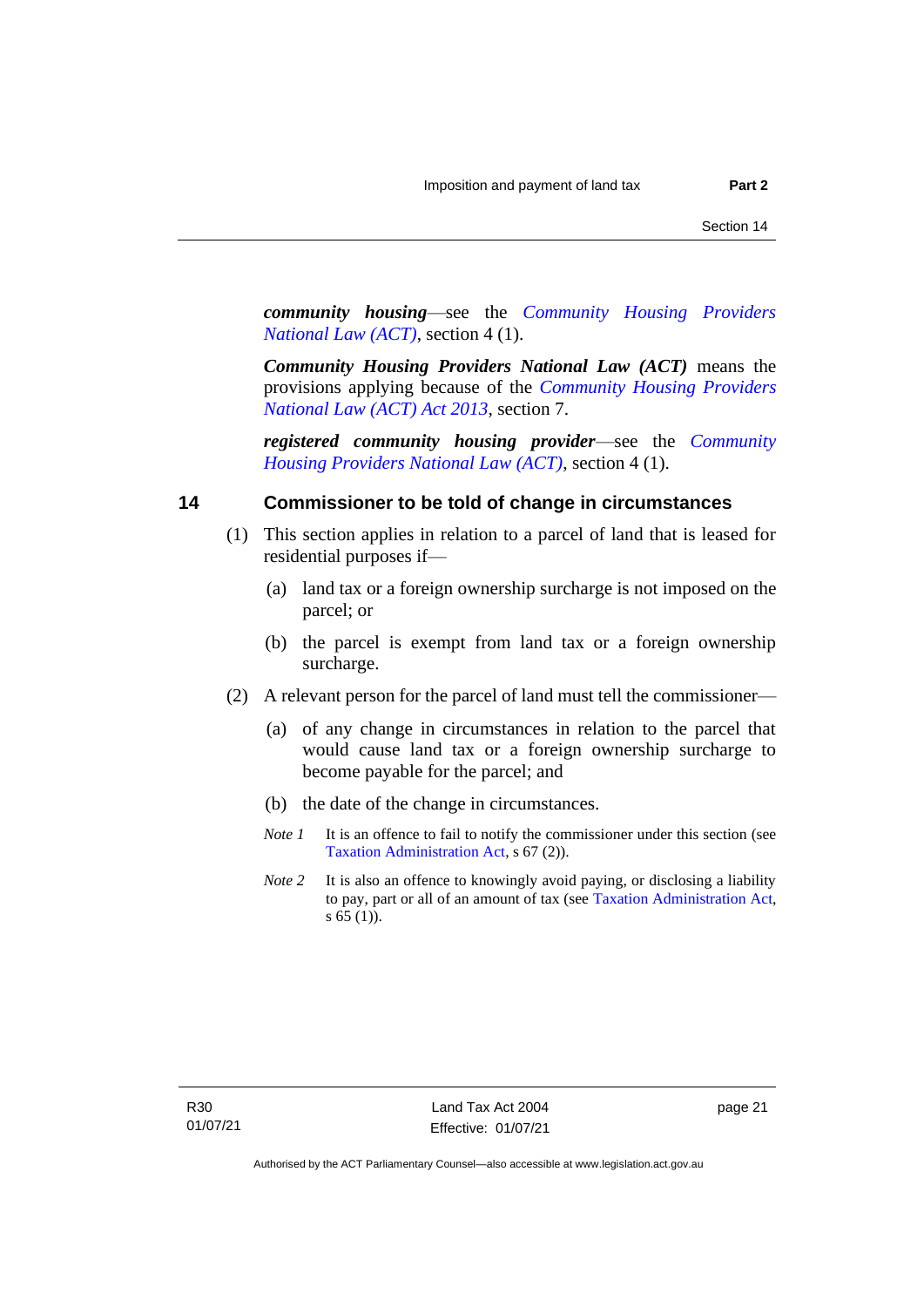*community housing*—see the *[Community Housing Providers](https://www.legislation.act.gov.au/a/2013-18/)  [National Law \(ACT\)](https://www.legislation.act.gov.au/a/2013-18/)*, section 4 (1).

*Community Housing Providers National Law (ACT)* means the provisions applying because of the *[Community Housing Providers](http://www.legislation.act.gov.au/a/2013-18)  [National Law \(ACT\) Act 2013](http://www.legislation.act.gov.au/a/2013-18)*, section 7.

*registered community housing provider*—see the *[Community](https://www.legislation.act.gov.au/a/2013-18/)  [Housing Providers National Law \(ACT\)](https://www.legislation.act.gov.au/a/2013-18/)*, section 4 (1).

## <span id="page-26-0"></span>**14 Commissioner to be told of change in circumstances**

- (1) This section applies in relation to a parcel of land that is leased for residential purposes if—
	- (a) land tax or a foreign ownership surcharge is not imposed on the parcel; or
	- (b) the parcel is exempt from land tax or a foreign ownership surcharge.
- (2) A relevant person for the parcel of land must tell the commissioner—
	- (a) of any change in circumstances in relation to the parcel that would cause land tax or a foreign ownership surcharge to become payable for the parcel; and
	- (b) the date of the change in circumstances.
	- *Note 1* It is an offence to fail to notify the commissioner under this section (see [Taxation Administration Act,](http://www.legislation.act.gov.au/a/1999-4/default.asp) s 67 (2)).
	- *Note* 2 It is also an offence to knowingly avoid paying, or disclosing a liability to pay, part or all of an amount of tax (see [Taxation Administration](http://www.legislation.act.gov.au/a/1999-4/default.asp) Act, s 65 (1)).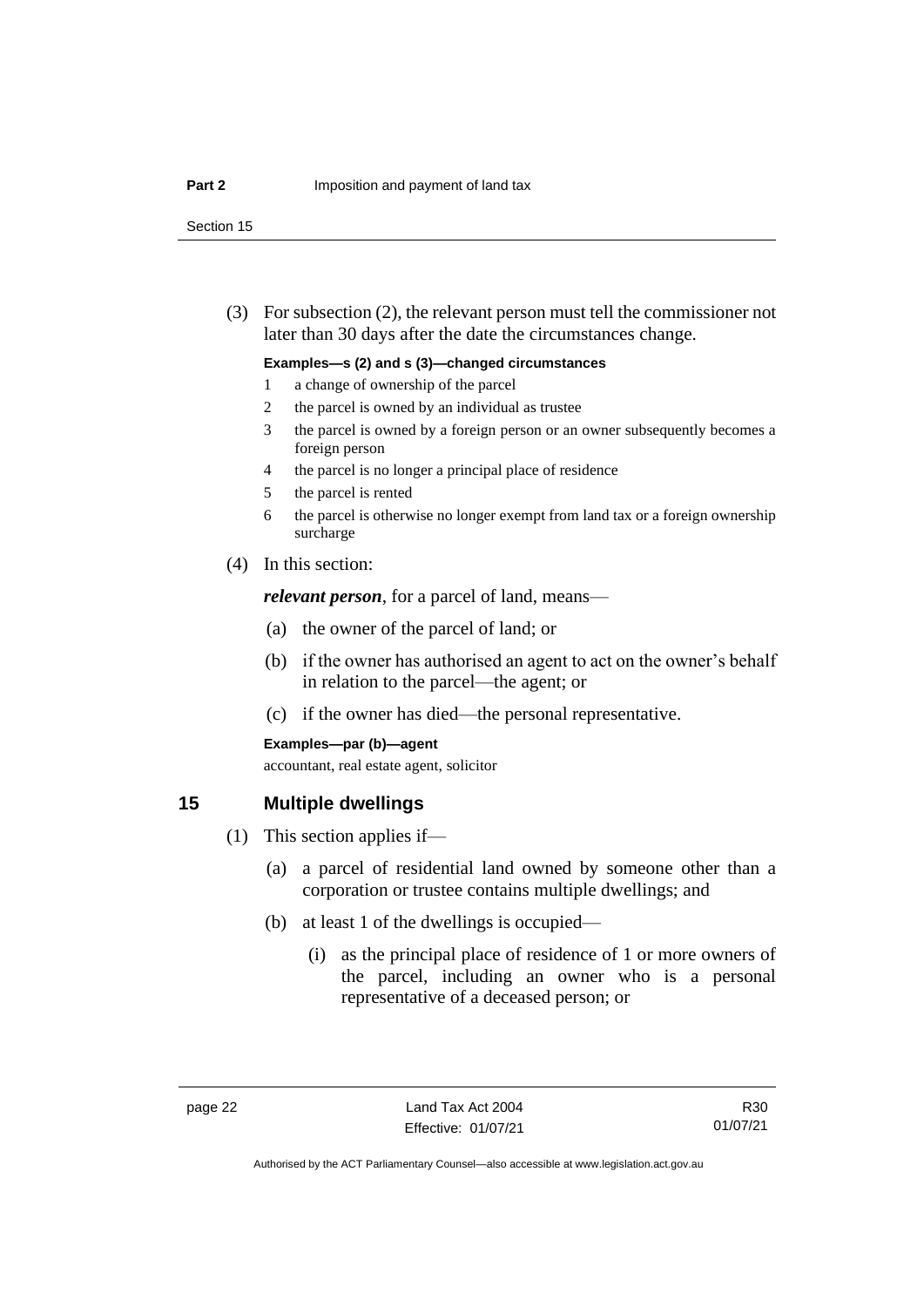Section 15

(3) For subsection (2), the relevant person must tell the commissioner not later than 30 days after the date the circumstances change.

#### **Examples—s (2) and s (3)—changed circumstances**

- 1 a change of ownership of the parcel
- 2 the parcel is owned by an individual as trustee
- 3 the parcel is owned by a foreign person or an owner subsequently becomes a foreign person
- 4 the parcel is no longer a principal place of residence
- 5 the parcel is rented
- 6 the parcel is otherwise no longer exempt from land tax or a foreign ownership surcharge
- (4) In this section:

*relevant person*, for a parcel of land, means—

- (a) the owner of the parcel of land; or
- (b) if the owner has authorised an agent to act on the owner's behalf in relation to the parcel—the agent; or
- (c) if the owner has died—the personal representative.

#### **Examples—par (b)—agent**

accountant, real estate agent, solicitor

## <span id="page-27-0"></span>**15 Multiple dwellings**

- (1) This section applies if—
	- (a) a parcel of residential land owned by someone other than a corporation or trustee contains multiple dwellings; and
	- (b) at least 1 of the dwellings is occupied—
		- (i) as the principal place of residence of 1 or more owners of the parcel, including an owner who is a personal representative of a deceased person; or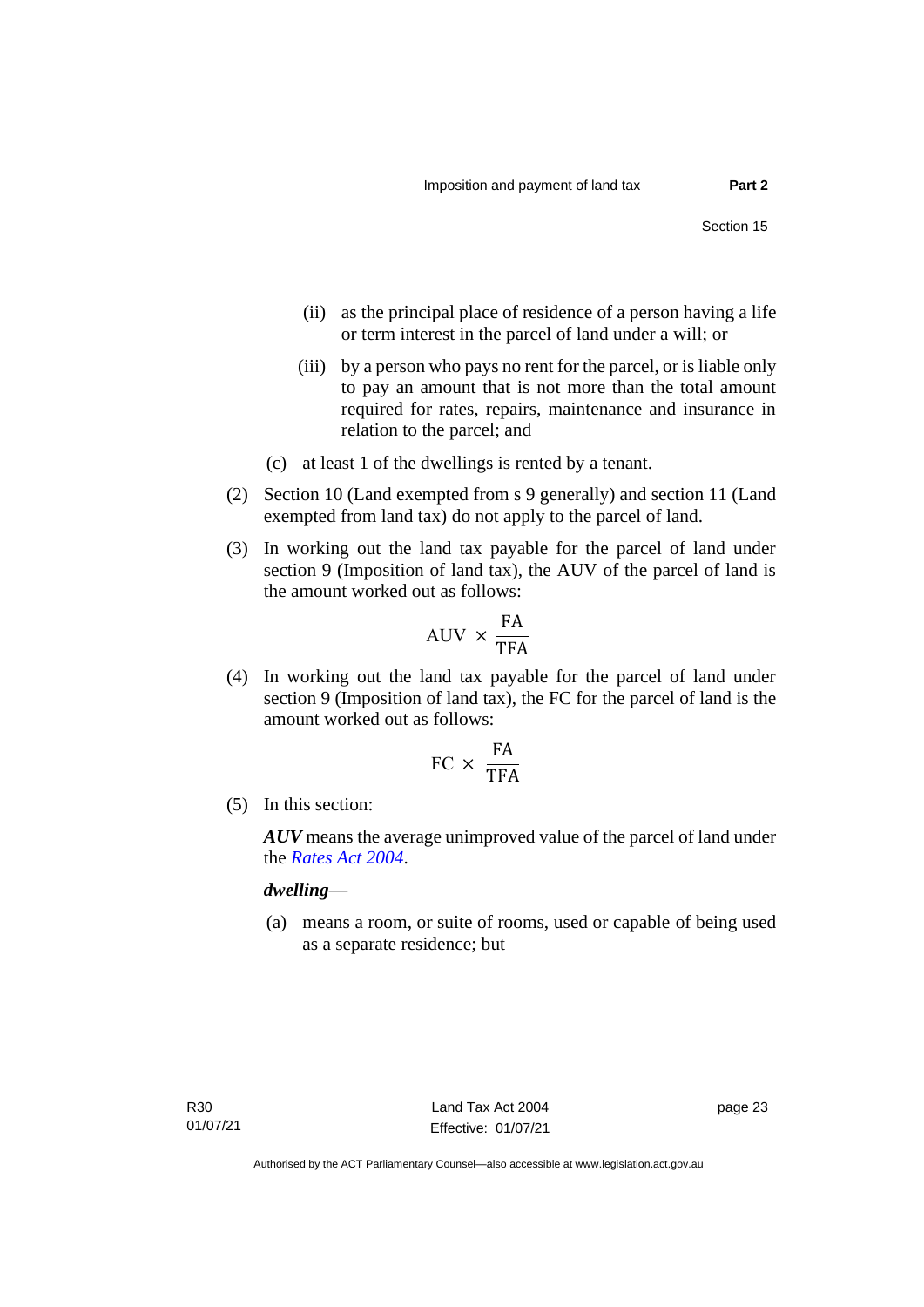- (ii) as the principal place of residence of a person having a life or term interest in the parcel of land under a will; or
- (iii) by a person who pays no rent for the parcel, or is liable only to pay an amount that is not more than the total amount required for rates, repairs, maintenance and insurance in relation to the parcel; and
- (c) at least 1 of the dwellings is rented by a tenant.
- (2) Section 10 (Land exempted from s 9 generally) and section 11 (Land exempted from land tax) do not apply to the parcel of land.
- (3) In working out the land tax payable for the parcel of land under section 9 (Imposition of land tax), the AUV of the parcel of land is the amount worked out as follows:

$$
\mathrm{AUV}\,\times\,\frac{\mathrm{FA}}{\mathrm{TFA}}
$$

(4) In working out the land tax payable for the parcel of land under section 9 (Imposition of land tax), the FC for the parcel of land is the amount worked out as follows:

$$
FC \times \frac{FA}{TFA}
$$

(5) In this section:

*AUV* means the average unimproved value of the parcel of land under the *[Rates Act 2004](http://www.legislation.act.gov.au/a/2004-3)*.

*dwelling*—

(a) means a room, or suite of rooms, used or capable of being used as a separate residence; but

page 23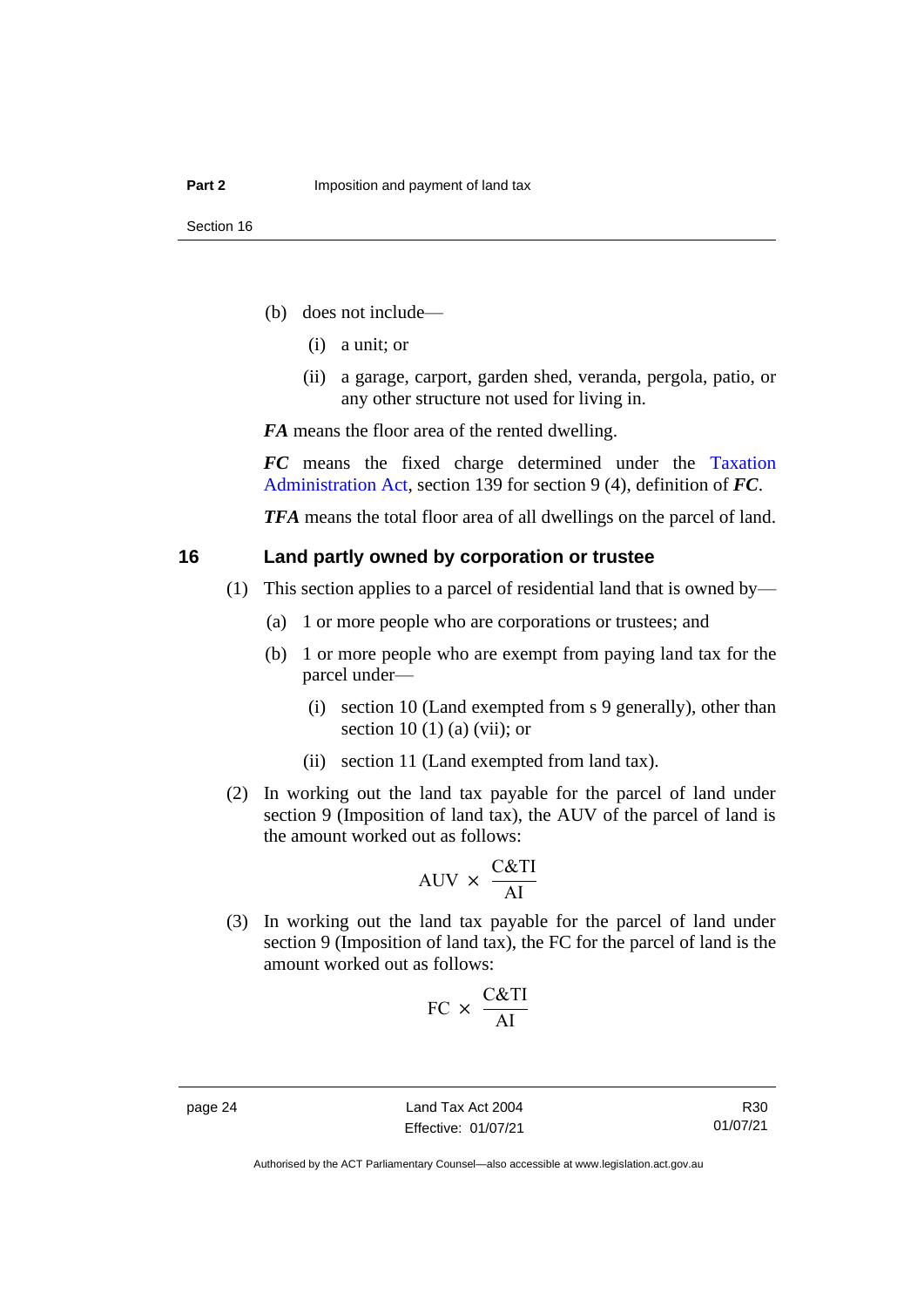- (b) does not include—
	- (i) a unit; or
	- (ii) a garage, carport, garden shed, veranda, pergola, patio, or any other structure not used for living in.

*FA* means the floor area of the rented dwelling.

*FC* means the fixed charge determined under the [Taxation](http://www.legislation.act.gov.au/a/1999-4/default.asp)  [Administration Act,](http://www.legislation.act.gov.au/a/1999-4/default.asp) section 139 for section 9 (4), definition of *FC*.

*TFA* means the total floor area of all dwellings on the parcel of land.

#### <span id="page-29-0"></span>**16 Land partly owned by corporation or trustee**

- (1) This section applies to a parcel of residential land that is owned by—
	- (a) 1 or more people who are corporations or trustees; and
	- (b) 1 or more people who are exempt from paying land tax for the parcel under—
		- (i) section 10 (Land exempted from s 9 generally), other than section 10 (1) (a) (vii); or
		- (ii) section 11 (Land exempted from land tax).
- (2) In working out the land tax payable for the parcel of land under section 9 (Imposition of land tax), the AUV of the parcel of land is the amount worked out as follows:

$$
AUV \times \frac{C&TI}{AI}
$$

(3) In working out the land tax payable for the parcel of land under section 9 (Imposition of land tax), the FC for the parcel of land is the amount worked out as follows:

$$
FC \times \frac{C&TI}{AI}
$$

R30 01/07/21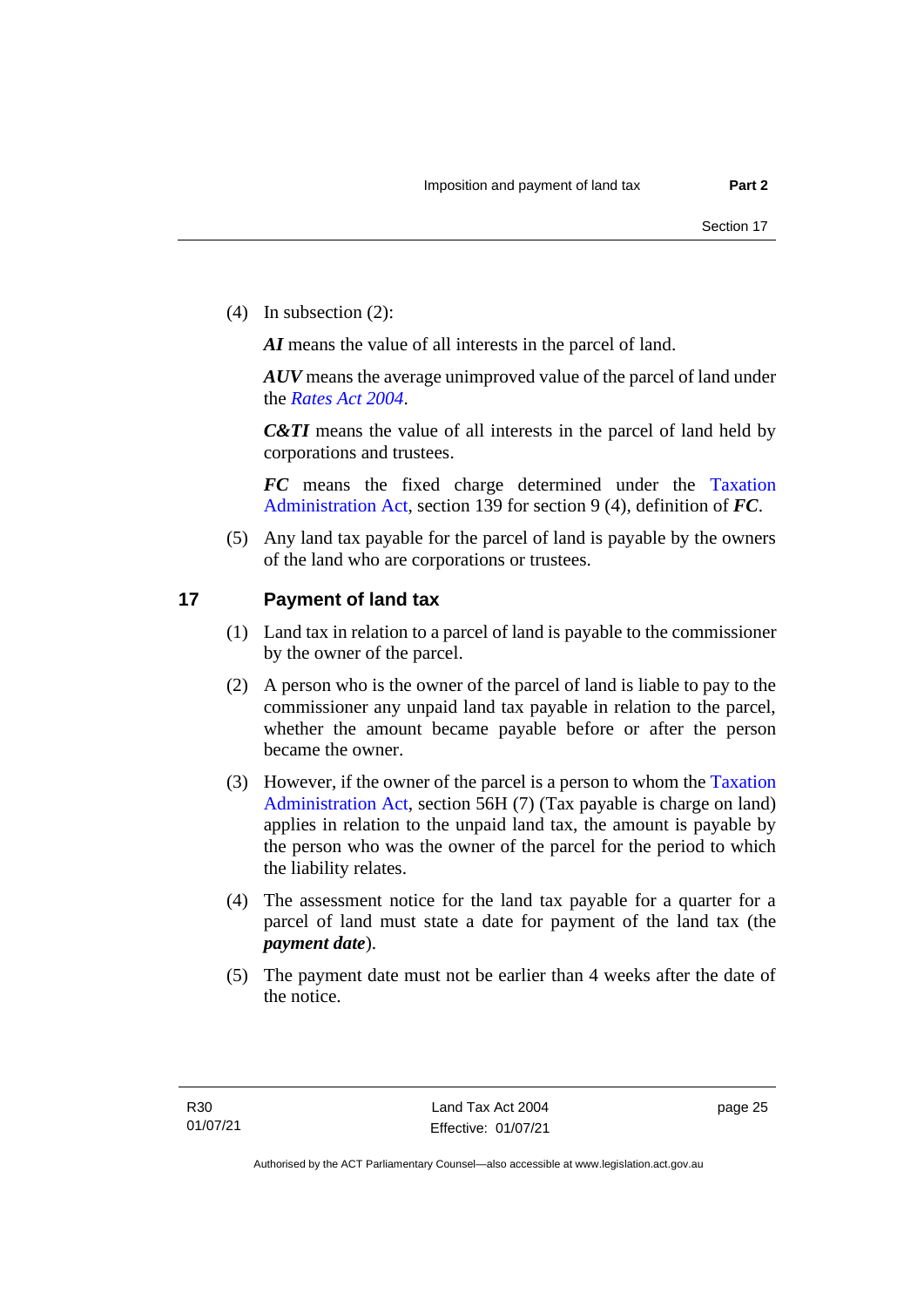(4) In subsection (2):

*AI* means the value of all interests in the parcel of land.

*AUV* means the average unimproved value of the parcel of land under the *[Rates Act 2004](http://www.legislation.act.gov.au/a/2004-3)*.

*C&TI* means the value of all interests in the parcel of land held by corporations and trustees.

*FC* means the fixed charge determined under the [Taxation](http://www.legislation.act.gov.au/a/1999-4/default.asp)  [Administration Act,](http://www.legislation.act.gov.au/a/1999-4/default.asp) section 139 for section 9 (4), definition of *FC*.

(5) Any land tax payable for the parcel of land is payable by the owners of the land who are corporations or trustees.

## <span id="page-30-0"></span>**17 Payment of land tax**

- (1) Land tax in relation to a parcel of land is payable to the commissioner by the owner of the parcel.
- (2) A person who is the owner of the parcel of land is liable to pay to the commissioner any unpaid land tax payable in relation to the parcel, whether the amount became payable before or after the person became the owner.
- (3) However, if the owner of the parcel is a person to whom th[e Taxation](http://www.legislation.act.gov.au/a/1999-4/default.asp)  [Administration Act,](http://www.legislation.act.gov.au/a/1999-4/default.asp) section 56H (7) (Tax payable is charge on land) applies in relation to the unpaid land tax, the amount is payable by the person who was the owner of the parcel for the period to which the liability relates.
- (4) The assessment notice for the land tax payable for a quarter for a parcel of land must state a date for payment of the land tax (the *payment date*).
- (5) The payment date must not be earlier than 4 weeks after the date of the notice.

page 25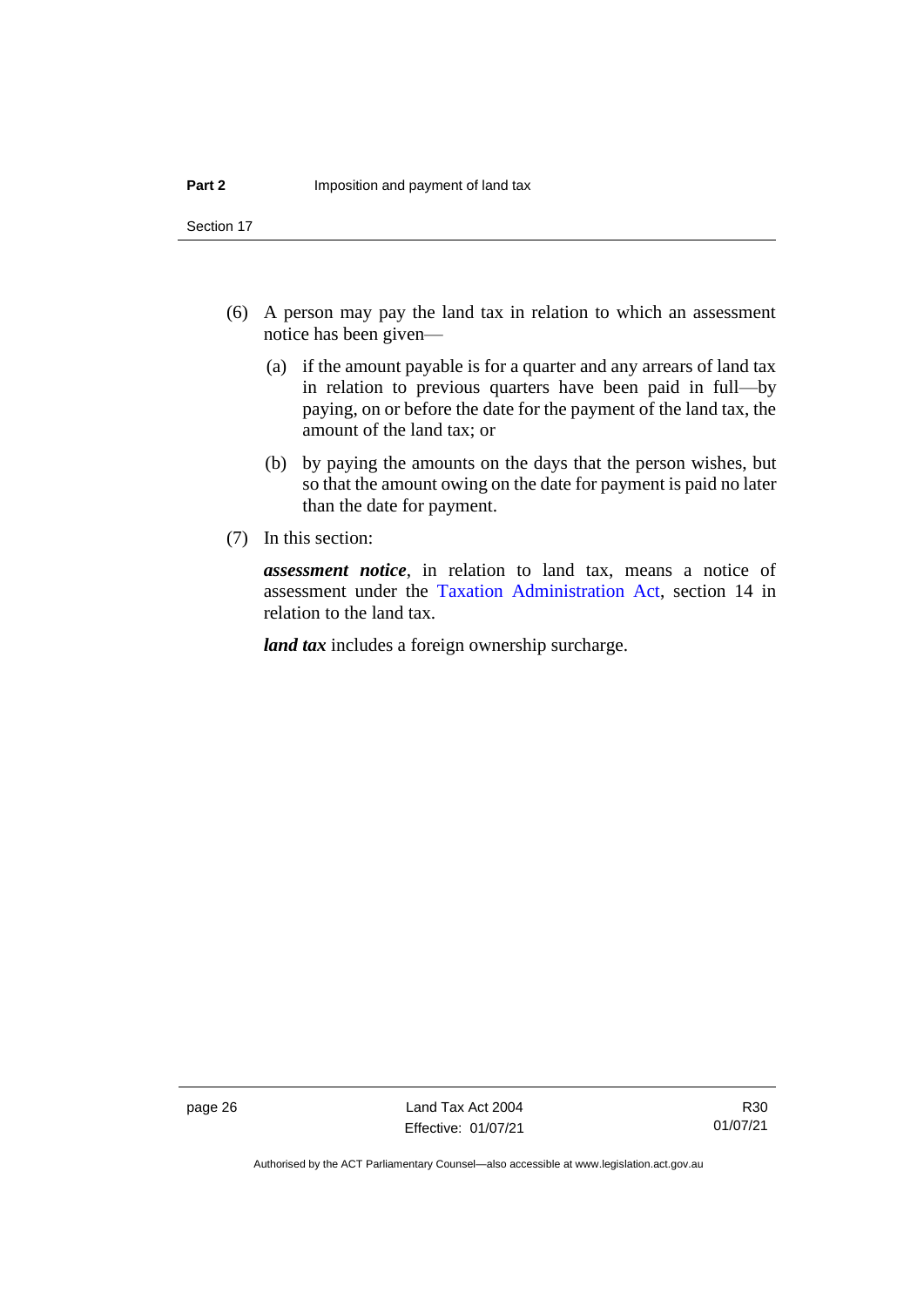Section 17

- (6) A person may pay the land tax in relation to which an assessment notice has been given—
	- (a) if the amount payable is for a quarter and any arrears of land tax in relation to previous quarters have been paid in full—by paying, on or before the date for the payment of the land tax, the amount of the land tax; or
	- (b) by paying the amounts on the days that the person wishes, but so that the amount owing on the date for payment is paid no later than the date for payment.
- (7) In this section:

*assessment notice*, in relation to land tax, means a notice of assessment under the [Taxation Administration Act,](http://www.legislation.act.gov.au/a/1999-4/default.asp) section 14 in relation to the land tax.

*land tax* includes a foreign ownership surcharge.

page 26 Land Tax Act 2004 Effective: 01/07/21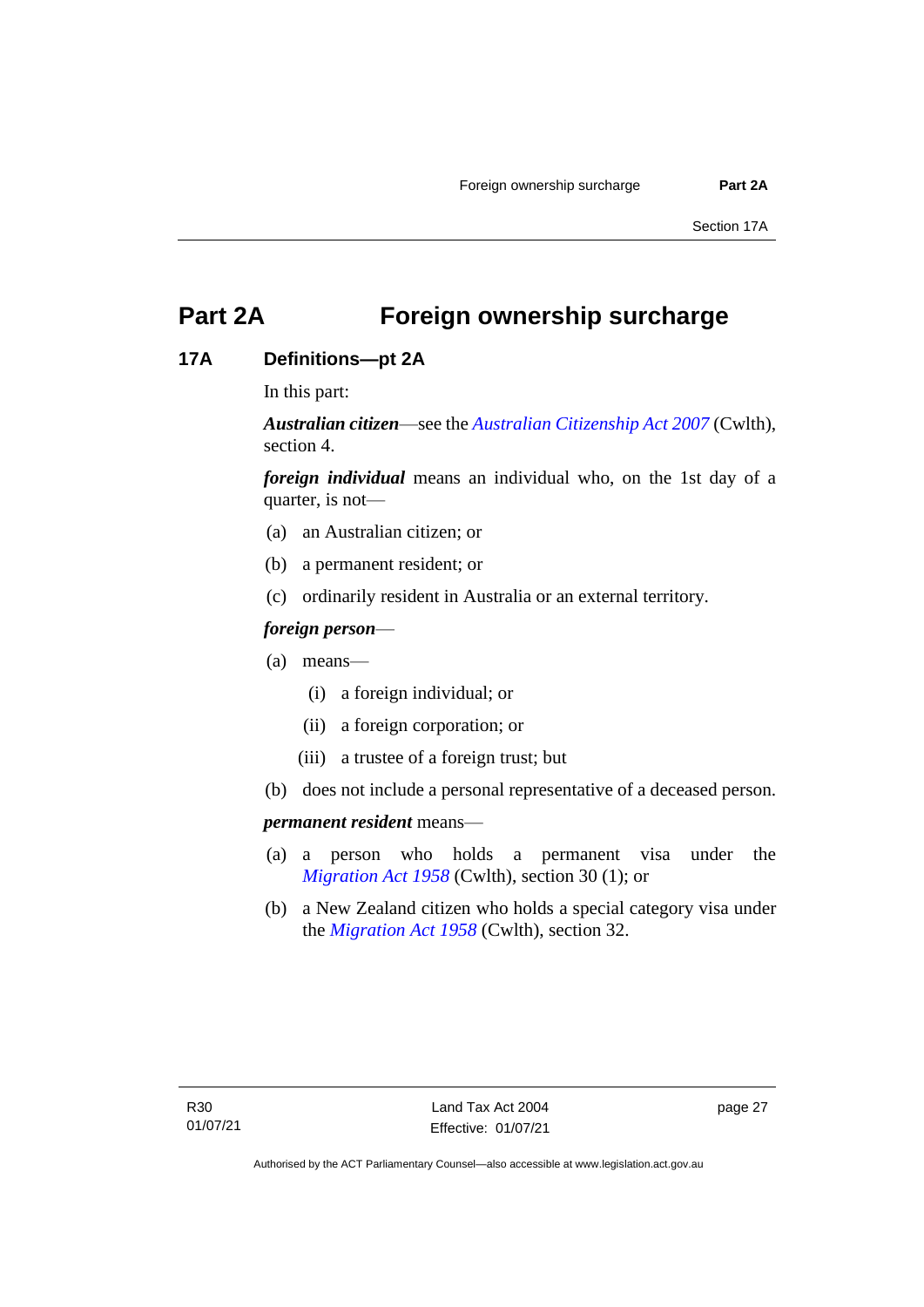## <span id="page-32-0"></span>**Part 2A Foreign ownership surcharge**

## <span id="page-32-1"></span>**17A Definitions—pt 2A**

In this part:

*Australian citizen*—see the *[Australian Citizenship Act 2007](https://www.legislation.gov.au/Series/C2007A00020)* (Cwlth), section 4.

*foreign individual* means an individual who, on the 1st day of a quarter, is not—

- (a) an Australian citizen; or
- (b) a permanent resident; or
- (c) ordinarily resident in Australia or an external territory.

## *foreign person*—

- (a) means—
	- (i) a foreign individual; or
	- (ii) a foreign corporation; or
	- (iii) a trustee of a foreign trust; but
- (b) does not include a personal representative of a deceased person.

#### *permanent resident* means—

- (a) a person who holds a permanent visa under the *[Migration](https://www.legislation.gov.au/Series/C1958A00062) Act 1958* (Cwlth), section 30 (1); or
- (b) a New Zealand citizen who holds a special category visa under the *[Migration](https://www.legislation.gov.au/Series/C1958A00062) Act 1958* (Cwlth), section 32.

page 27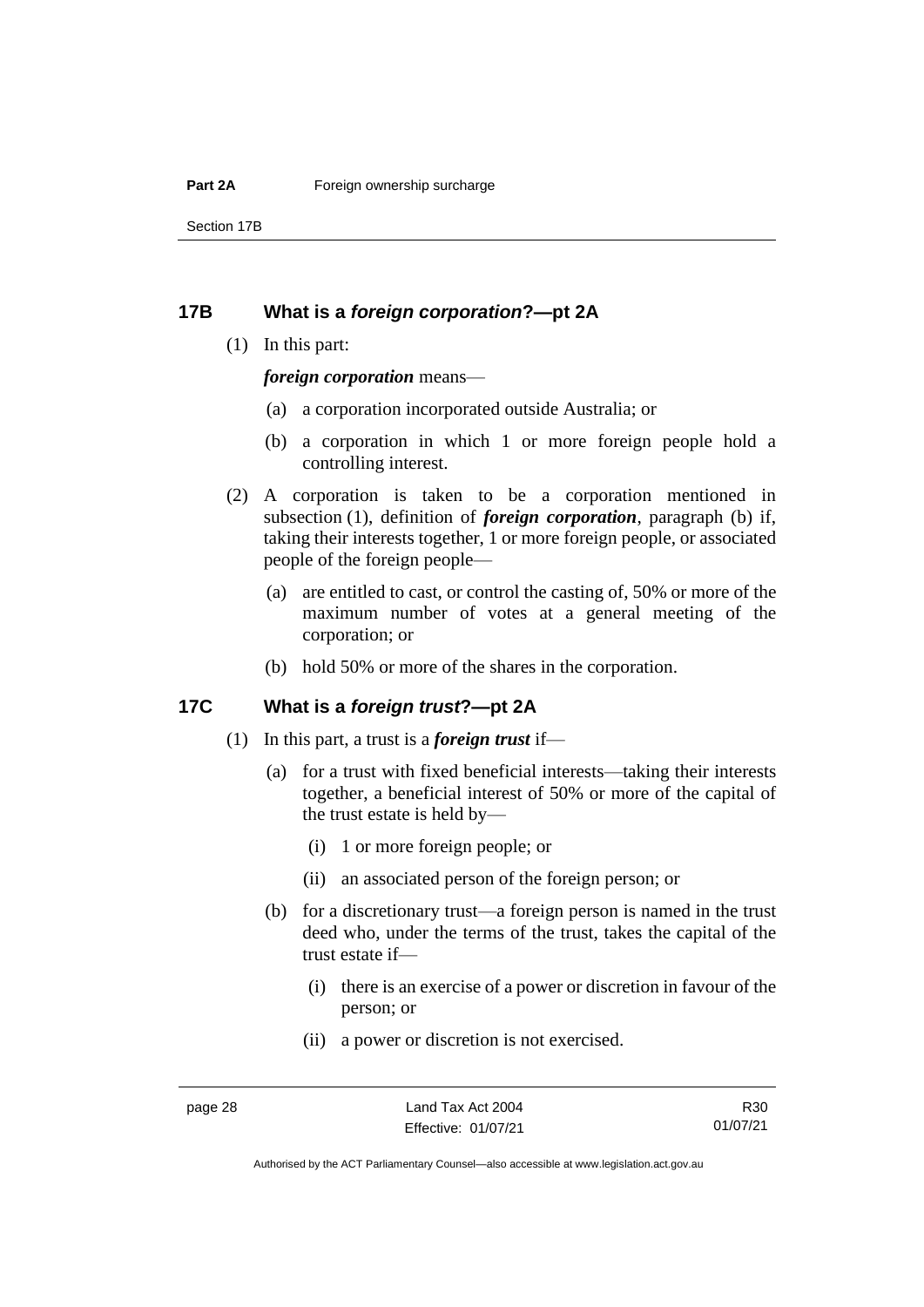#### **Part 2A Foreign ownership surcharge**

Section 17B

## <span id="page-33-0"></span>**17B What is a** *foreign corporation***?—pt 2A**

(1) In this part:

*foreign corporation* means—

- (a) a corporation incorporated outside Australia; or
- (b) a corporation in which 1 or more foreign people hold a controlling interest.
- (2) A corporation is taken to be a corporation mentioned in subsection (1), definition of *foreign corporation*, paragraph (b) if, taking their interests together, 1 or more foreign people, or associated people of the foreign people—
	- (a) are entitled to cast, or control the casting of, 50% or more of the maximum number of votes at a general meeting of the corporation; or
	- (b) hold 50% or more of the shares in the corporation.

#### <span id="page-33-1"></span>**17C What is a** *foreign trust***?—pt 2A**

- (1) In this part, a trust is a *foreign trust* if—
	- (a) for a trust with fixed beneficial interests—taking their interests together, a beneficial interest of 50% or more of the capital of the trust estate is held by—
		- (i) 1 or more foreign people; or
		- (ii) an associated person of the foreign person; or
	- (b) for a discretionary trust—a foreign person is named in the trust deed who, under the terms of the trust, takes the capital of the trust estate if—
		- (i) there is an exercise of a power or discretion in favour of the person; or
		- (ii) a power or discretion is not exercised.

R30 01/07/21

Authorised by the ACT Parliamentary Counsel—also accessible at www.legislation.act.gov.au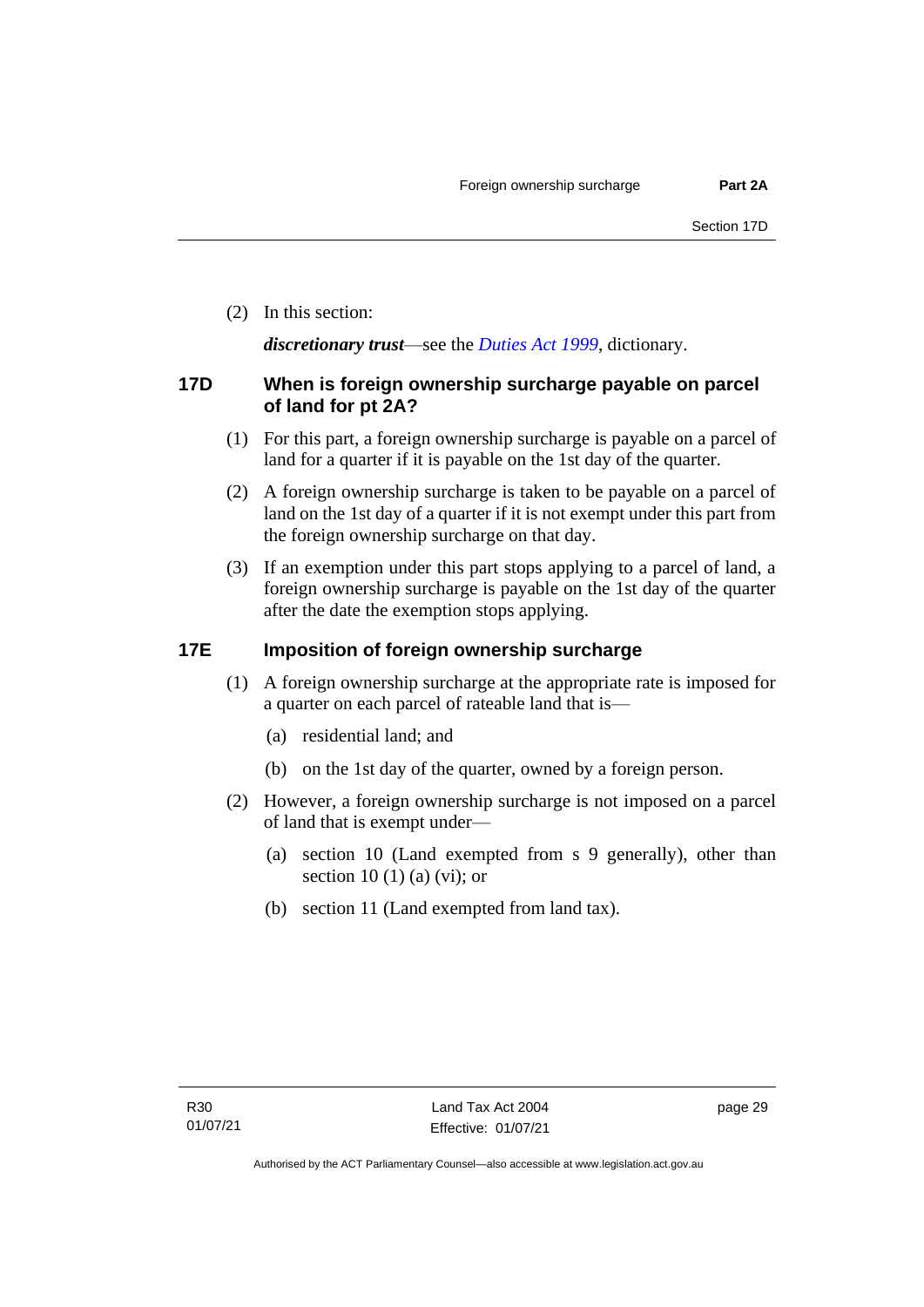(2) In this section:

*discretionary trust*—see the *[Duties Act 1999](http://www.legislation.act.gov.au/a/1999-7)*, dictionary.

## <span id="page-34-0"></span>**17D When is foreign ownership surcharge payable on parcel of land for pt 2A?**

- (1) For this part, a foreign ownership surcharge is payable on a parcel of land for a quarter if it is payable on the 1st day of the quarter.
- (2) A foreign ownership surcharge is taken to be payable on a parcel of land on the 1st day of a quarter if it is not exempt under this part from the foreign ownership surcharge on that day.
- (3) If an exemption under this part stops applying to a parcel of land, a foreign ownership surcharge is payable on the 1st day of the quarter after the date the exemption stops applying.

## <span id="page-34-1"></span>**17E Imposition of foreign ownership surcharge**

- (1) A foreign ownership surcharge at the appropriate rate is imposed for a quarter on each parcel of rateable land that is—
	- (a) residential land; and
	- (b) on the 1st day of the quarter, owned by a foreign person.
- (2) However, a foreign ownership surcharge is not imposed on a parcel of land that is exempt under—
	- (a) section 10 (Land exempted from s 9 generally), other than section 10 (1) (a) (vi); or
	- (b) section 11 (Land exempted from land tax).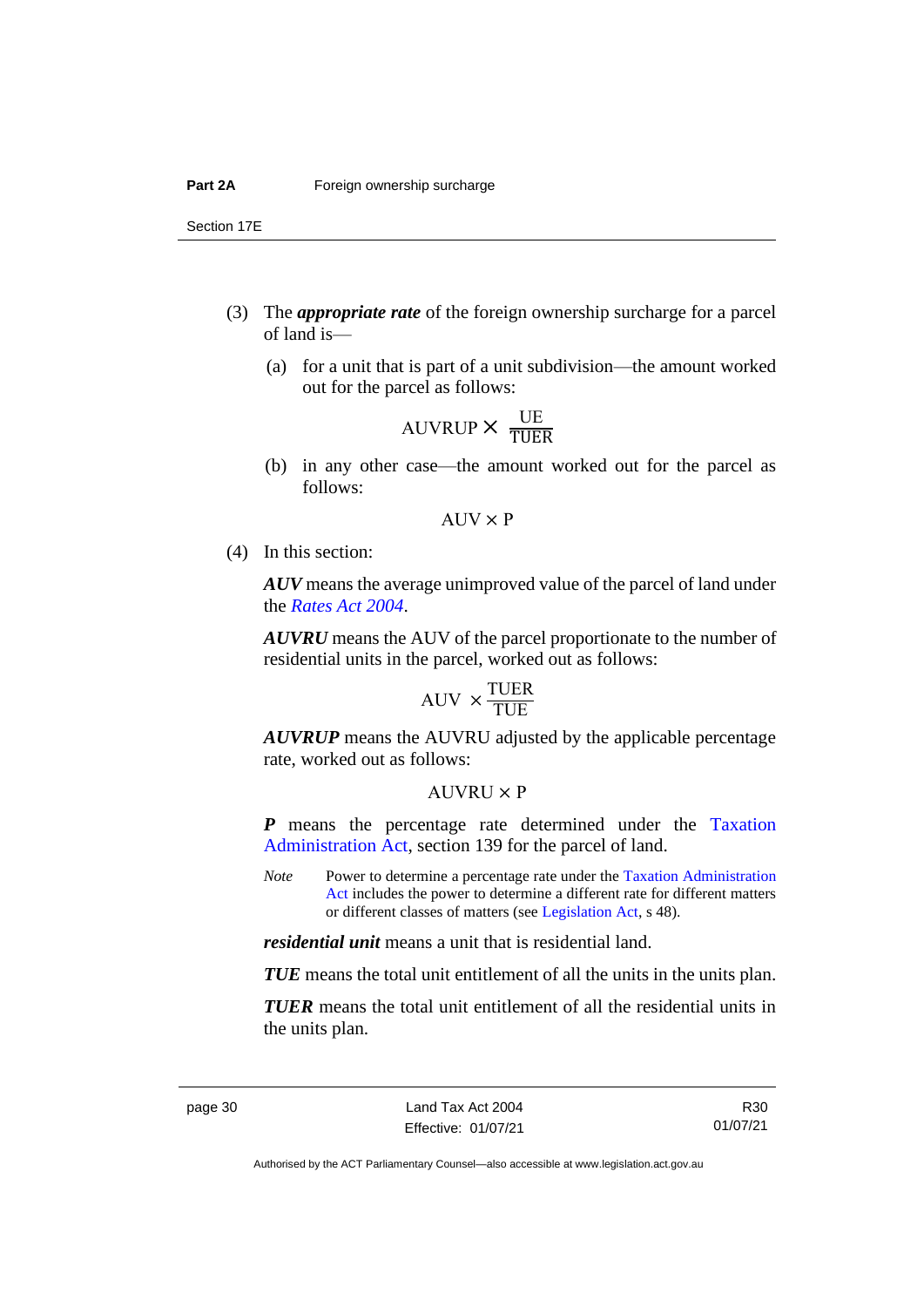Section 17E

- (3) The *appropriate rate* of the foreign ownership surcharge for a parcel of land is—
	- (a) for a unit that is part of a unit subdivision—the amount worked out for the parcel as follows:

$$
AUVRUP \times \frac{UE}{TUER}
$$

(b) in any other case—the amount worked out for the parcel as follows:

$$
AUV \times P
$$

(4) In this section:

*AUV* means the average unimproved value of the parcel of land under the *[Rates Act 2004](http://www.legislation.act.gov.au/a/2004-3)*.

*AUVRU* means the AUV of the parcel proportionate to the number of residential units in the parcel, worked out as follows:

$$
AUV \times \frac{TUER}{TUE}
$$

*AUVRUP* means the AUVRU adjusted by the applicable percentage rate, worked out as follows:

#### $AIIVRIJ \times P$

*P* means the percentage rate determined under the [Taxation](http://www.legislation.act.gov.au/a/1999-4/default.asp)  [Administration Act,](http://www.legislation.act.gov.au/a/1999-4/default.asp) section 139 for the parcel of land.

*Note* Power to determine a percentage rate under the Taxation Administration [Act](http://www.legislation.act.gov.au/a/1999-4/default.asp) includes the power to determine a different rate for different matters or different classes of matters (see [Legislation Act,](http://www.legislation.act.gov.au/a/2001-14) s 48).

*residential unit* means a unit that is residential land.

*TUE* means the total unit entitlement of all the units in the units plan.

*TUER* means the total unit entitlement of all the residential units in the units plan.

R30 01/07/21

Authorised by the ACT Parliamentary Counsel—also accessible at www.legislation.act.gov.au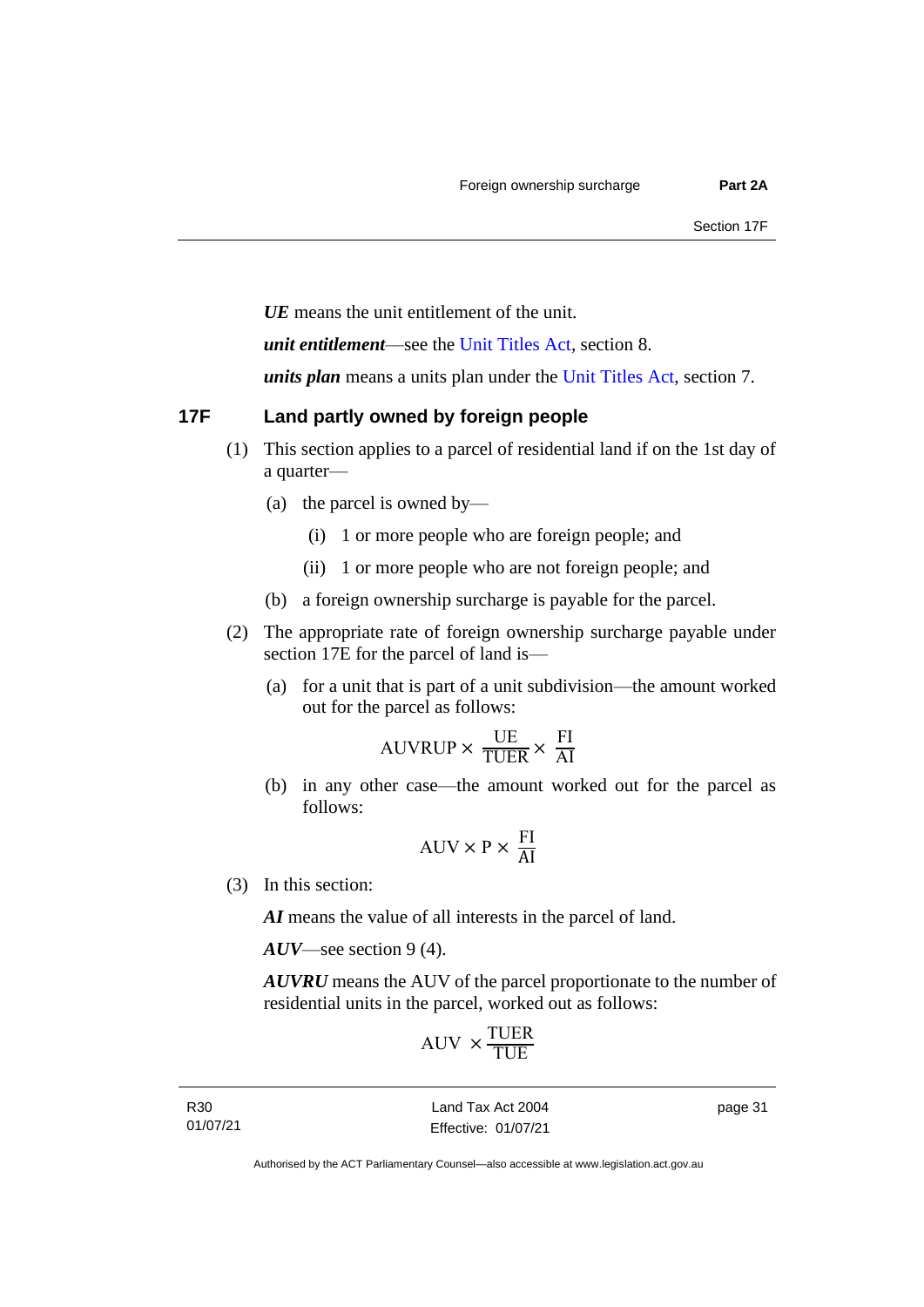*UE* means the unit entitlement of the unit.

*unit entitlement*—see the [Unit Titles Act,](http://www.legislation.act.gov.au/a/2001-16/default.asp) section 8.

*units plan* means a units plan under the [Unit Titles Act,](http://www.legislation.act.gov.au/a/2001-16/default.asp) section 7.

## <span id="page-36-0"></span>**17F Land partly owned by foreign people**

- (1) This section applies to a parcel of residential land if on the 1st day of a quarter—
	- (a) the parcel is owned by—
		- (i) 1 or more people who are foreign people; and
		- (ii) 1 or more people who are not foreign people; and
	- (b) a foreign ownership surcharge is payable for the parcel.
- (2) The appropriate rate of foreign ownership surcharge payable under section 17E for the parcel of land is—
	- (a) for a unit that is part of a unit subdivision—the amount worked out for the parcel as follows:

$$
AUVRUP \times \frac{UE}{TUER} \times \frac{FI}{AI}
$$

(b) in any other case—the amount worked out for the parcel as follows:

$$
AUV \times P \times \frac{FI}{AI}
$$

(3) In this section:

*AI* means the value of all interests in the parcel of land.

*AUV*—see section 9 (4).

*AUVRU* means the AUV of the parcel proportionate to the number of residential units in the parcel, worked out as follows:

$$
\mathrm{AUV}\,\times\!\frac{\mathrm{TUER}}{\mathrm{TUE}}
$$

R30 01/07/21

Land Tax Act 2004 Effective: 01/07/21 page 31

Authorised by the ACT Parliamentary Counsel—also accessible at www.legislation.act.gov.au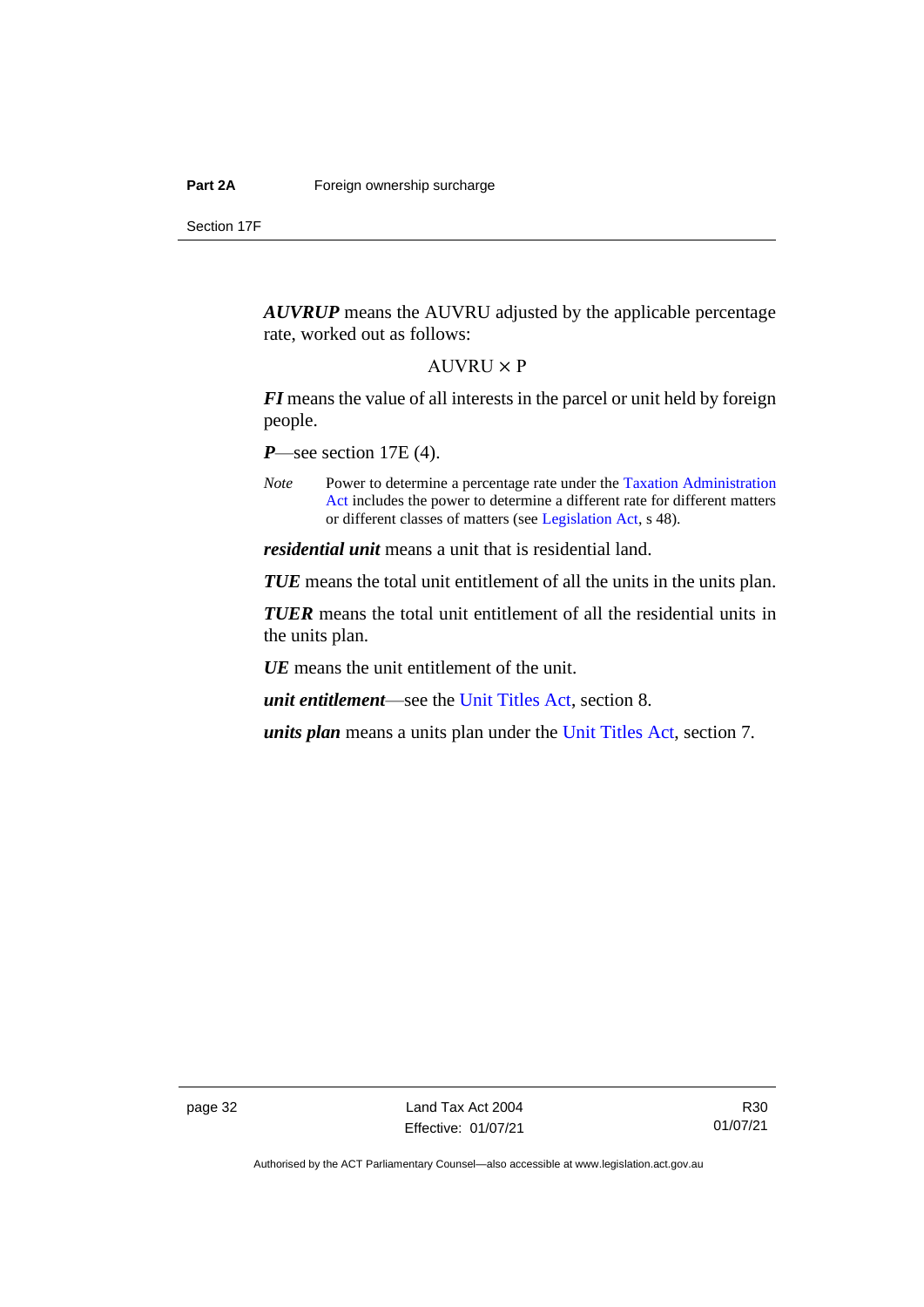Section 17F

*AUVRUP* means the AUVRU adjusted by the applicable percentage rate, worked out as follows:

#### $AUVRU \times P$

*FI* means the value of all interests in the parcel or unit held by foreign people.

*P*—see section 17E (4).

*Note* Power to determine a percentage rate under the Taxation Administration [Act](http://www.legislation.act.gov.au/a/1999-4/default.asp) includes the power to determine a different rate for different matters or different classes of matters (see [Legislation Act,](http://www.legislation.act.gov.au/a/2001-14) s 48).

*residential unit* means a unit that is residential land.

*TUE* means the total unit entitlement of all the units in the units plan.

*TUER* means the total unit entitlement of all the residential units in the units plan.

*UE* means the unit entitlement of the unit.

*unit entitlement*—see the [Unit Titles Act,](http://www.legislation.act.gov.au/a/2001-16/default.asp) section 8.

*units plan* means a units plan under the [Unit Titles Act,](http://www.legislation.act.gov.au/a/2001-16/default.asp) section 7.

page 32 Land Tax Act 2004 Effective: 01/07/21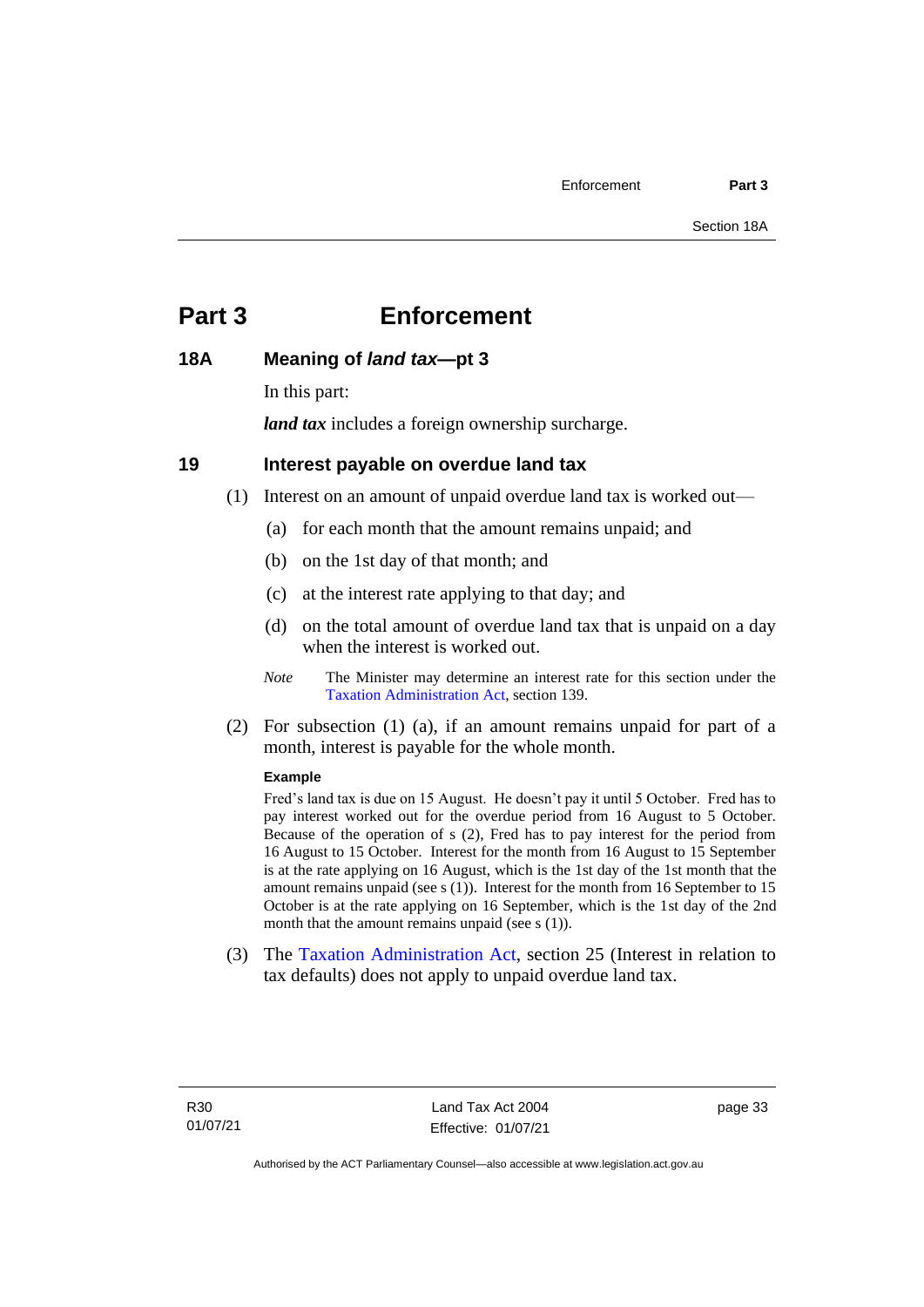## <span id="page-38-0"></span>**Part 3 Enforcement**

## <span id="page-38-1"></span>**18A Meaning of** *land tax***—pt 3**

In this part:

*land tax* includes a foreign ownership surcharge.

## <span id="page-38-2"></span>**19 Interest payable on overdue land tax**

(1) Interest on an amount of unpaid overdue land tax is worked out—

- (a) for each month that the amount remains unpaid; and
- (b) on the 1st day of that month; and
- (c) at the interest rate applying to that day; and
- (d) on the total amount of overdue land tax that is unpaid on a day when the interest is worked out.
- *Note* The Minister may determine an interest rate for this section under the [Taxation Administration Act,](http://www.legislation.act.gov.au/a/1999-4/default.asp) section 139.
- (2) For subsection (1) (a), if an amount remains unpaid for part of a month, interest is payable for the whole month.

#### **Example**

Fred's land tax is due on 15 August. He doesn't pay it until 5 October. Fred has to pay interest worked out for the overdue period from 16 August to 5 October. Because of the operation of s (2), Fred has to pay interest for the period from 16 August to 15 October. Interest for the month from 16 August to 15 September is at the rate applying on 16 August, which is the 1st day of the 1st month that the amount remains unpaid (see s (1)). Interest for the month from 16 September to 15 October is at the rate applying on 16 September, which is the 1st day of the 2nd month that the amount remains unpaid (see s (1)).

(3) The [Taxation Administration Act,](http://www.legislation.act.gov.au/a/1999-4/default.asp) section 25 (Interest in relation to tax defaults) does not apply to unpaid overdue land tax.

page 33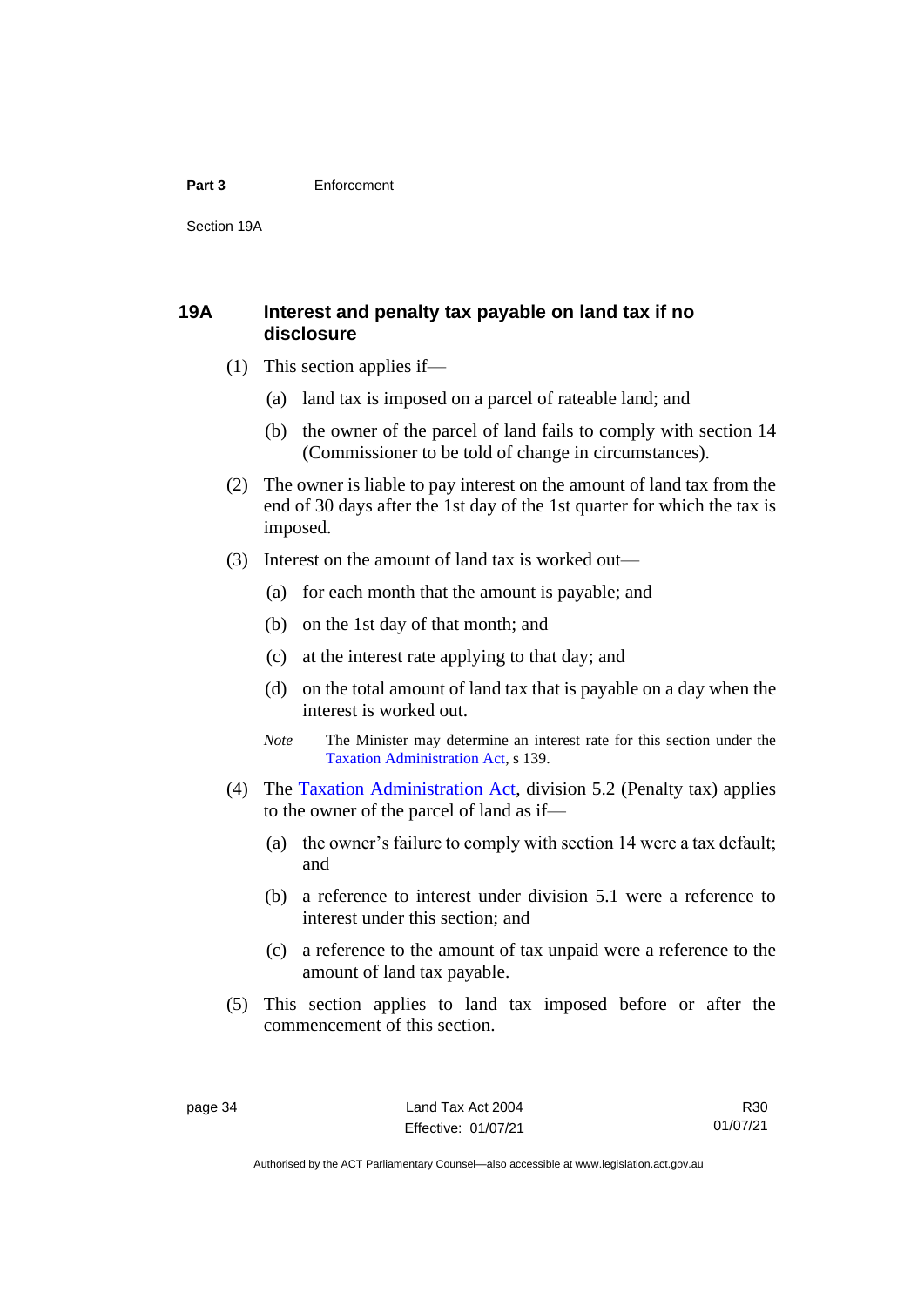#### **Part 3** Enforcement

Section 19A

## <span id="page-39-0"></span>**19A Interest and penalty tax payable on land tax if no disclosure**

- (1) This section applies if—
	- (a) land tax is imposed on a parcel of rateable land; and
	- (b) the owner of the parcel of land fails to comply with section 14 (Commissioner to be told of change in circumstances).
- (2) The owner is liable to pay interest on the amount of land tax from the end of 30 days after the 1st day of the 1st quarter for which the tax is imposed.
- (3) Interest on the amount of land tax is worked out—
	- (a) for each month that the amount is payable; and
	- (b) on the 1st day of that month; and
	- (c) at the interest rate applying to that day; and
	- (d) on the total amount of land tax that is payable on a day when the interest is worked out.
	- *Note* The Minister may determine an interest rate for this section under the [Taxation Administration Act,](http://www.legislation.act.gov.au/a/1999-4/default.asp) s 139.
- (4) The [Taxation Administration Act,](http://www.legislation.act.gov.au/a/1999-4/default.asp) division 5.2 (Penalty tax) applies to the owner of the parcel of land as if—
	- (a) the owner's failure to comply with section 14 were a tax default; and
	- (b) a reference to interest under division 5.1 were a reference to interest under this section; and
	- (c) a reference to the amount of tax unpaid were a reference to the amount of land tax payable.
- (5) This section applies to land tax imposed before or after the commencement of this section.

R30 01/07/21

Authorised by the ACT Parliamentary Counsel—also accessible at www.legislation.act.gov.au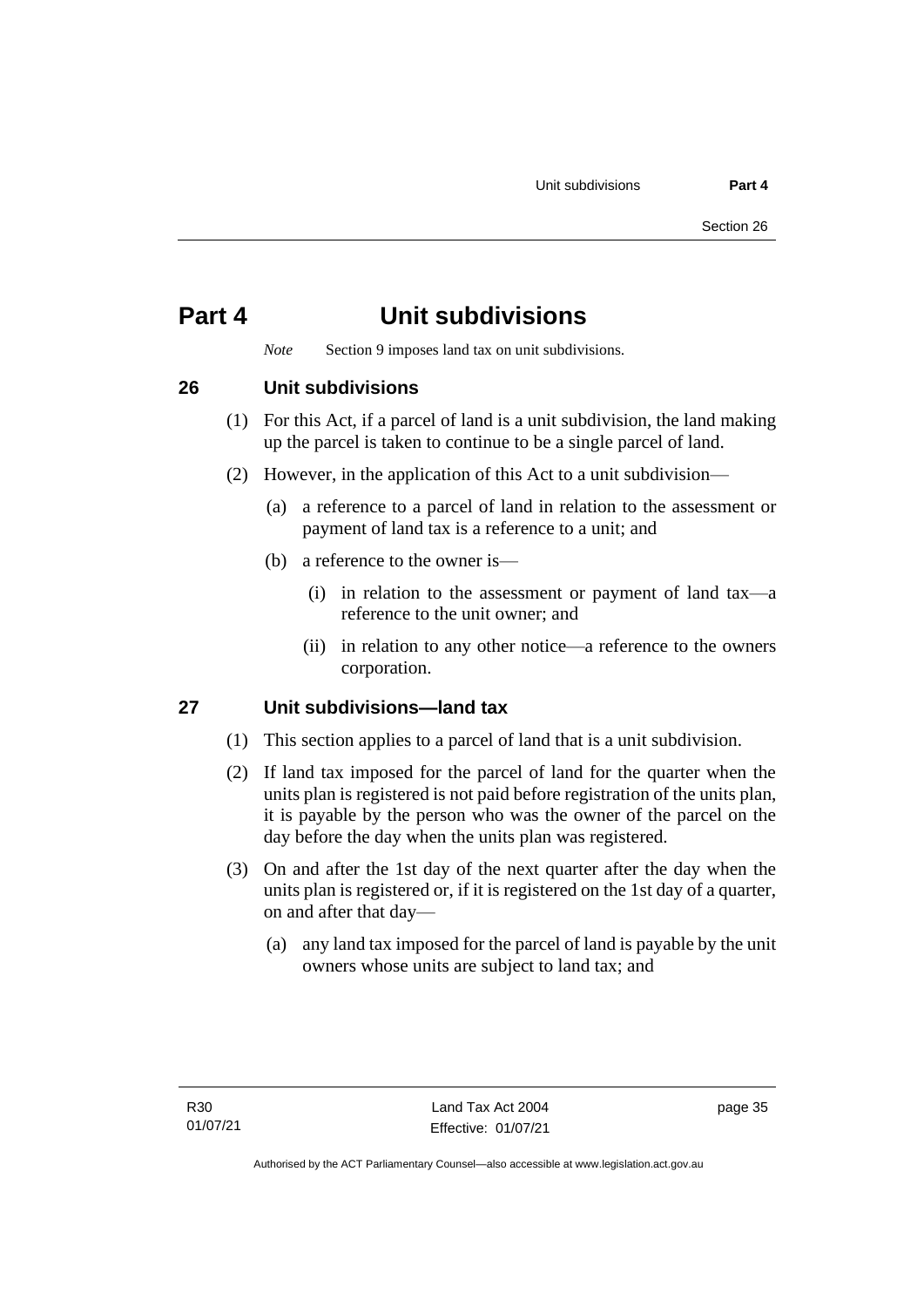## <span id="page-40-0"></span>**Part 4 Unit subdivisions**

*Note* Section 9 imposes land tax on unit subdivisions.

## <span id="page-40-1"></span>**26 Unit subdivisions**

- (1) For this Act, if a parcel of land is a unit subdivision, the land making up the parcel is taken to continue to be a single parcel of land.
- (2) However, in the application of this Act to a unit subdivision—
	- (a) a reference to a parcel of land in relation to the assessment or payment of land tax is a reference to a unit; and
	- (b) a reference to the owner is—
		- (i) in relation to the assessment or payment of land tax—a reference to the unit owner; and
		- (ii) in relation to any other notice—a reference to the owners corporation.

## <span id="page-40-2"></span>**27 Unit subdivisions—land tax**

- (1) This section applies to a parcel of land that is a unit subdivision.
- (2) If land tax imposed for the parcel of land for the quarter when the units plan is registered is not paid before registration of the units plan, it is payable by the person who was the owner of the parcel on the day before the day when the units plan was registered.
- (3) On and after the 1st day of the next quarter after the day when the units plan is registered or, if it is registered on the 1st day of a quarter, on and after that day—
	- (a) any land tax imposed for the parcel of land is payable by the unit owners whose units are subject to land tax; and

page 35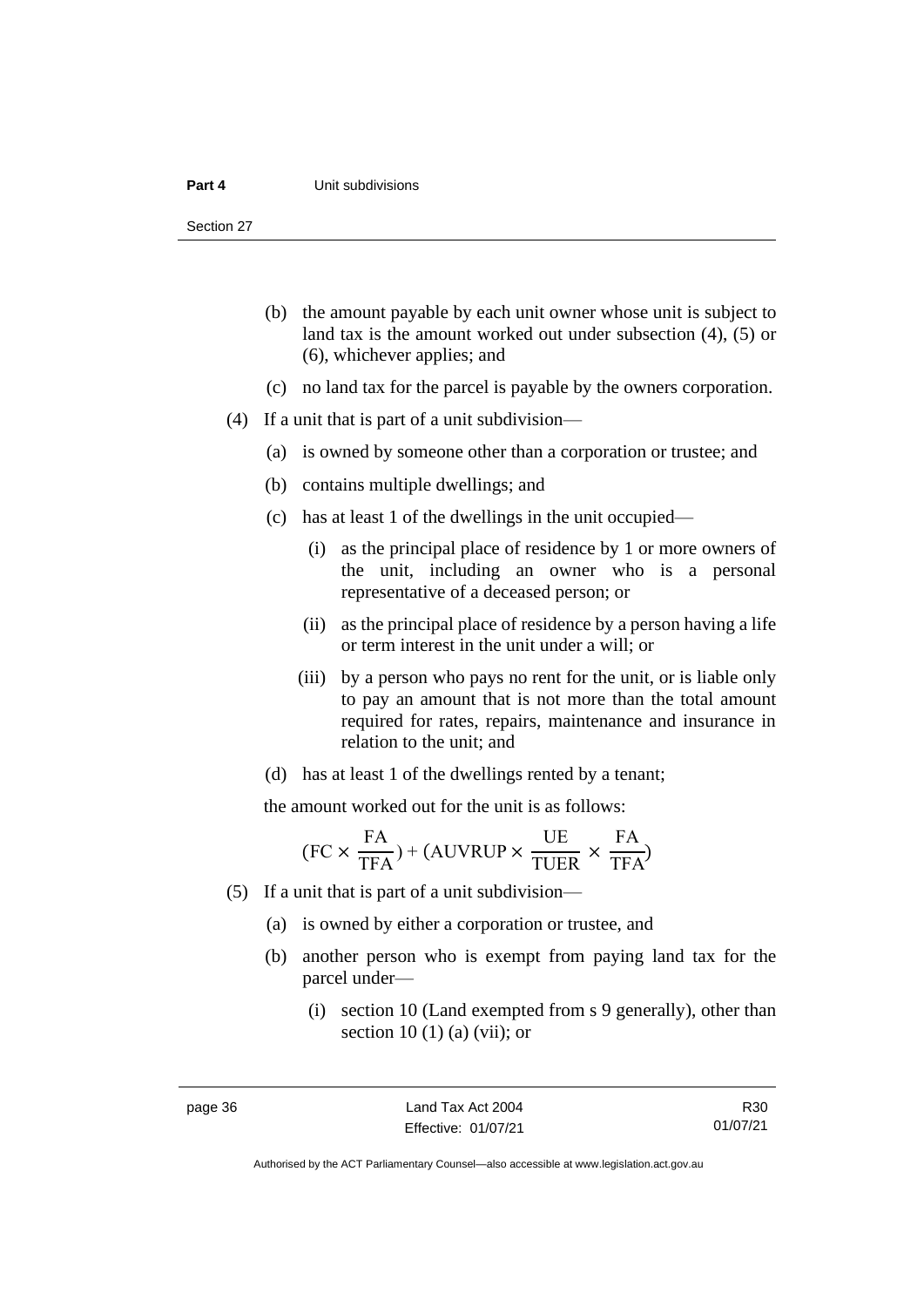#### **Part 4 Unit subdivisions**

Section 27

- (b) the amount payable by each unit owner whose unit is subject to land tax is the amount worked out under subsection (4), (5) or (6), whichever applies; and
- (c) no land tax for the parcel is payable by the owners corporation.
- (4) If a unit that is part of a unit subdivision—
	- (a) is owned by someone other than a corporation or trustee; and
	- (b) contains multiple dwellings; and
	- (c) has at least 1 of the dwellings in the unit occupied—
		- (i) as the principal place of residence by 1 or more owners of the unit, including an owner who is a personal representative of a deceased person; or
		- (ii) as the principal place of residence by a person having a life or term interest in the unit under a will; or
		- (iii) by a person who pays no rent for the unit, or is liable only to pay an amount that is not more than the total amount required for rates, repairs, maintenance and insurance in relation to the unit; and
	- (d) has at least 1 of the dwellings rented by a tenant;

the amount worked out for the unit is as follows:

$$
(FC \times \frac{FA}{TFA}) + (AUVRUP \times \frac{UE}{TUER} \times \frac{FA}{TFA})
$$

- (5) If a unit that is part of a unit subdivision—
	- (a) is owned by either a corporation or trustee, and
	- (b) another person who is exempt from paying land tax for the parcel under—
		- (i) section 10 (Land exempted from s 9 generally), other than section 10 (1) (a) (vii); or

R30 01/07/21

Authorised by the ACT Parliamentary Counsel—also accessible at www.legislation.act.gov.au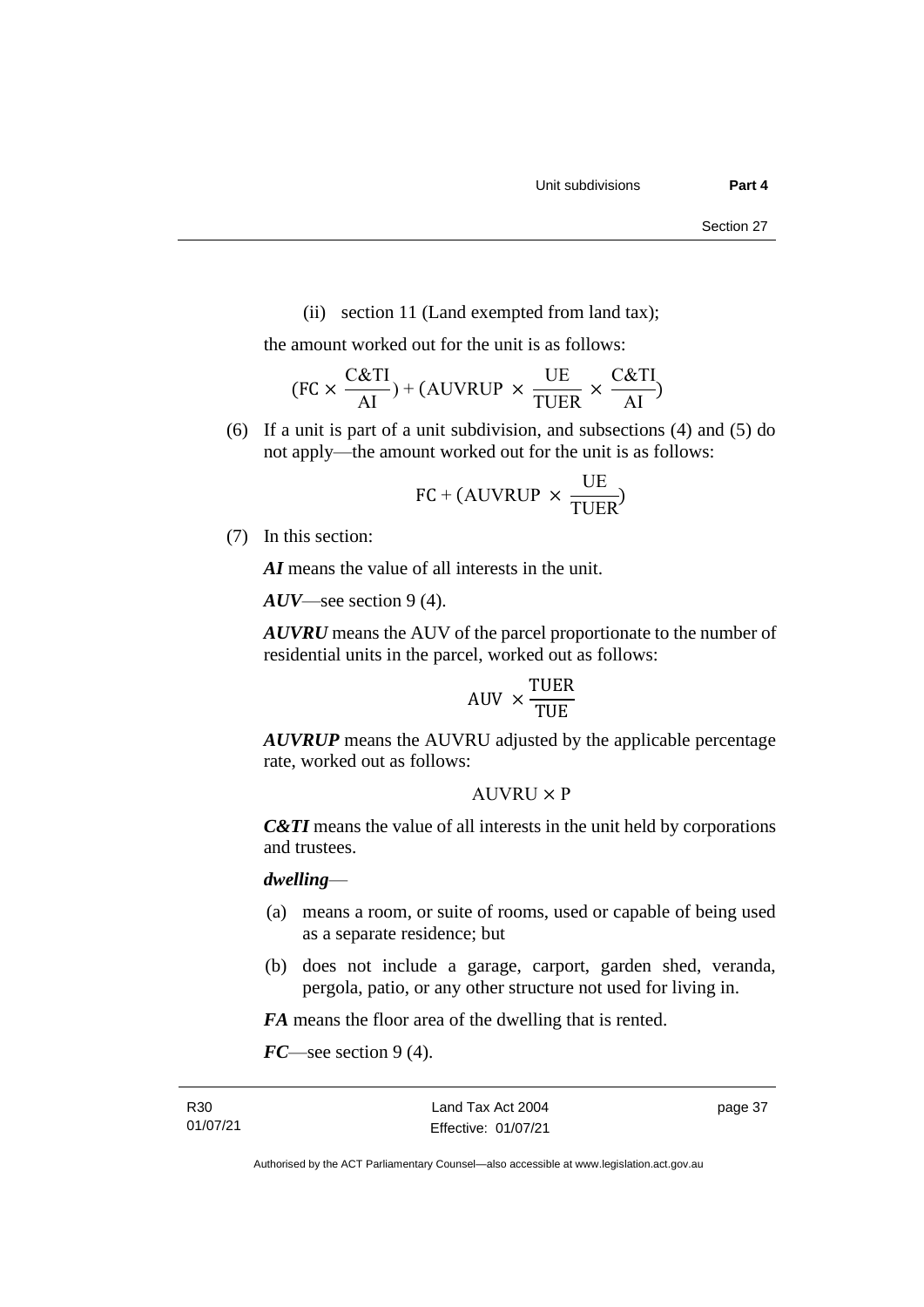(ii) section 11 (Land exempted from land tax);

the amount worked out for the unit is as follows:

$$
(FC \times \frac{C&TI}{AI}) + (AUVRUP \times \frac{UE}{TUER} \times \frac{C&TI}{AI})
$$

(6) If a unit is part of a unit subdivision, and subsections (4) and (5) do not apply—the amount worked out for the unit is as follows:

$$
FC + (AUVRUP \times \frac{UE}{TUER})
$$

(7) In this section:

*AI* means the value of all interests in the unit.

*AUV*—see section 9 (4).

*AUVRU* means the AUV of the parcel proportionate to the number of residential units in the parcel, worked out as follows:

$$
AUV \times \frac{TUER}{TUE}
$$

*AUVRUP* means the AUVRU adjusted by the applicable percentage rate, worked out as follows:

## $AIIVRIJ \times P$

*C&TI* means the value of all interests in the unit held by corporations and trustees.

### *dwelling*—

- (a) means a room, or suite of rooms, used or capable of being used as a separate residence; but
- (b) does not include a garage, carport, garden shed, veranda, pergola, patio, or any other structure not used for living in.

*FA* means the floor area of the dwelling that is rented.

*FC*—see section 9 (4).

page 37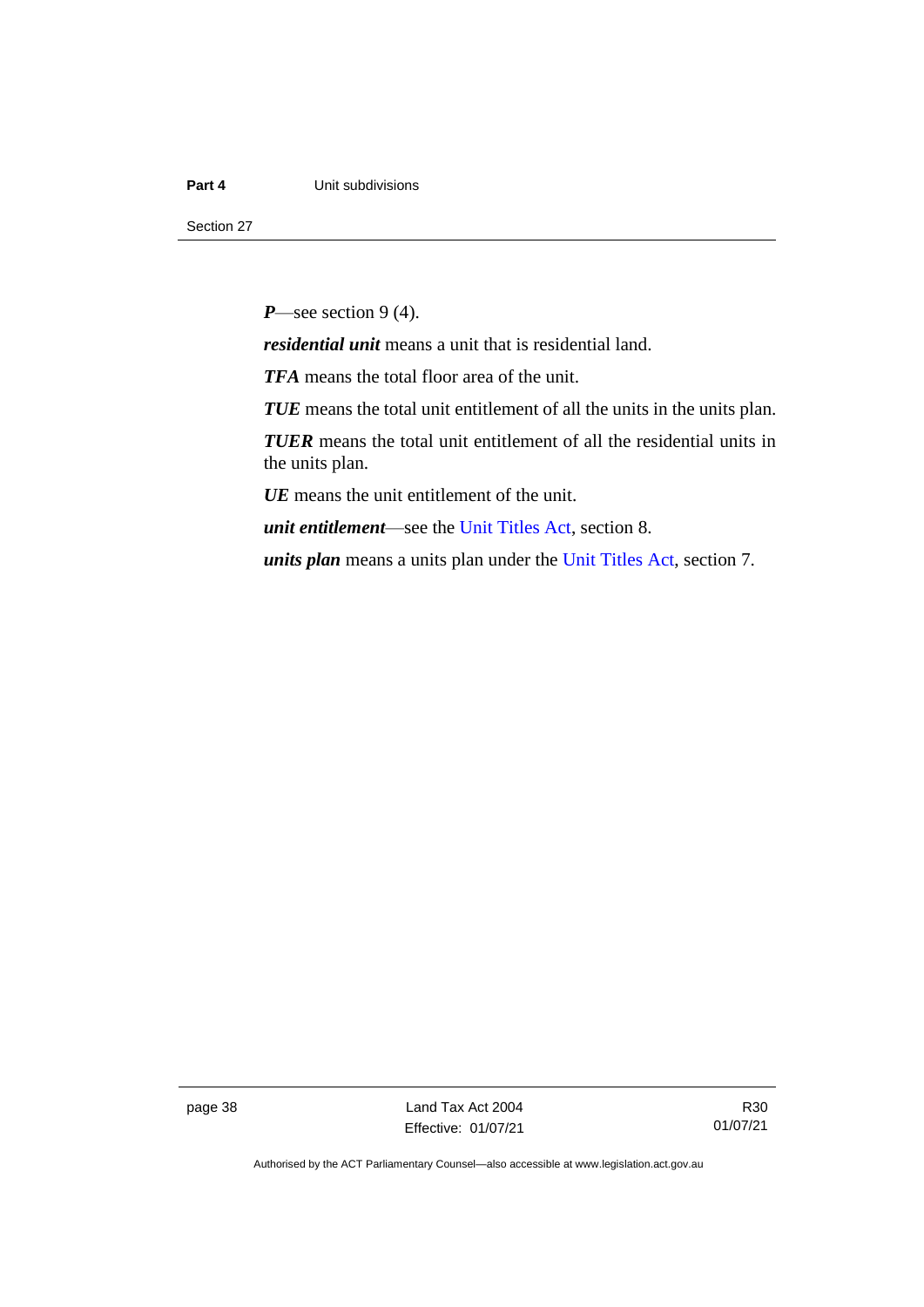#### **Part 4 Unit subdivisions**

Section 27

*P*—see section 9 (4).

*residential unit* means a unit that is residential land.

*TFA* means the total floor area of the unit.

*TUE* means the total unit entitlement of all the units in the units plan.

*TUER* means the total unit entitlement of all the residential units in the units plan.

*UE* means the unit entitlement of the unit.

*unit entitlement*—see the [Unit Titles Act,](http://www.legislation.act.gov.au/a/2001-16/default.asp) section 8.

*units plan* means a units plan under the Unit [Titles Act,](http://www.legislation.act.gov.au/a/2001-16/default.asp) section 7.

page 38 Land Tax Act 2004 Effective: 01/07/21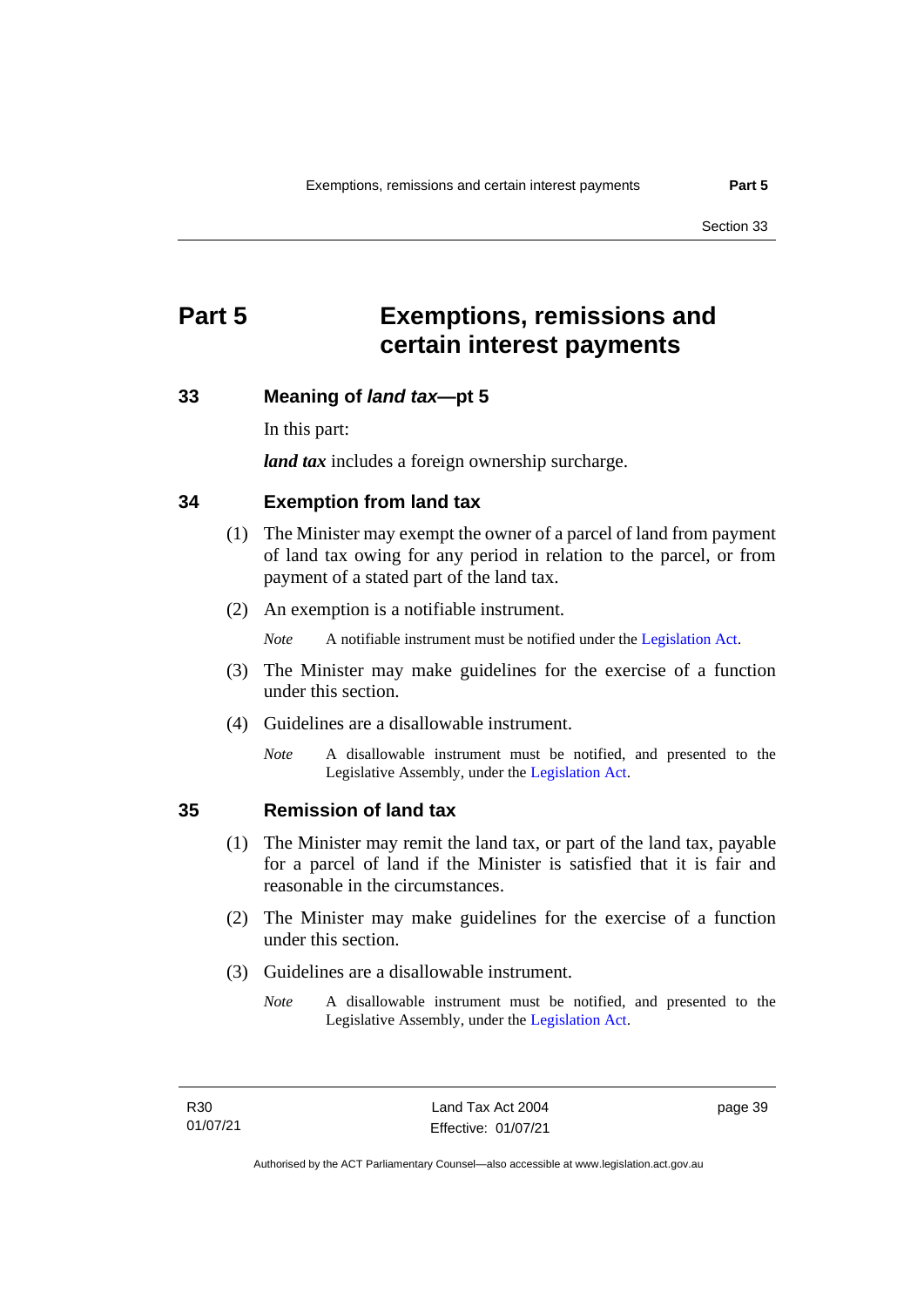## <span id="page-44-0"></span>**Part 5 Exemptions, remissions and certain interest payments**

#### <span id="page-44-1"></span>**33 Meaning of** *land tax***—pt 5**

In this part:

*land tax* includes a foreign ownership surcharge.

### <span id="page-44-2"></span>**34 Exemption from land tax**

- (1) The Minister may exempt the owner of a parcel of land from payment of land tax owing for any period in relation to the parcel, or from payment of a stated part of the land tax.
- (2) An exemption is a notifiable instrument.

*Note* A notifiable instrument must be notified under the [Legislation Act.](http://www.legislation.act.gov.au/a/2001-14)

- (3) The Minister may make guidelines for the exercise of a function under this section.
- (4) Guidelines are a disallowable instrument.
	- *Note* A disallowable instrument must be notified, and presented to the Legislative Assembly, under the [Legislation Act.](http://www.legislation.act.gov.au/a/2001-14)

#### <span id="page-44-3"></span>**35 Remission of land tax**

- (1) The Minister may remit the land tax, or part of the land tax, payable for a parcel of land if the Minister is satisfied that it is fair and reasonable in the circumstances.
- (2) The Minister may make guidelines for the exercise of a function under this section.
- (3) Guidelines are a disallowable instrument.
	- *Note* A disallowable instrument must be notified, and presented to the Legislative Assembly, under the [Legislation Act.](http://www.legislation.act.gov.au/a/2001-14)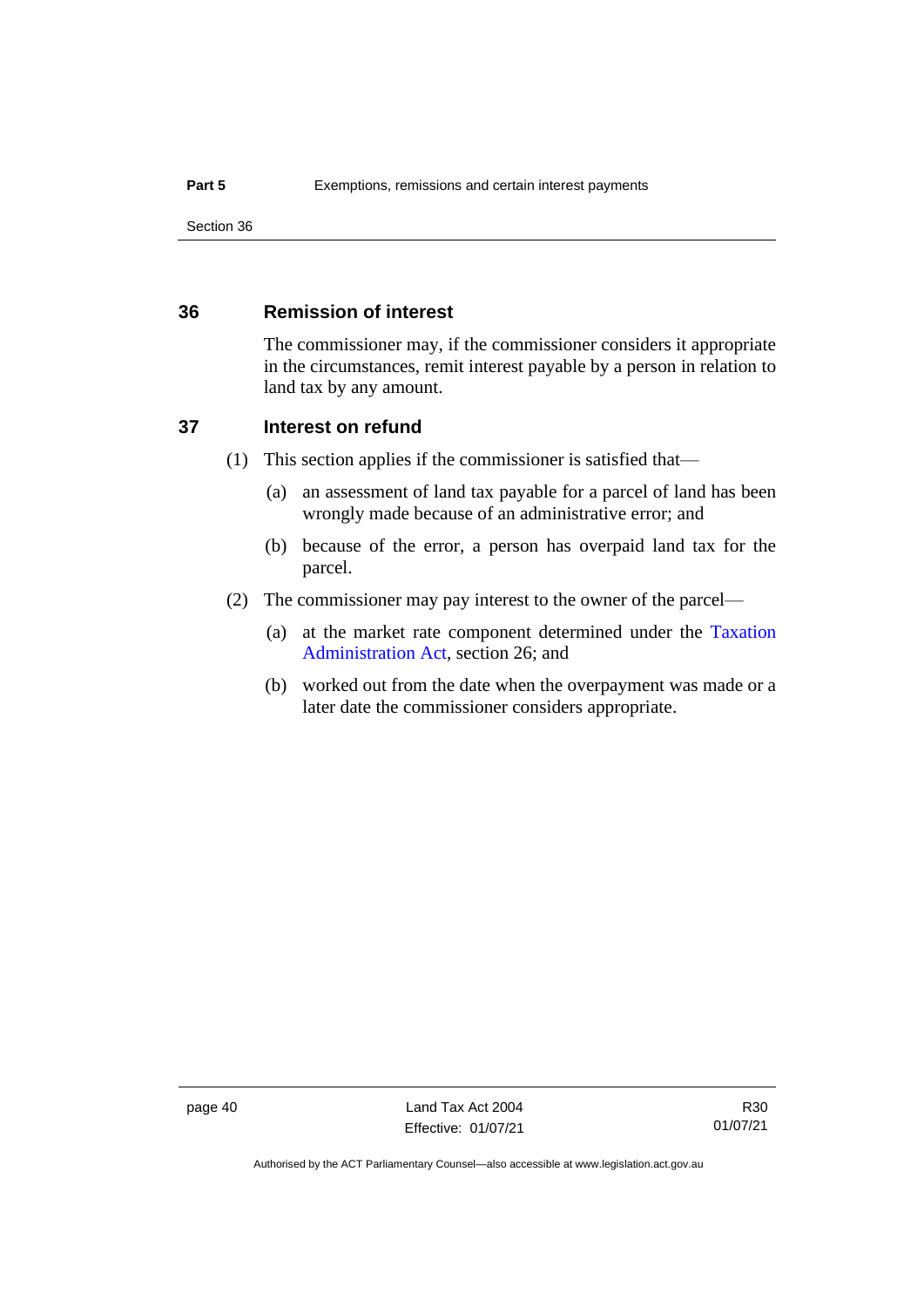## <span id="page-45-0"></span>**36 Remission of interest**

The commissioner may, if the commissioner considers it appropriate in the circumstances, remit interest payable by a person in relation to land tax by any amount.

### <span id="page-45-1"></span>**37 Interest on refund**

- (1) This section applies if the commissioner is satisfied that—
	- (a) an assessment of land tax payable for a parcel of land has been wrongly made because of an administrative error; and
	- (b) because of the error, a person has overpaid land tax for the parcel.
- (2) The commissioner may pay interest to the owner of the parcel—
	- (a) at the market rate component determined under the [Taxation](http://www.legislation.act.gov.au/a/1999-4/default.asp)  [Administration Act,](http://www.legislation.act.gov.au/a/1999-4/default.asp) section 26; and
	- (b) worked out from the date when the overpayment was made or a later date the commissioner considers appropriate.

page 40 Land Tax Act 2004 Effective: 01/07/21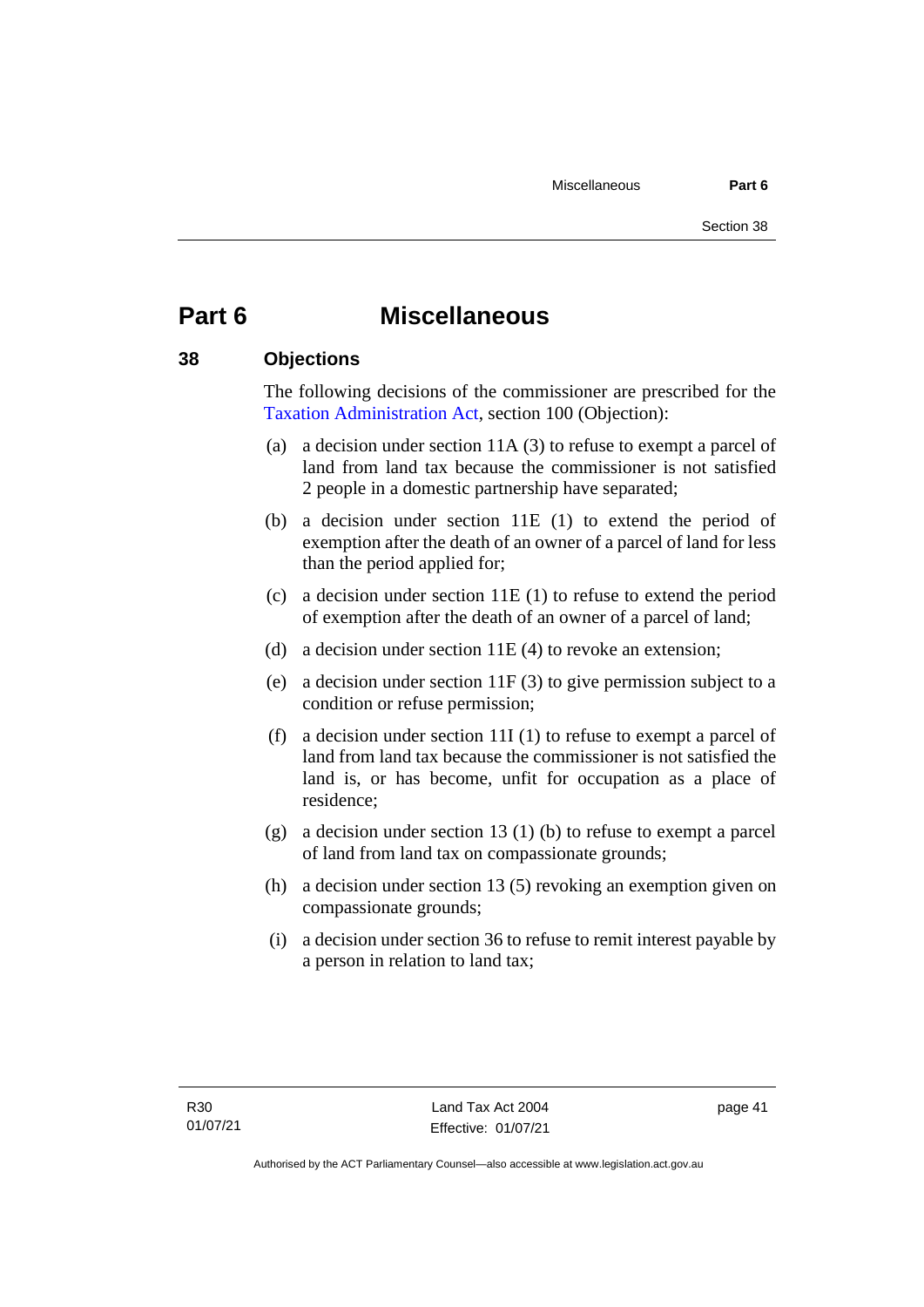## <span id="page-46-0"></span>**Part 6 Miscellaneous**

## <span id="page-46-1"></span>**38 Objections**

The following decisions of the commissioner are prescribed for the [Taxation Administration Act,](http://www.legislation.act.gov.au/a/1999-4/default.asp) section 100 (Objection):

- (a) a decision under section 11A (3) to refuse to exempt a parcel of land from land tax because the commissioner is not satisfied 2 people in a domestic partnership have separated;
- (b) a decision under section 11E (1) to extend the period of exemption after the death of an owner of a parcel of land for less than the period applied for;
- (c) a decision under section 11E (1) to refuse to extend the period of exemption after the death of an owner of a parcel of land;
- (d) a decision under section 11E (4) to revoke an extension;
- (e) a decision under section 11F (3) to give permission subject to a condition or refuse permission;
- (f) a decision under section 11I (1) to refuse to exempt a parcel of land from land tax because the commissioner is not satisfied the land is, or has become, unfit for occupation as a place of residence;
- (g) a decision under section 13 (1) (b) to refuse to exempt a parcel of land from land tax on compassionate grounds;
- (h) a decision under section 13 (5) revoking an exemption given on compassionate grounds;
- (i) a decision under section 36 to refuse to remit interest payable by a person in relation to land tax;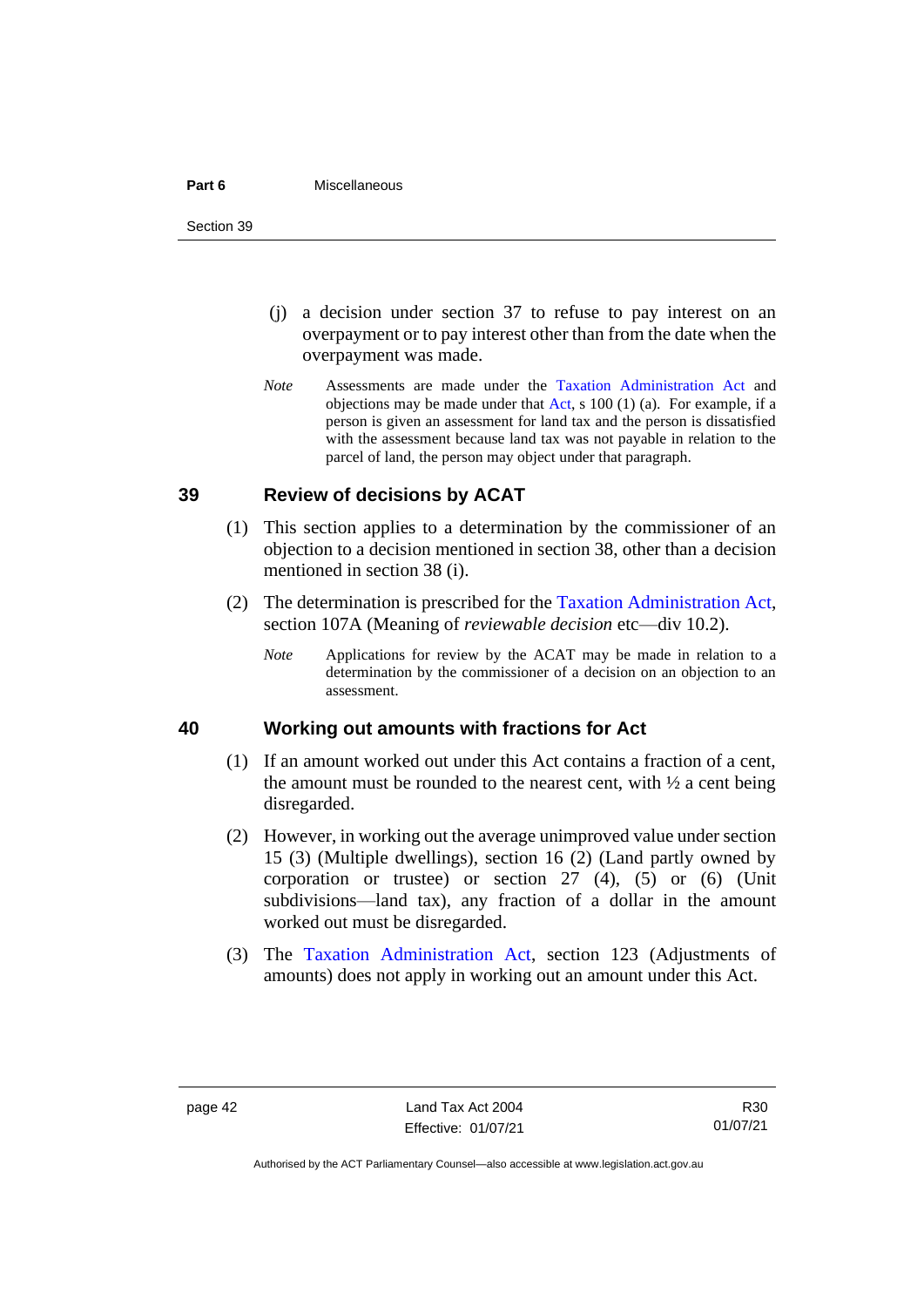#### **Part 6** Miscellaneous

Section 39

- (j) a decision under section 37 to refuse to pay interest on an overpayment or to pay interest other than from the date when the overpayment was made.
- *Note* Assessments are made under the [Taxation Administration Act](http://www.legislation.act.gov.au/a/1999-4/default.asp) and objections may be made under that [Act,](http://www.legislation.act.gov.au/a/1999-4/default.asp) s  $100(1)(a)$ . For example, if a person is given an assessment for land tax and the person is dissatisfied with the assessment because land tax was not payable in relation to the parcel of land, the person may object under that paragraph.

### <span id="page-47-0"></span>**39 Review of decisions by ACAT**

- (1) This section applies to a determination by the commissioner of an objection to a decision mentioned in section 38, other than a decision mentioned in section 38 (i).
- (2) The determination is prescribed for the [Taxation Administration Act,](http://www.legislation.act.gov.au/a/1999-4/default.asp) section 107A (Meaning of *reviewable decision* etc—div 10.2).
	- *Note* Applications for review by the ACAT may be made in relation to a determination by the commissioner of a decision on an objection to an assessment.

#### <span id="page-47-1"></span>**40 Working out amounts with fractions for Act**

- (1) If an amount worked out under this Act contains a fraction of a cent, the amount must be rounded to the nearest cent, with  $\frac{1}{2}$  a cent being disregarded.
- (2) However, in working out the average unimproved value under section 15 (3) (Multiple dwellings), section 16 (2) (Land partly owned by corporation or trustee) or section 27 (4), (5) or (6) (Unit subdivisions—land tax), any fraction of a dollar in the amount worked out must be disregarded.
- (3) The [Taxation Administration Act,](http://www.legislation.act.gov.au/a/1999-4/default.asp) section 123 (Adjustments of amounts) does not apply in working out an amount under this Act.

Authorised by the ACT Parliamentary Counsel—also accessible at www.legislation.act.gov.au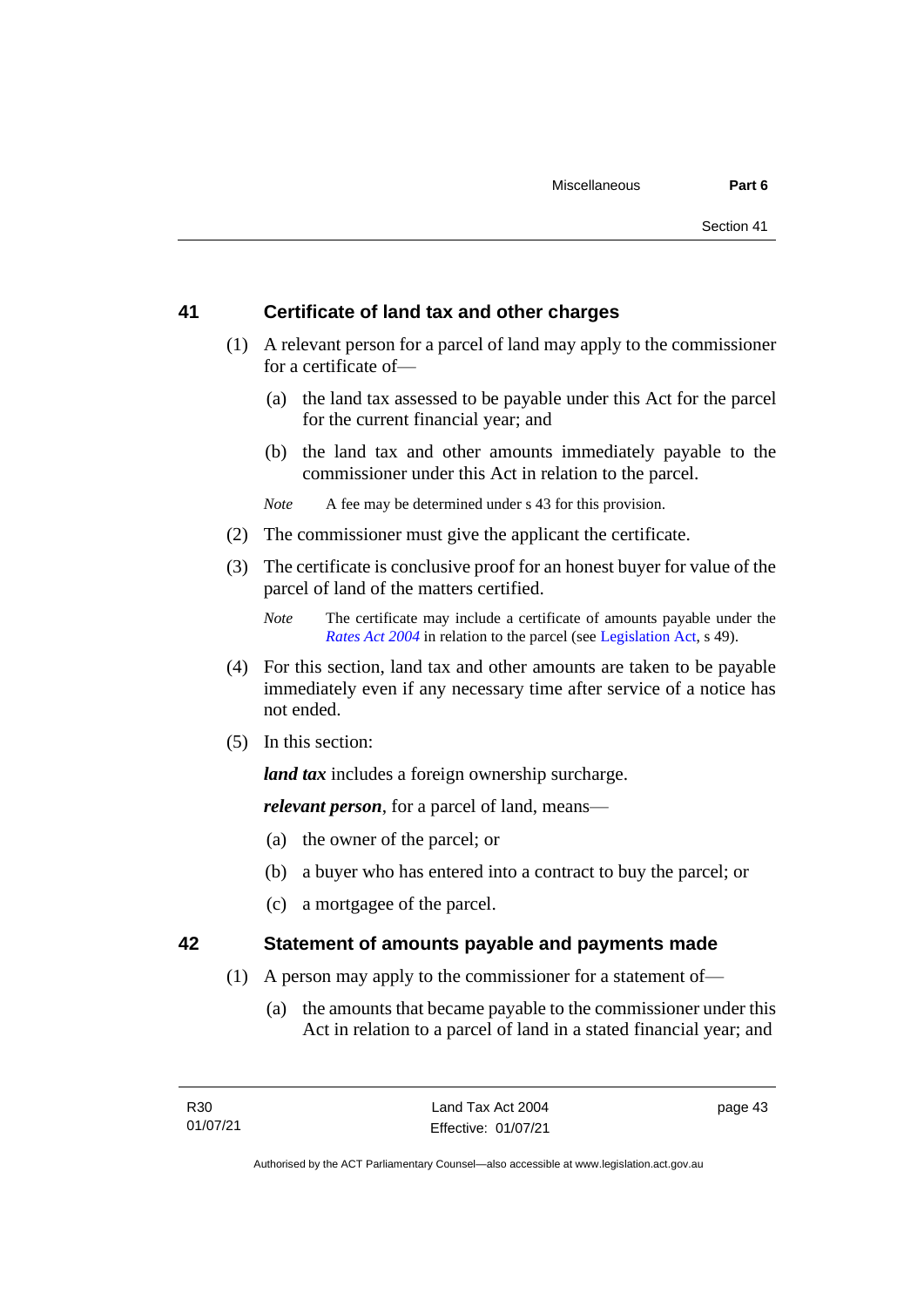## <span id="page-48-0"></span>**41 Certificate of land tax and other charges**

- (1) A relevant person for a parcel of land may apply to the commissioner for a certificate of—
	- (a) the land tax assessed to be payable under this Act for the parcel for the current financial year; and
	- (b) the land tax and other amounts immediately payable to the commissioner under this Act in relation to the parcel.

*Note* A fee may be determined under s 43 for this provision.

- (2) The commissioner must give the applicant the certificate.
- (3) The certificate is conclusive proof for an honest buyer for value of the parcel of land of the matters certified.

- (4) For this section, land tax and other amounts are taken to be payable immediately even if any necessary time after service of a notice has not ended.
- (5) In this section:

*land tax* includes a foreign ownership surcharge.

*relevant person*, for a parcel of land, means—

- (a) the owner of the parcel; or
- (b) a buyer who has entered into a contract to buy the parcel; or
- (c) a mortgagee of the parcel.

## <span id="page-48-1"></span>**42 Statement of amounts payable and payments made**

- (1) A person may apply to the commissioner for a statement of—
	- (a) the amounts that became payable to the commissioner under this Act in relation to a parcel of land in a stated financial year; and

*Note* The certificate may include a certificate of amounts payable under the *[Rates Act 2004](http://www.legislation.act.gov.au/a/2004-3)* in relation to the parcel (see [Legislation Act,](http://www.legislation.act.gov.au/a/2001-14) s 49).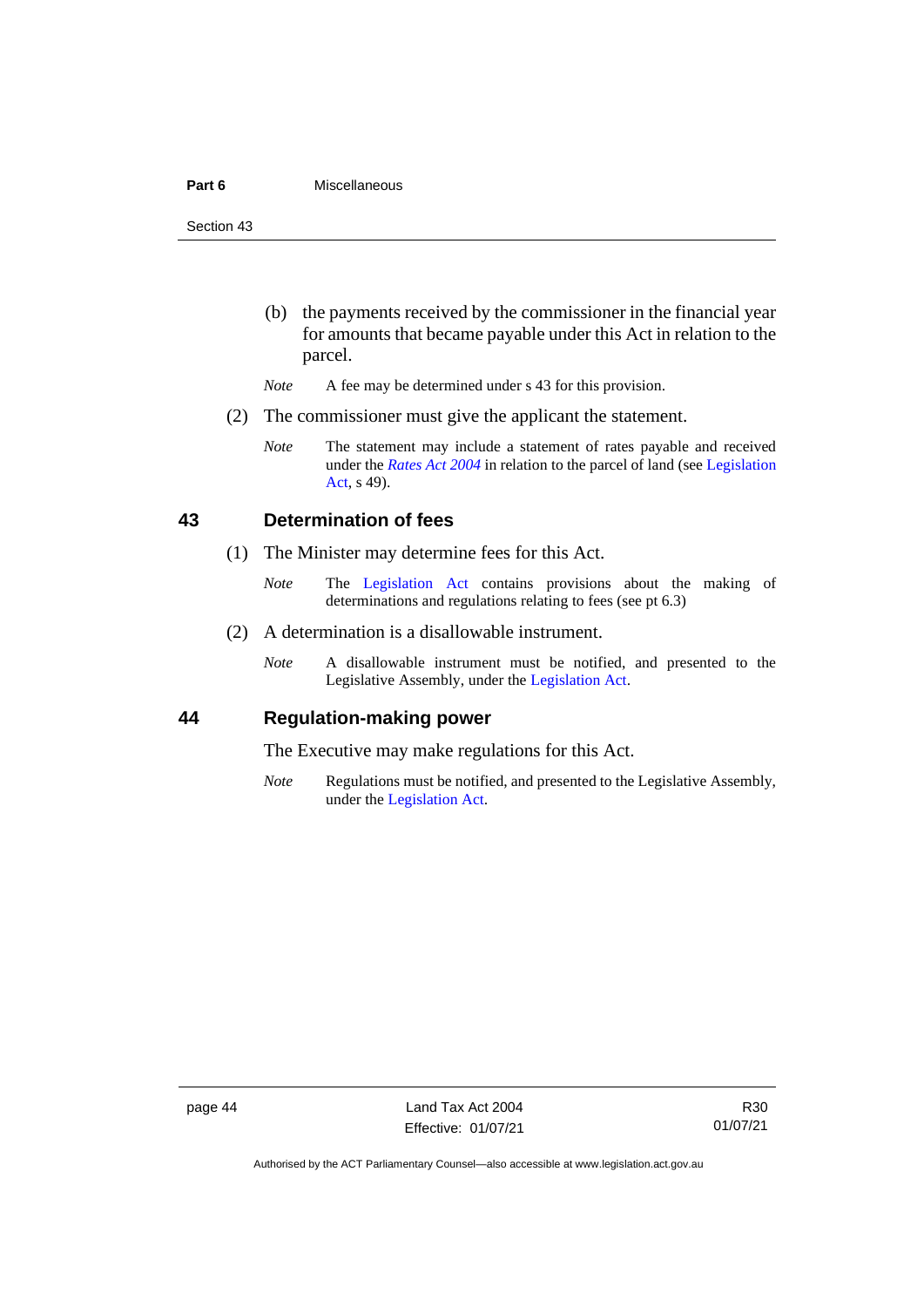#### **Part 6** Miscellaneous

Section 43

- (b) the payments received by the commissioner in the financial year for amounts that became payable under this Act in relation to the parcel.
- *Note* A fee may be determined under s 43 for this provision.
- (2) The commissioner must give the applicant the statement.
	- *Note* The statement may include a statement of rates payable and received under the *[Rates Act 2004](http://www.legislation.act.gov.au/a/2004-3)* in relation to the parcel of land (see [Legislation](http://www.legislation.act.gov.au/a/2001-14)  [Act,](http://www.legislation.act.gov.au/a/2001-14) s 49).

## <span id="page-49-0"></span>**43 Determination of fees**

- (1) The Minister may determine fees for this Act.
	- *Note* The [Legislation Act](http://www.legislation.act.gov.au/a/2001-14) contains provisions about the making of determinations and regulations relating to fees (see pt 6.3)
- (2) A determination is a disallowable instrument.
	- *Note* A disallowable instrument must be notified, and presented to the Legislative Assembly, under the [Legislation Act.](http://www.legislation.act.gov.au/a/2001-14)

#### <span id="page-49-1"></span>**44 Regulation-making power**

The Executive may make regulations for this Act.

*Note* Regulations must be notified, and presented to the Legislative Assembly, under the [Legislation Act.](http://www.legislation.act.gov.au/a/2001-14)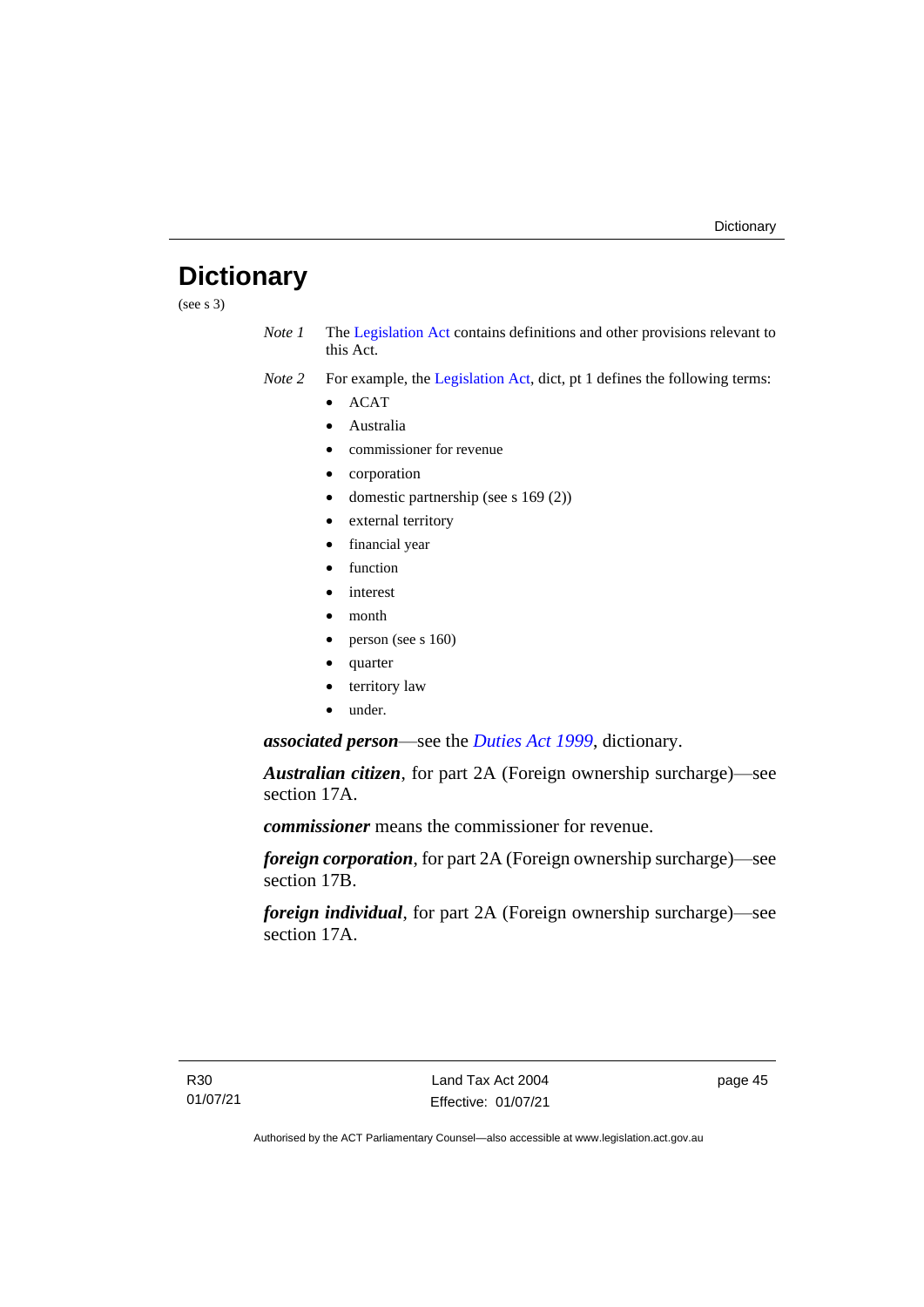## <span id="page-50-0"></span>**Dictionary**

(see s  $3)$ )

*Note 1* The [Legislation Act](http://www.legislation.act.gov.au/a/2001-14) contains definitions and other provisions relevant to this Act.

*Note 2* For example, the [Legislation Act,](http://www.legislation.act.gov.au/a/2001-14) dict, pt 1 defines the following terms:

- ACAT
- Australia
- commissioner for revenue
- corporation
- domestic partnership (see s 169 (2))
- external territory
- financial year
- function
- interest
- month
- person (see s 160)
- quarter
- territory law
- under.

*associated person*—see the *[Duties Act 1999](http://www.legislation.act.gov.au/a/1999-7)*, dictionary.

*Australian citizen*, for part 2A (Foreign ownership surcharge)—see section 17A.

*commissioner* means the commissioner for revenue.

*foreign corporation*, for part 2A (Foreign ownership surcharge)—see section 17B.

*foreign individual*, for part 2A (Foreign ownership surcharge)—see section 17A.

page 45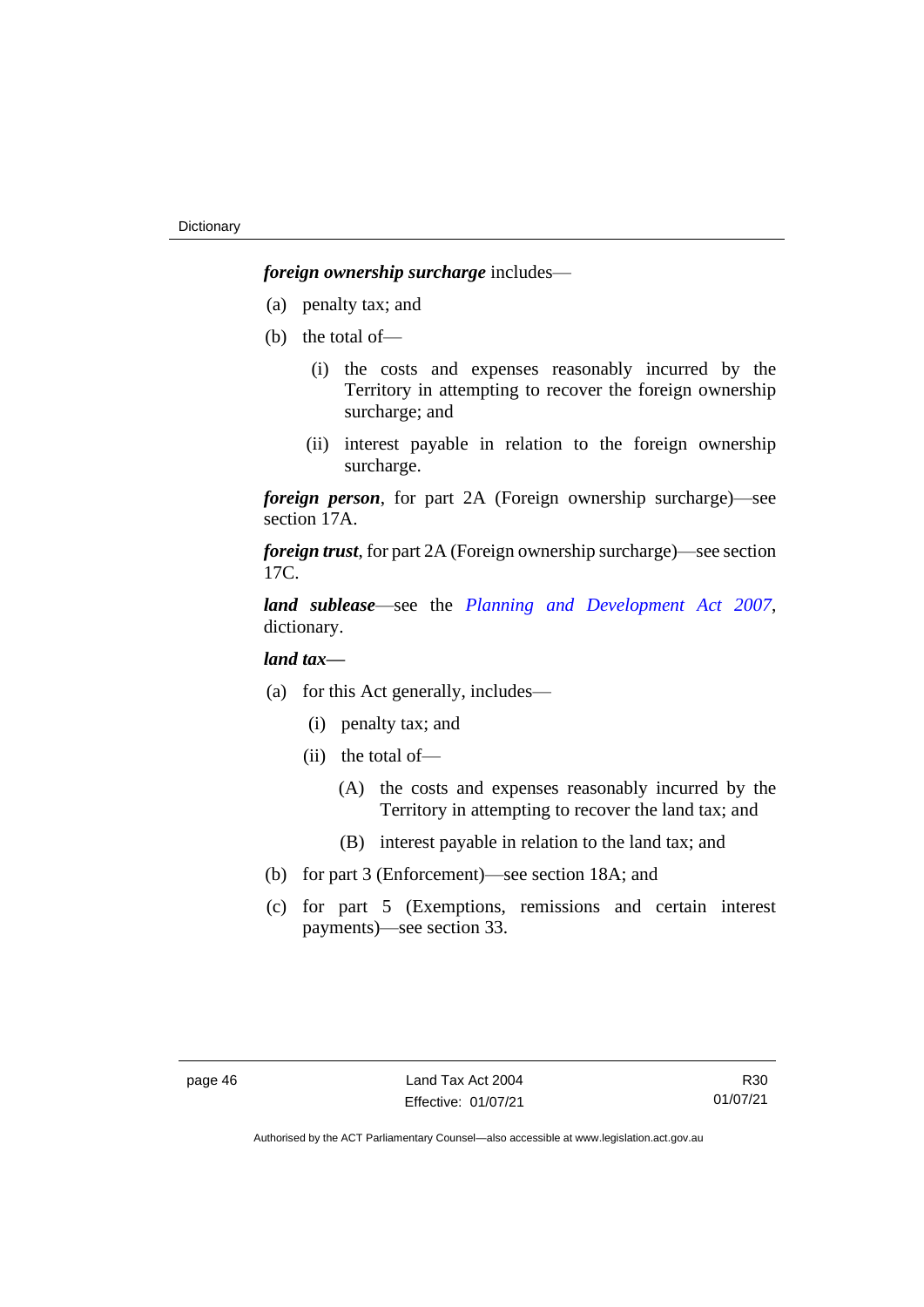*foreign ownership surcharge* includes—

- (a) penalty tax; and
- (b) the total of—
	- (i) the costs and expenses reasonably incurred by the Territory in attempting to recover the foreign ownership surcharge; and
	- (ii) interest payable in relation to the foreign ownership surcharge.

*foreign person*, for part 2A (Foreign ownership surcharge)—see section 17A.

*foreign trust*, for part 2A (Foreign ownership surcharge)—see section 17C.

*land sublease*—see the *[Planning and Development Act 2007](http://www.legislation.act.gov.au/a/2007-24)*, dictionary.

## *land tax—*

- (a) for this Act generally, includes—
	- (i) penalty tax; and
	- (ii) the total of—
		- (A) the costs and expenses reasonably incurred by the Territory in attempting to recover the land tax; and
		- (B) interest payable in relation to the land tax; and
- (b) for part 3 (Enforcement)—see section 18A; and
- (c) for part 5 (Exemptions, remissions and certain interest payments)—see section 33.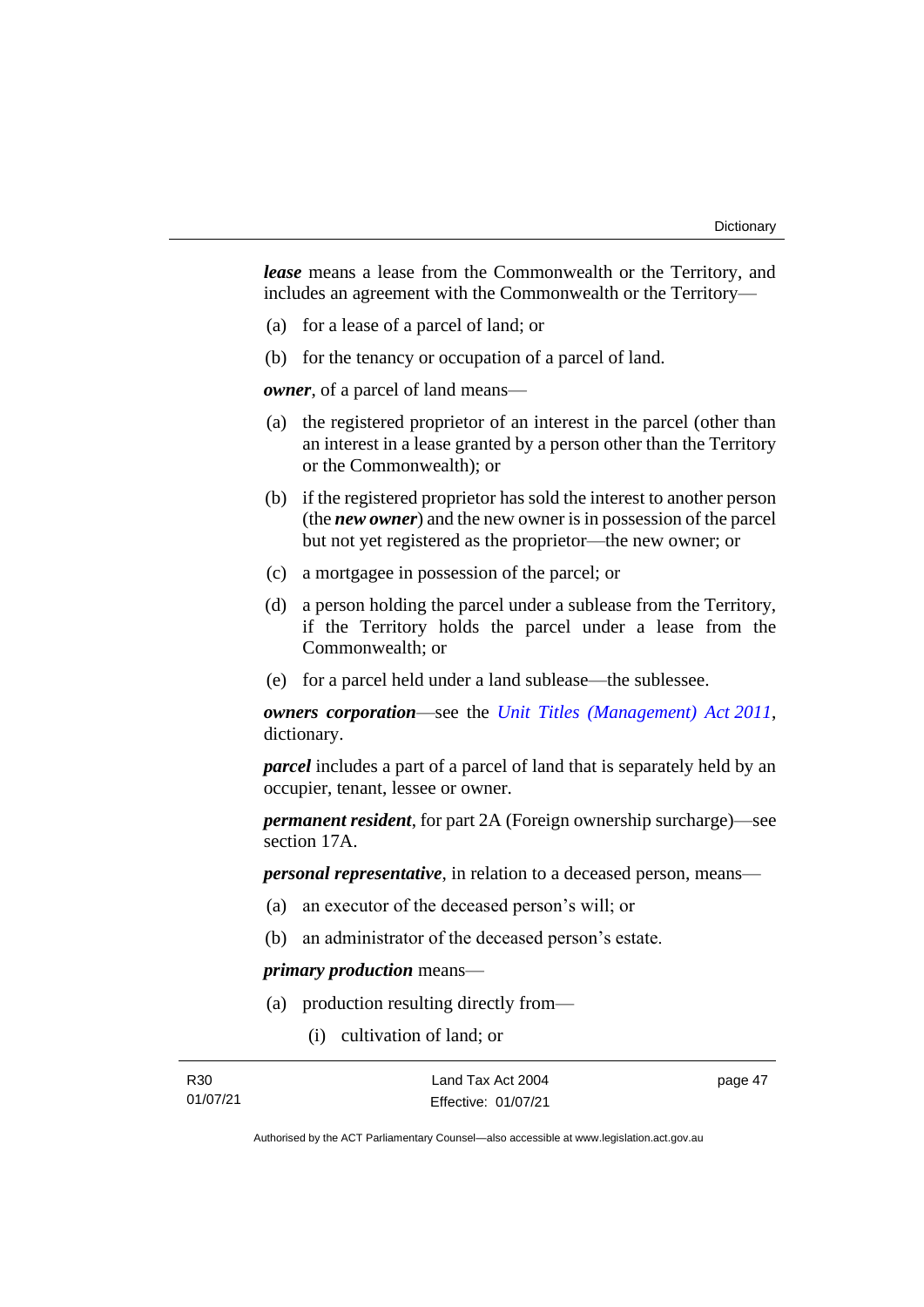*lease* means a lease from the Commonwealth or the Territory, and includes an agreement with the Commonwealth or the Territory—

- (a) for a lease of a parcel of land; or
- (b) for the tenancy or occupation of a parcel of land.

*owner*, of a parcel of land means—

- (a) the registered proprietor of an interest in the parcel (other than an interest in a lease granted by a person other than the Territory or the Commonwealth); or
- (b) if the registered proprietor has sold the interest to another person (the *new owner*) and the new owner is in possession of the parcel but not yet registered as the proprietor—the new owner; or
- (c) a mortgagee in possession of the parcel; or
- (d) a person holding the parcel under a sublease from the Territory, if the Territory holds the parcel under a lease from the Commonwealth; or
- (e) for a parcel held under a land sublease—the sublessee.

*owners corporation*—see the *[Unit Titles \(Management\) Act](http://www.legislation.act.gov.au/a/2011-41) 2011*, dictionary.

*parcel* includes a part of a parcel of land that is separately held by an occupier, tenant, lessee or owner.

*permanent resident*, for part 2A (Foreign ownership surcharge)—see section 17A.

*personal representative*, in relation to a deceased person, means—

- (a) an executor of the deceased person's will; or
- (b) an administrator of the deceased person's estate.

#### *primary production* means—

- (a) production resulting directly from—
	- (i) cultivation of land; or

R30 01/07/21 Land Tax Act 2004 Effective: 01/07/21 page 47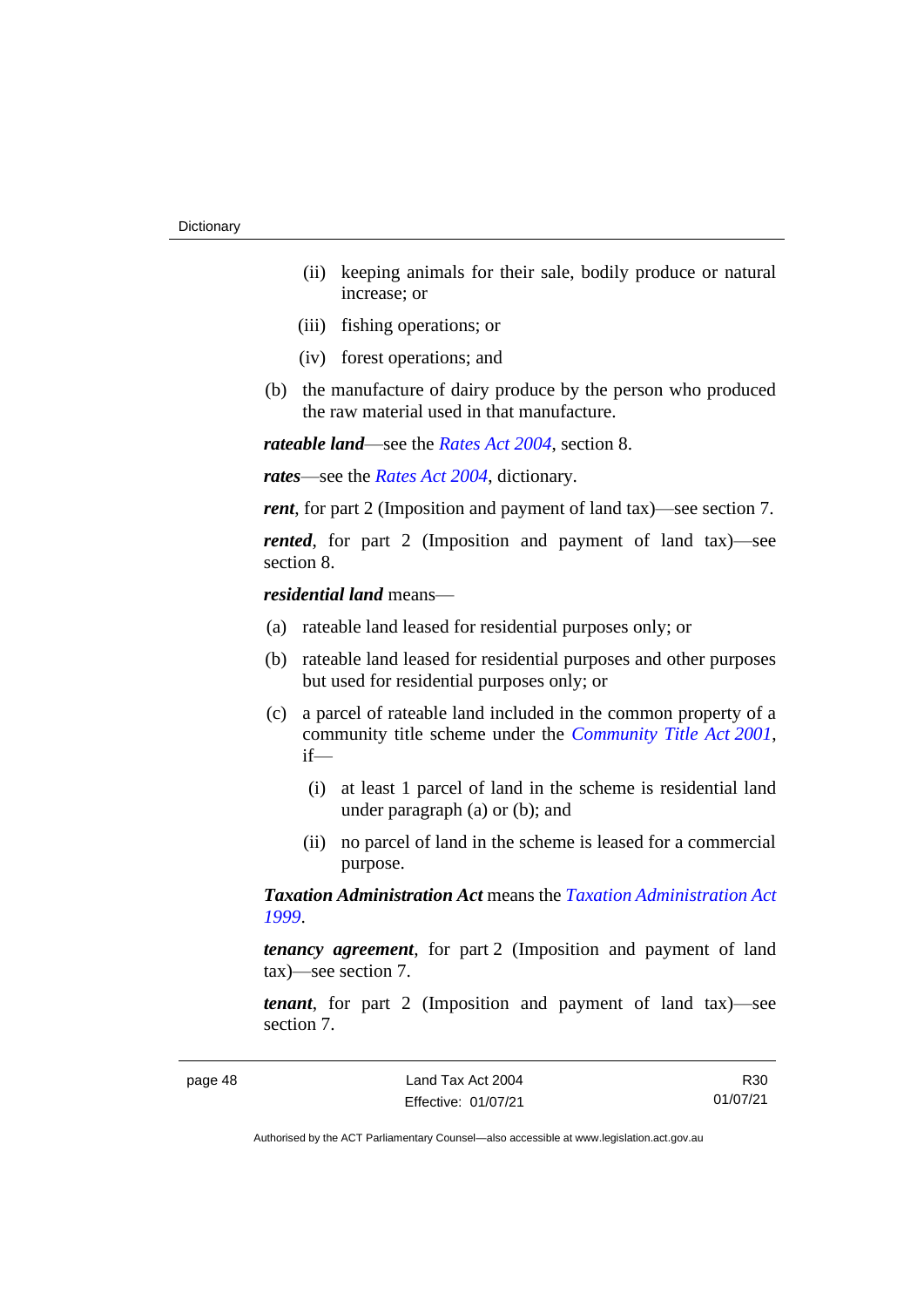- (ii) keeping animals for their sale, bodily produce or natural increase; or
- (iii) fishing operations; or
- (iv) forest operations; and
- (b) the manufacture of dairy produce by the person who produced the raw material used in that manufacture.

*rateable land*—see the *[Rates Act 2004](http://www.legislation.act.gov.au/a/2004-3)*, section 8.

*rates*—see the *[Rates Act 2004](http://www.legislation.act.gov.au/a/2004-3)*, dictionary.

*rent*, for part 2 (Imposition and payment of land tax)—see section 7.

*rented*, for part 2 (Imposition and payment of land tax)—see section 8.

#### *residential land* means—

- (a) rateable land leased for residential purposes only; or
- (b) rateable land leased for residential purposes and other purposes but used for residential purposes only; or
- (c) a parcel of rateable land included in the common property of a community title scheme under the *[Community Title Act](http://www.legislation.act.gov.au/a/2001-58) 2001*, if—
	- (i) at least 1 parcel of land in the scheme is residential land under paragraph (a) or (b); and
	- (ii) no parcel of land in the scheme is leased for a commercial purpose.

*Taxation Administration Act* means the *[Taxation Administration Act](http://www.legislation.act.gov.au/a/1999-4)  [1999](http://www.legislation.act.gov.au/a/1999-4)*.

*tenancy agreement*, for part 2 (Imposition and payment of land tax)—see section 7.

*tenant*, for part 2 (Imposition and payment of land tax)—see section 7.

R30 01/07/21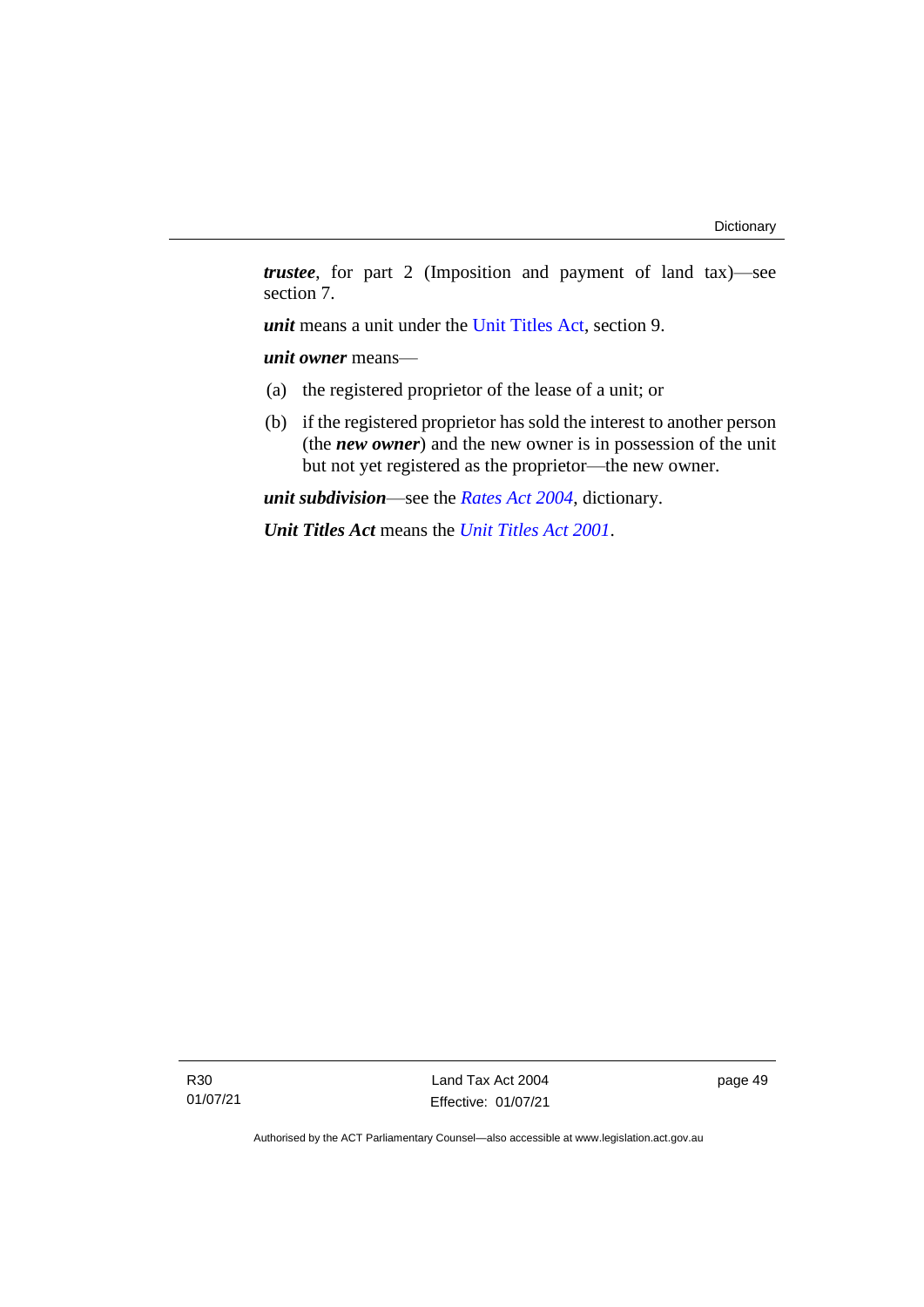*trustee*, for part 2 (Imposition and payment of land tax)—see section 7.

*unit* means a unit under the [Unit Titles Act,](http://www.legislation.act.gov.au/a/2001-16/default.asp) section 9.

*unit owner* means—

- (a) the registered proprietor of the lease of a unit; or
- (b) if the registered proprietor has sold the interest to another person (the *new owner*) and the new owner is in possession of the unit but not yet registered as the proprietor—the new owner.

*unit subdivision*—see the *[Rates Act 2004](http://www.legislation.act.gov.au/a/2004-3)*, dictionary.

*Unit Titles Act* means the *[Unit Titles Act 2001](http://www.legislation.act.gov.au/a/2001-16)*.

R30 01/07/21

Land Tax Act 2004 Effective: 01/07/21 page 49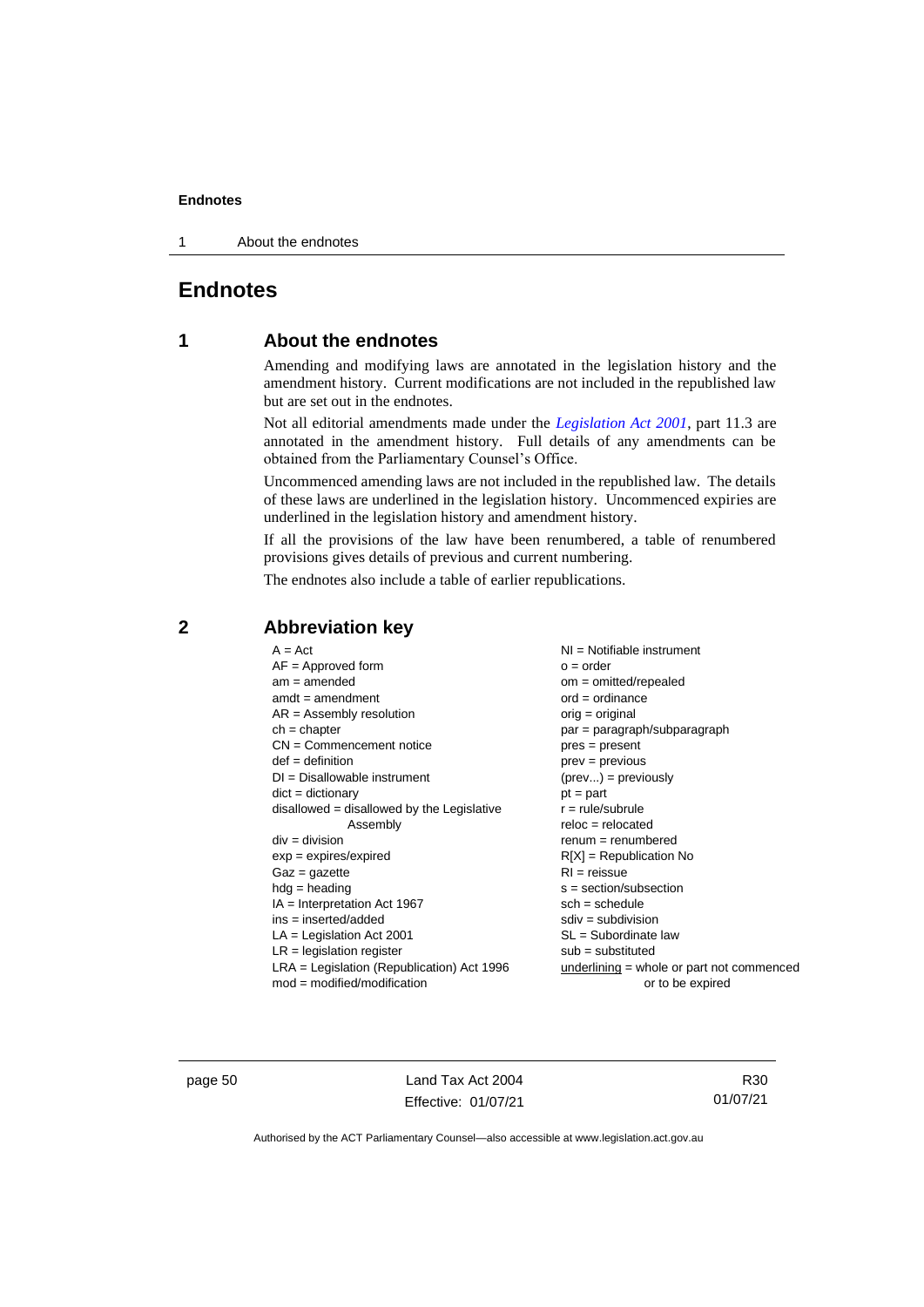1 About the endnotes

## <span id="page-55-1"></span><span id="page-55-0"></span>**Endnotes**

## **1 About the endnotes**

Amending and modifying laws are annotated in the legislation history and the amendment history. Current modifications are not included in the republished law but are set out in the endnotes.

Not all editorial amendments made under the *[Legislation Act 2001](http://www.legislation.act.gov.au/a/2001-14)*, part 11.3 are annotated in the amendment history. Full details of any amendments can be obtained from the Parliamentary Counsel's Office.

Uncommenced amending laws are not included in the republished law. The details of these laws are underlined in the legislation history. Uncommenced expiries are underlined in the legislation history and amendment history.

If all the provisions of the law have been renumbered, a table of renumbered provisions gives details of previous and current numbering.

The endnotes also include a table of earlier republications.

| $A = Act$                                    | $NI =$ Notifiable instrument              |
|----------------------------------------------|-------------------------------------------|
| $AF =$ Approved form                         | $o = order$                               |
| $am = amended$                               | $om = omitted/repealed$                   |
| $amdt = amendment$                           | $ord = ordinance$                         |
| $AR = Assembly resolution$                   | $orig = original$                         |
| $ch = chapter$                               | par = paragraph/subparagraph              |
| $CN =$ Commencement notice                   | $pres = present$                          |
| $def = definition$                           | $prev = previous$                         |
| $DI = Disallowable instrument$               | $(\text{prev}) = \text{previously}$       |
| $dict = dictionary$                          | $pt = part$                               |
| $disallowed = disallowed by the Legislative$ | $r = rule/subrule$                        |
| Assembly                                     | $reloc = relocated$                       |
| $div = division$                             | $remum = renumbered$                      |
| $exp = expires/expired$                      | $R[X]$ = Republication No                 |
| $Gaz = gazette$                              | $RI =$ reissue                            |
| $hdg =$ heading                              | $s = section/subsection$                  |
| $IA = Interpretation Act 1967$               | $sch = schedule$                          |
| ins = inserted/added                         | $sdiv = subdivision$                      |
| $LA =$ Legislation Act 2001                  | $SL = Subordinate$ law                    |
| $LR =$ legislation register                  | $sub =$ substituted                       |
| LRA = Legislation (Republication) Act 1996   | underlining = whole or part not commenced |
| $mod = modified/modification$                | or to be expired                          |
|                                              |                                           |

### <span id="page-55-2"></span>**2 Abbreviation key**

page 50 Land Tax Act 2004 Effective: 01/07/21

R30 01/07/21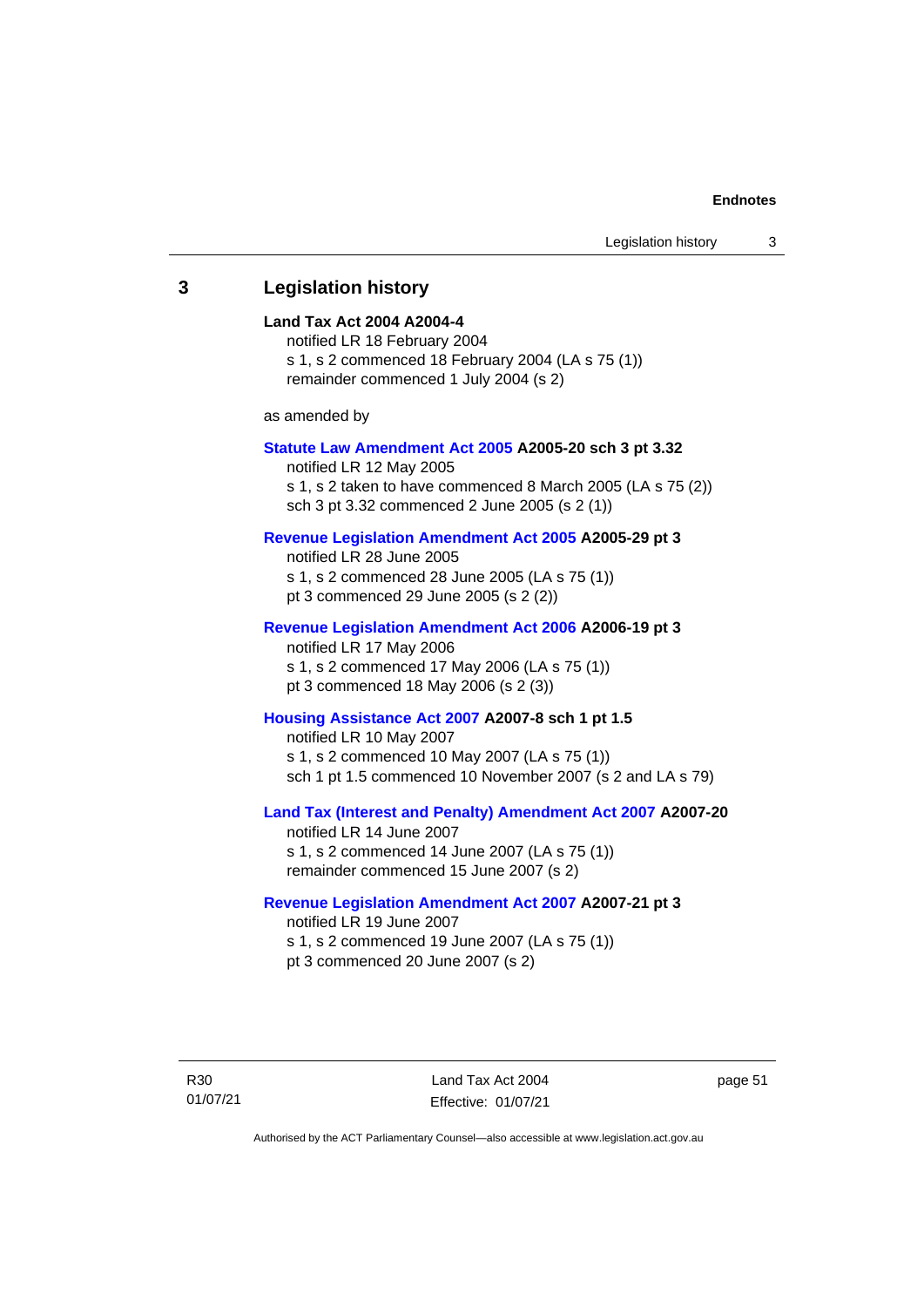#### <span id="page-56-0"></span>**3 Legislation history**

#### **Land Tax Act 2004 A2004-4**

notified LR 18 February 2004 s 1, s 2 commenced 18 February 2004 (LA s 75 (1)) remainder commenced 1 July 2004 (s 2)

as amended by

#### **[Statute Law Amendment Act 2005](http://www.legislation.act.gov.au/a/2005-20) A2005-20 sch 3 pt 3.32**

notified LR 12 May 2005 s 1, s 2 taken to have commenced 8 March 2005 (LA s 75 (2)) sch 3 pt 3.32 commenced 2 June 2005 (s 2 (1))

#### **[Revenue Legislation Amendment Act 2005](http://www.legislation.act.gov.au/a/2005-29) A2005-29 pt 3**

notified LR 28 June 2005 s 1, s 2 commenced 28 June 2005 (LA s 75 (1)) pt 3 commenced 29 June 2005 (s 2 (2))

#### **[Revenue Legislation Amendment Act 2006](http://www.legislation.act.gov.au/a/2006-19) A2006-19 pt 3**

notified LR 17 May 2006 s 1, s 2 commenced 17 May 2006 (LA s 75 (1)) pt 3 commenced 18 May 2006 (s 2 (3))

#### **[Housing Assistance Act 2007](http://www.legislation.act.gov.au/a/2007-8) A2007-8 sch 1 pt 1.5**

notified LR 10 May 2007 s 1, s 2 commenced 10 May 2007 (LA s 75 (1)) sch 1 pt 1.5 commenced 10 November 2007 (s 2 and LA s 79)

#### **[Land Tax \(Interest and Penalty\) Amendment Act 2007](http://www.legislation.act.gov.au/a/2007-20) A2007-20**

notified LR 14 June 2007 s 1, s 2 commenced 14 June 2007 (LA s 75 (1)) remainder commenced 15 June 2007 (s 2)

#### **[Revenue Legislation Amendment Act 2007](http://www.legislation.act.gov.au/a/2007-21) A2007-21 pt 3**

notified LR 19 June 2007 s 1, s 2 commenced 19 June 2007 (LA s 75 (1)) pt 3 commenced 20 June 2007 (s 2)

R30 01/07/21

Land Tax Act 2004 Effective: 01/07/21 page 51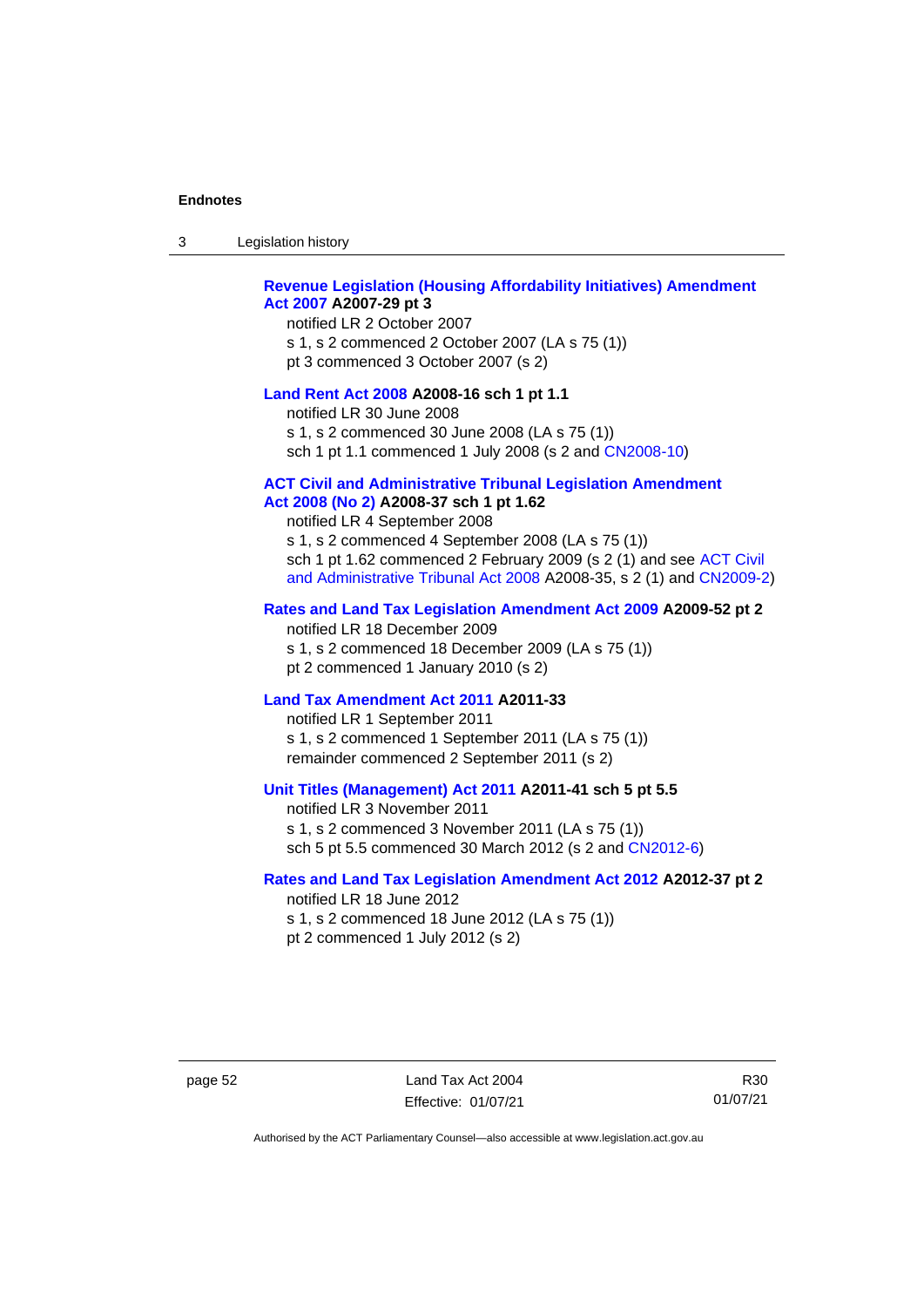| Legislation history<br>-3 |  |
|---------------------------|--|
|---------------------------|--|

#### **[Revenue Legislation \(Housing Affordability Initiatives\) Amendment](http://www.legislation.act.gov.au/a/2007-29)  Act [2007](http://www.legislation.act.gov.au/a/2007-29) A2007-29 pt 3**

notified LR 2 October 2007 s 1, s 2 commenced 2 October 2007 (LA s 75 (1)) pt 3 commenced 3 October 2007 (s 2)

#### **[Land Rent Act 2008](http://www.legislation.act.gov.au/a/2008-16) A2008-16 sch 1 pt 1.1**

notified LR 30 June 2008 s 1, s 2 commenced 30 June 2008 (LA s 75 (1)) sch 1 pt 1.1 commenced 1 July 2008 (s 2 and [CN2008-10\)](http://www.legislation.act.gov.au/cn/2008-10/default.asp)

#### **[ACT Civil and Administrative Tribunal Legislation Amendment](http://www.legislation.act.gov.au/a/2008-37)**

#### **Act [2008 \(No 2\)](http://www.legislation.act.gov.au/a/2008-37) A2008-37 sch 1 pt 1.62**

notified LR 4 September 2008

s 1, s 2 commenced 4 September 2008 (LA s 75 (1)) sch 1 pt 1.62 commenced 2 February 2009 (s 2 (1) and see [ACT Civil](http://www.legislation.act.gov.au/a/2008-35)  [and Administrative Tribunal Act 2008](http://www.legislation.act.gov.au/a/2008-35) A2008-35, s 2 (1) and [CN2009-2\)](http://www.legislation.act.gov.au/cn/2009-2/default.asp)

#### **[Rates and Land Tax Legislation Amendment Act](http://www.legislation.act.gov.au/a/2009-52) 2009 A2009-52 pt 2**

notified LR 18 December 2009 s 1, s 2 commenced 18 December 2009 (LA s 75 (1)) pt 2 commenced 1 January 2010 (s 2)

#### **[Land Tax Amendment Act 2011](http://www.legislation.act.gov.au/a/2011-33) A2011-33**

notified LR 1 September 2011 s 1, s 2 commenced 1 September 2011 (LA s 75 (1)) remainder commenced 2 September 2011 (s 2)

#### **[Unit Titles \(Management\) Act 2011](http://www.legislation.act.gov.au/a/2011-41) A2011-41 sch 5 pt 5.5**

notified LR 3 November 2011 s 1, s 2 commenced 3 November 2011 (LA s 75 (1)) sch 5 pt 5.5 commenced 30 March 2012 (s 2 and [CN2012-6\)](http://www.legislation.act.gov.au/cn/2012-6/default.asp)

#### **[Rates and Land Tax Legislation Amendment Act 2012](http://www.legislation.act.gov.au/a/2012-37) A2012-37 pt 2**

notified LR 18 June 2012 s 1, s 2 commenced 18 June 2012 (LA s 75 (1)) pt 2 commenced 1 July 2012 (s 2)

R30 01/07/21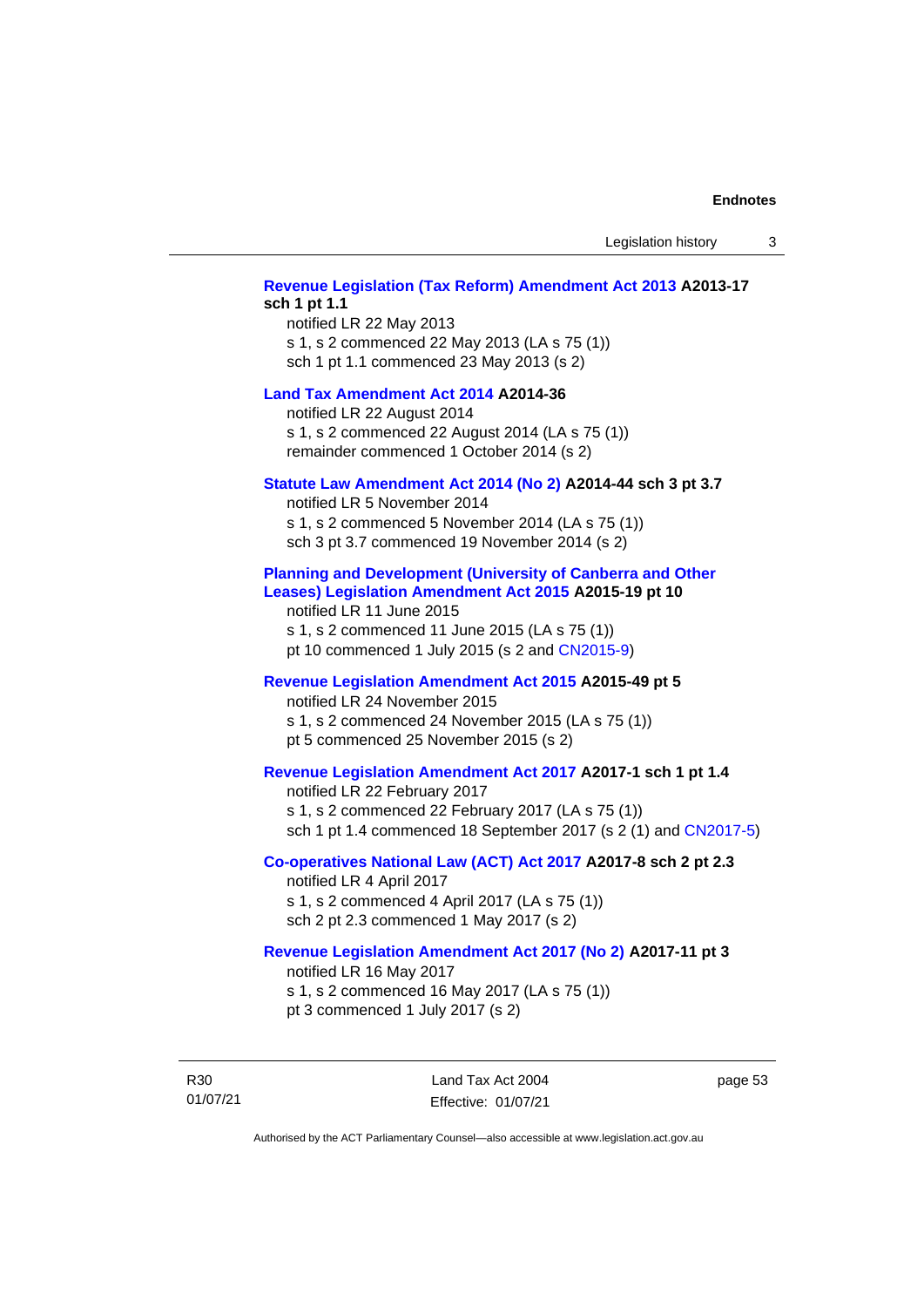## **[Revenue Legislation \(Tax Reform\) Amendment Act 2013](http://www.legislation.act.gov.au/a/2013-17) A2013-17 sch 1 pt 1.1** notified LR 22 May 2013 s 1, s 2 commenced 22 May 2013 (LA s 75 (1)) sch 1 pt 1.1 commenced 23 May 2013 (s 2) **[Land Tax Amendment Act 2014](http://www.legislation.act.gov.au/a/2014-36) A2014-36** notified LR 22 August 2014 s 1, s 2 commenced 22 August 2014 (LA s 75 (1)) remainder commenced 1 October 2014 (s 2) **[Statute Law Amendment Act 2014 \(No 2\)](http://www.legislation.act.gov.au/a/2014-44) A2014-44 sch 3 pt 3.7** notified LR 5 November 2014 s 1, s 2 commenced 5 November 2014 (LA s 75 (1)) sch 3 pt 3.7 commenced 19 November 2014 (s 2) **[Planning and Development \(University of Canberra and Other](http://www.legislation.act.gov.au/a/2015-19)  [Leases\) Legislation Amendment Act 2015](http://www.legislation.act.gov.au/a/2015-19) A2015-19 pt 10** notified LR 11 June 2015 s 1, s 2 commenced 11 June 2015 (LA s 75 (1)) pt 10 commenced 1 July 2015 (s 2 and [CN2015-9\)](http://www.legislation.act.gov.au/cn/2015-9/default.asp) **[Revenue Legislation Amendment Act 2015](http://www.legislation.act.gov.au/a/2015-49/default.asp) A2015-49 pt 5** notified LR 24 November 2015 s 1, s 2 commenced 24 November 2015 (LA s 75 (1)) pt 5 commenced 25 November 2015 (s 2) **[Revenue Legislation Amendment Act 2017](http://www.legislation.act.gov.au/a/2017-1/default.asp) A2017-1 sch 1 pt 1.4** notified LR 22 February 2017 s 1, s 2 commenced 22 February 2017 (LA s 75 (1)) sch 1 pt 1.4 commenced 18 September 2017 (s 2 (1) and [CN2017-5\)](http://www.legislation.act.gov.au/cn/2017-5/default.asp) **[Co-operatives National Law \(ACT\) Act 2017](http://www.legislation.act.gov.au/a/2017-8/default.asp) A2017-8 sch 2 pt 2.3** notified LR 4 April 2017 s 1, s 2 commenced 4 April 2017 (LA s 75 (1)) sch 2 pt 2.3 commenced 1 May 2017 (s 2) **[Revenue Legislation Amendment Act 2017 \(No 2\)](http://www.legislation.act.gov.au/a/2017-11/default.asp) A2017-11 pt 3** notified LR 16 May 2017 s 1, s 2 commenced 16 May 2017 (LA s 75 (1)) pt 3 commenced 1 July 2017 (s 2)

R30 01/07/21

Land Tax Act 2004 Effective: 01/07/21 page 53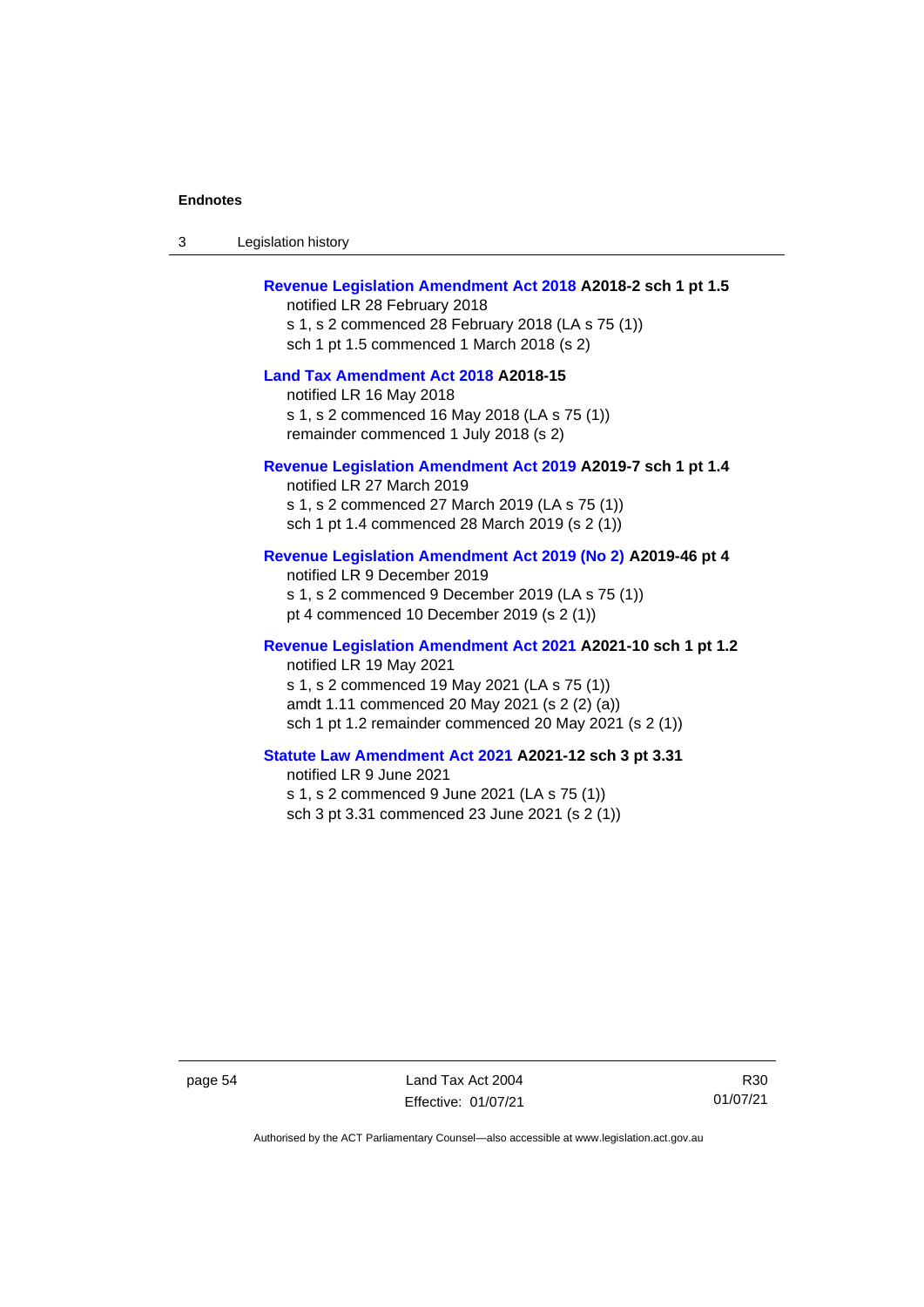| -3 | Legislation history |
|----|---------------------|
|----|---------------------|

## **[Revenue Legislation Amendment Act 2018](http://www.legislation.act.gov.au/a/2018-2/default.asp) A2018-2 sch 1 pt 1.5**

notified LR 28 February 2018 s 1, s 2 commenced 28 February 2018 (LA s 75 (1)) sch 1 pt 1.5 commenced 1 March 2018 (s 2)

#### **[Land Tax Amendment Act 2018](http://www.legislation.act.gov.au/a/2018-15/default.asp) A2018-15**

notified LR 16 May 2018 s 1, s 2 commenced 16 May 2018 (LA s 75 (1)) remainder commenced 1 July 2018 (s 2)

#### **[Revenue Legislation Amendment Act 2019](http://www.legislation.act.gov.au/a/2019-7/default.asp) A2019-7 sch 1 pt 1.4**

notified LR 27 March 2019 s 1, s 2 commenced 27 March 2019 (LA s 75 (1)) sch 1 pt 1.4 commenced 28 March 2019 (s 2 (1))

#### **[Revenue Legislation Amendment Act 2019 \(No 2\)](http://www.legislation.act.gov.au/a/2019-46) A2019-46 pt 4**

notified LR 9 December 2019 s 1, s 2 commenced 9 December 2019 (LA s 75 (1)) pt 4 commenced 10 December 2019 (s 2 (1))

#### **[Revenue Legislation Amendment Act 2021](http://www.legislation.act.gov.au/a/2021-10) A2021-10 sch 1 pt 1.2** notified LR 19 May 2021 s 1, s 2 commenced 19 May 2021 (LA s 75 (1)) amdt 1.11 commenced 20 May 2021 (s 2 (2) (a)) sch 1 pt 1.2 remainder commenced 20 May 2021 (s 2 (1))

## **[Statute Law Amendment Act 2021](http://www.legislation.act.gov.au/a/2021-12/) A2021-12 sch 3 pt 3.31**

notified LR 9 June 2021 s 1, s 2 commenced 9 June 2021 (LA s 75 (1)) sch 3 pt 3.31 commenced 23 June 2021 (s 2 (1))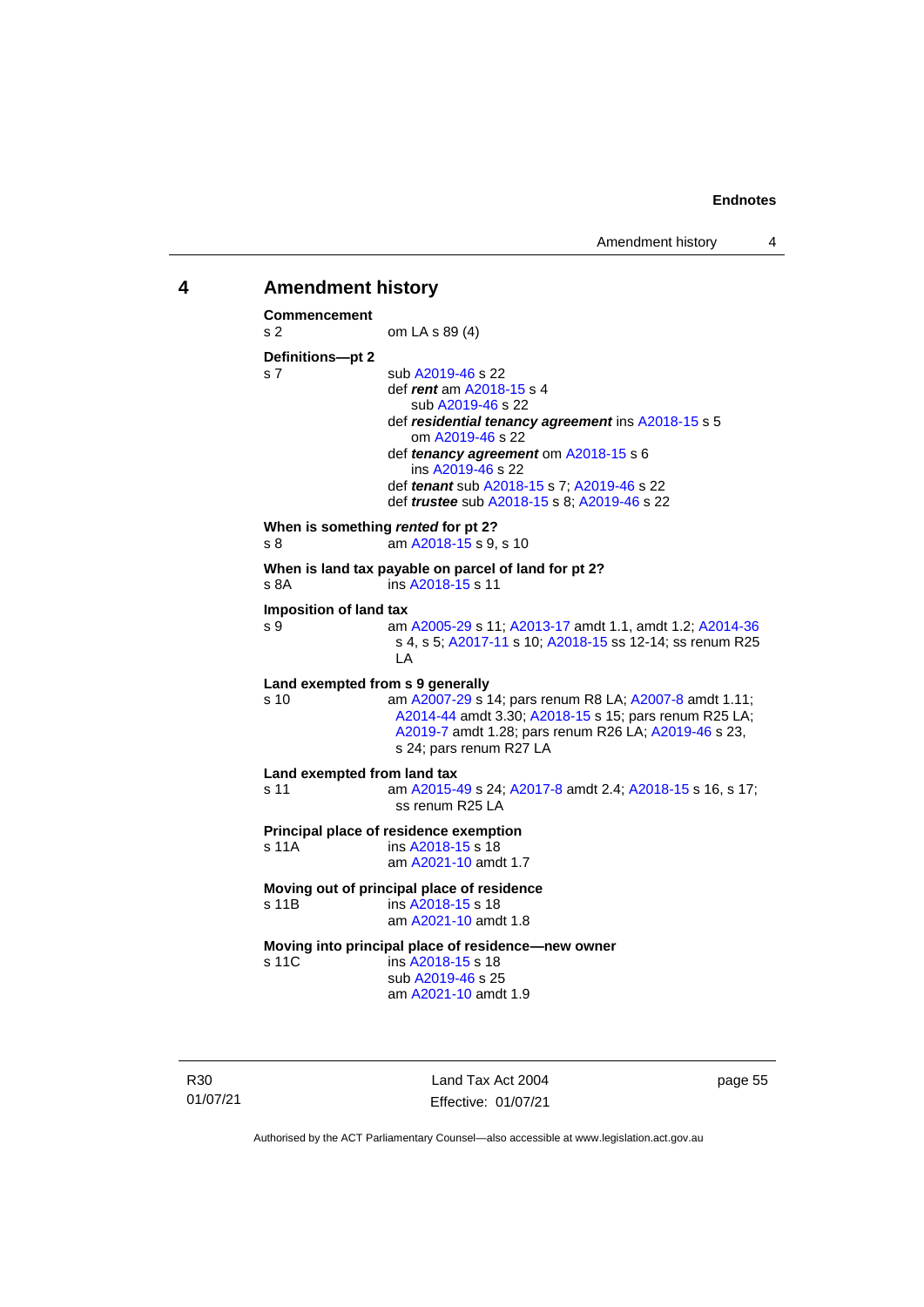#### <span id="page-60-0"></span>**4 Amendment history**

**Commencement** s 2 om LA s 89 (4) **Definitions—pt 2** s 7 sub [A2019-46](http://www.legislation.act.gov.au/a/2019-46) s 22 def *rent* a[m A2018-15](http://www.legislation.act.gov.au/a/2018-15/default.asp) s 4 sub [A2019-46](http://www.legislation.act.gov.au/a/2019-46) s 22 def *residential tenancy agreement* ins [A2018-15](http://www.legislation.act.gov.au/a/2018-15/default.asp) s 5 om [A2019-46](http://www.legislation.act.gov.au/a/2019-46) s 22 def *tenancy agreement* o[m A2018-15](http://www.legislation.act.gov.au/a/2018-15/default.asp) s 6 ins [A2019-46](http://www.legislation.act.gov.au/a/2019-46) s 22 def *tenant* su[b A2018-15](http://www.legislation.act.gov.au/a/2018-15/default.asp) s 7; [A2019-46](http://www.legislation.act.gov.au/a/2019-46) s 22 def *trustee* su[b A2018-15](http://www.legislation.act.gov.au/a/2018-15/default.asp) s 8; [A2019-46](http://www.legislation.act.gov.au/a/2019-46) s 22 **When is something** *rented* **for pt 2?** s 8 am [A2018-15](http://www.legislation.act.gov.au/a/2018-15/default.asp) s 9, s 10 **When is land tax payable on parcel of land for pt 2?**<br>s 8A **ins A2018-15 s 11** ins [A2018-15](http://www.legislation.act.gov.au/a/2018-15/default.asp) s 11 **Imposition of land tax** s 9 am [A2005-29](http://www.legislation.act.gov.au/a/2005-29) s 11[; A2013-17](http://www.legislation.act.gov.au/a/2013-17) amdt 1.1, amdt 1.2; [A2014-36](http://www.legislation.act.gov.au/a/2014-36) s 4, s 5; [A2017-11](http://www.legislation.act.gov.au/a/2017-11/default.asp) s 10[; A2018-15](http://www.legislation.act.gov.au/a/2018-15/default.asp) ss 12-14; ss renum R25 LA **Land exempted from s 9 generally** s 10 am [A2007-29](http://www.legislation.act.gov.au/a/2007-29) s 14; pars renum R8 LA[; A2007-8](http://www.legislation.act.gov.au/a/2007-8) amdt 1.11; [A2014-44](http://www.legislation.act.gov.au/a/2014-44) amdt 3.30[; A2018-15](http://www.legislation.act.gov.au/a/2018-15/default.asp) s 15; pars renum R25 LA; [A2019-7](http://www.legislation.act.gov.au/a/2019-7/default.asp) amdt 1.28; pars renum R26 LA[; A2019-46](http://www.legislation.act.gov.au/a/2019-46) s 23, s 24; pars renum R27 LA **Land exempted from land tax** s 11 am [A2015-49](http://www.legislation.act.gov.au/a/2015-49/default.asp) s 24[; A2017-8](http://www.legislation.act.gov.au/a/2017-8/default.asp) amdt 2.4; [A2018-15](http://www.legislation.act.gov.au/a/2018-15/default.asp) s 16, s 17; ss renum R25 LA **Principal place of residence exemption** s 11A ins [A2018-15](http://www.legislation.act.gov.au/a/2018-15/default.asp) s 18 am [A2021-10](http://www.legislation.act.gov.au/a/2021-10/) amdt 1.7 **Moving out of principal place of residence** s 11B ins [A2018-15](http://www.legislation.act.gov.au/a/2018-15/default.asp) s 18 am [A2021-10](http://www.legislation.act.gov.au/a/2021-10/) amdt 1.8 **Moving into principal place of residence—new owner** s 11C ins [A2018-15](http://www.legislation.act.gov.au/a/2018-15/default.asp) s 18 sub [A2019-46](http://www.legislation.act.gov.au/a/2019-46) s 25 am [A2021-10](http://www.legislation.act.gov.au/a/2021-10/) amdt 1.9

R30 01/07/21

Land Tax Act 2004 Effective: 01/07/21 page 55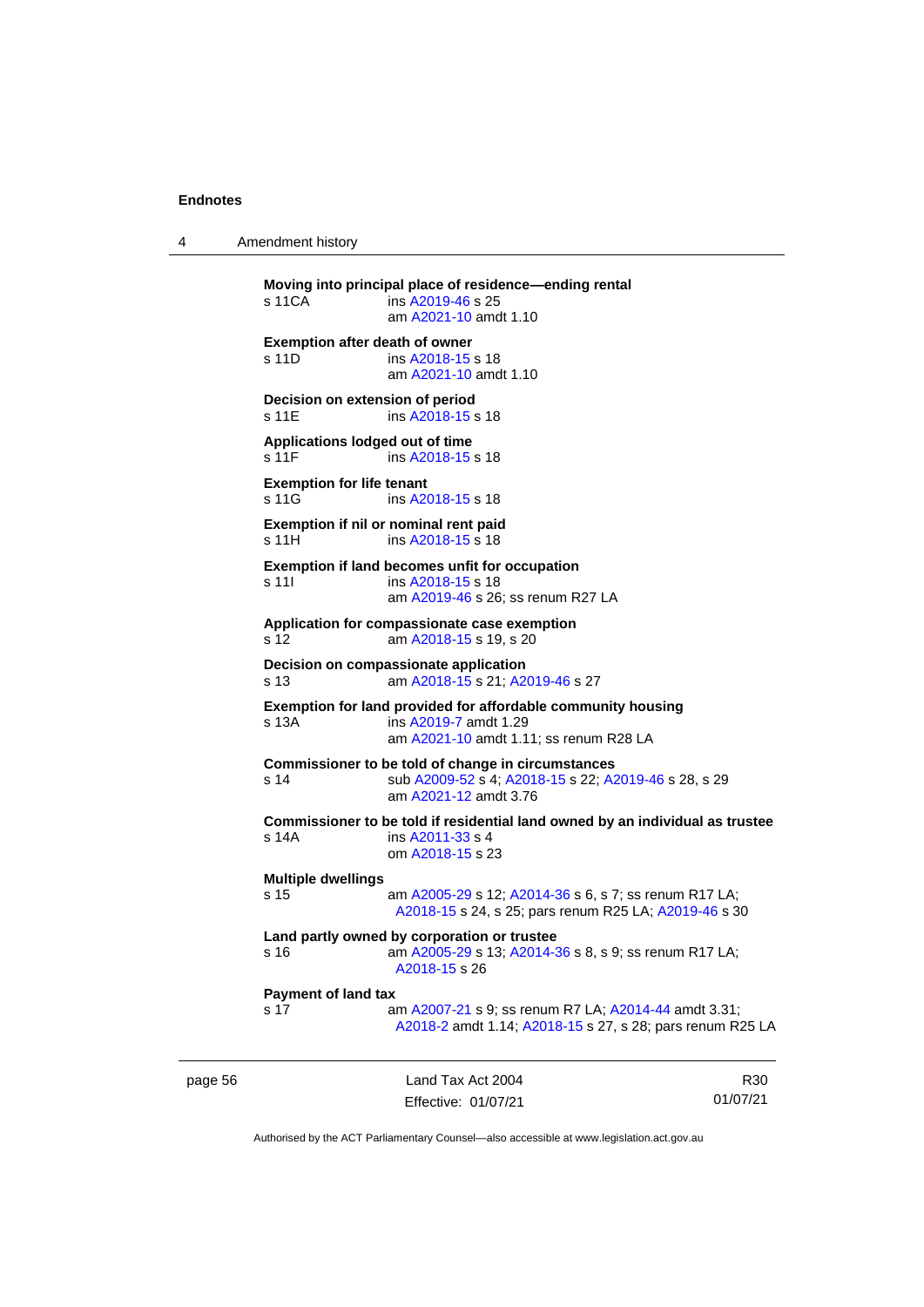4 Amendment history

**Moving into principal place of residence—ending rental** s 11CA ins [A2019-46](http://www.legislation.act.gov.au/a/2019-46) s 25 am [A2021-10](http://www.legislation.act.gov.au/a/2021-10/) amdt 1.10 **Exemption after death of owner** s 11D ins [A2018-15](http://www.legislation.act.gov.au/a/2018-15/default.asp) s 18 am [A2021-10](http://www.legislation.act.gov.au/a/2021-10/) amdt 1.10 **Decision on extension of period** s 11E ins [A2018-15](http://www.legislation.act.gov.au/a/2018-15/default.asp) s 18 **Applications lodged out of time** s 11 F ins [A2018-15](http://www.legislation.act.gov.au/a/2018-15/default.asp) s 18 **Exemption for life tenant**<br>s 11G ins A20 ins [A2018-15](http://www.legislation.act.gov.au/a/2018-15/default.asp) s 18 **Exemption if nil or nominal rent paid** s 11H ins [A2018-15](http://www.legislation.act.gov.au/a/2018-15/default.asp) s 18 **Exemption if land becomes unfit for occupation** s 11| ins [A2018-15](http://www.legislation.act.gov.au/a/2018-15/default.asp) s 18 am [A2019-46](http://www.legislation.act.gov.au/a/2019-46) s 26; ss renum R27 LA **Application for compassionate case exemption** s 12 am [A2018-15](http://www.legislation.act.gov.au/a/2018-15/default.asp) s 19, s 20 **Decision on compassionate application** s 13 am [A2018-15](http://www.legislation.act.gov.au/a/2018-15/default.asp) s 21[; A2019-46](http://www.legislation.act.gov.au/a/2019-46) s 27 **Exemption for land provided for affordable community housing** s 13A ins [A2019-7](http://www.legislation.act.gov.au/a/2019-7/default.asp) amdt 1.29 am [A2021-10](http://www.legislation.act.gov.au/a/2021-10/) amdt 1.11; ss renum R28 LA **Commissioner to be told of change in circumstances** s 14 sub [A2009-52](http://www.legislation.act.gov.au/a/2009-52) s 4[; A2018-15](http://www.legislation.act.gov.au/a/2018-15/default.asp) s 22; [A2019-46](http://www.legislation.act.gov.au/a/2019-46) s 28, s 29 am [A2021-12](http://www.legislation.act.gov.au/a/2021-12/) amdt 3.76 **Commissioner to be told if residential land owned by an individual as trustee** s 14A ins [A2011-33](http://www.legislation.act.gov.au/a/2011-33) s 4 om [A2018-15](http://www.legislation.act.gov.au/a/2018-15/default.asp) s 23 **Multiple dwellings** s 15 am [A2005-29](http://www.legislation.act.gov.au/a/2005-29) s 12[; A2014-36](http://www.legislation.act.gov.au/a/2014-36) s 6, s 7; ss renum R17 LA; [A2018-15](http://www.legislation.act.gov.au/a/2018-15/default.asp) s 24, s 25; pars renum R25 LA[; A2019-46](http://www.legislation.act.gov.au/a/2019-46) s 30 **Land partly owned by corporation or trustee** s 16 am [A2005-29](http://www.legislation.act.gov.au/a/2005-29) s 13[; A2014-36](http://www.legislation.act.gov.au/a/2014-36) s 8, s 9; ss renum R17 LA; [A2018-15](http://www.legislation.act.gov.au/a/2018-15/default.asp) s 26 **Payment of land tax** s 17 am [A2007-21](http://www.legislation.act.gov.au/a/2007-21) s 9; ss renum R7 LA; [A2014-44](http://www.legislation.act.gov.au/a/2014-44) amdt 3.31; [A2018-2](http://www.legislation.act.gov.au/a/2018-2/default.asp) amdt 1.14[; A2018-15](http://www.legislation.act.gov.au/a/2018-15/default.asp) s 27, s 28; pars renum R25 LA

page 56 Land Tax Act 2004 Effective: 01/07/21 R30 01/07/21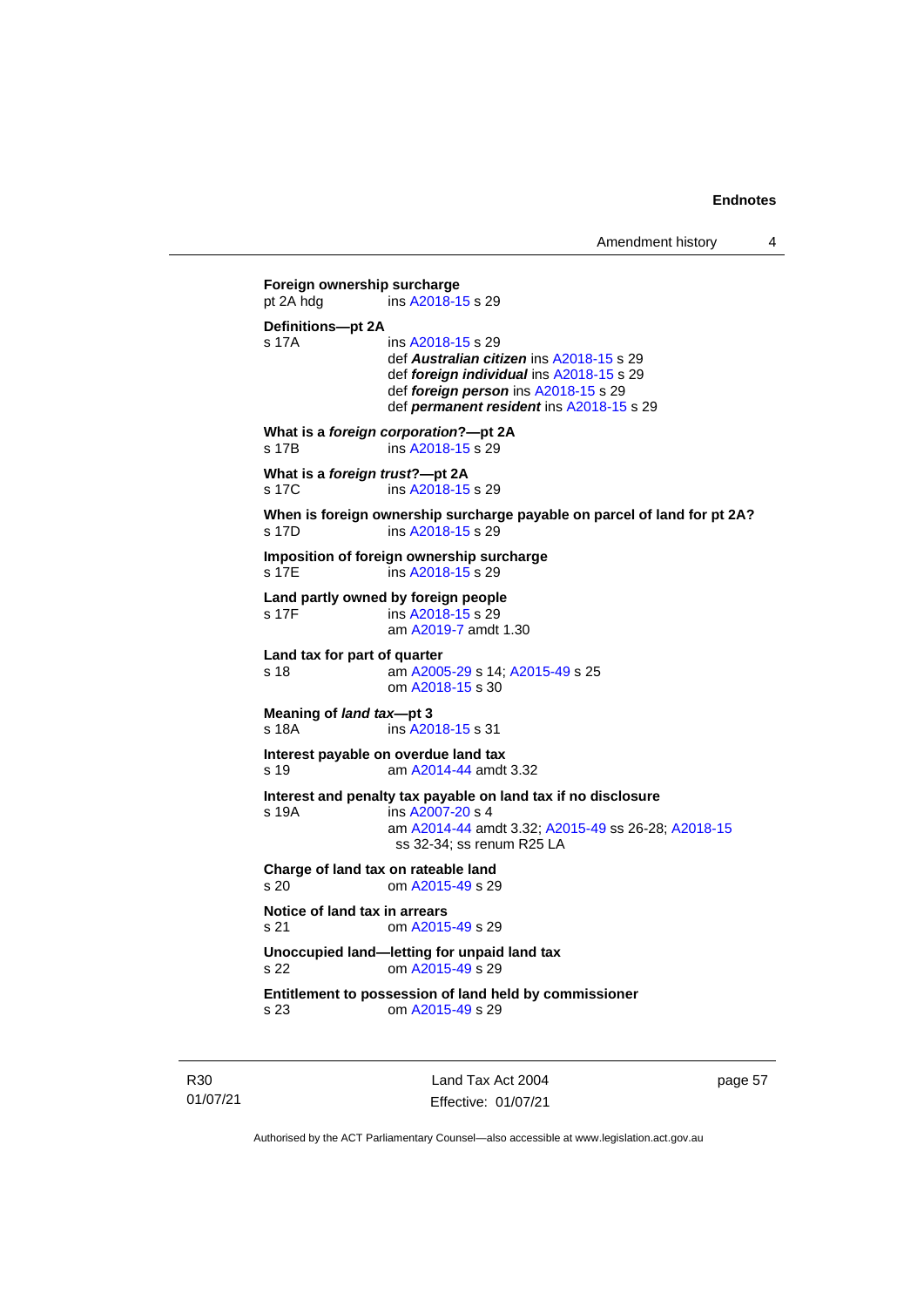Amendment history 4

```
Foreign ownership surcharge<br>pt 2A hdg ins A2018-1
                ins A2018-15 s 29
Definitions—pt 2A
s 17A ins A2018-15 s 29
                def Australian citizen ins A2018-15 s 29
                def foreign individual ins A2018-15 s 29
                def foreign person ins A2018-15 s 29
                def permanent resident ins A2018-15 s 29
What is a foreign corporation?—pt 2A
s 17B ins A2018-15 s 29
What is a foreign trust?—pt 2A
 A2018-15 s 29
When is foreign ownership surcharge payable on parcel of land for pt 2A?
 A2018-15 s 29
Imposition of foreign ownership surcharge
 A2018-15 s 29
Land partly owned by foreign people
 A2018-15 s 29
                am A2019-7 amdt 1.30
Land tax for part of quarter<br>s 18 am A200
                 A2005-29; A2015-49 s 25
                om A2018-15 s 30
Meaning of land tax—pt 3
 A2018-15 s 31
Interest payable on overdue land tax
s 19 am A2014-44 amdt 3.32
Interest and penalty tax payable on land tax if no disclosure
s 19A ins A2007-20 s 4
                am A2014-44 amdt 3.32; A2015-49 ss 26-28; A2018-15
                 ss 32-34; ss renum R25 LA
Charge of land tax on rateable land
s 20 om A2015-49 s 29
Notice of land tax in arrears
s 21 om A2015-49 s 29
Unoccupied land—letting for unpaid land tax
s 22 om A2015-49 s 29
Entitlement to possession of land held by commissioner
s 23 om A2015-49 s 29
```
R30 01/07/21

Land Tax Act 2004 Effective: 01/07/21 page 57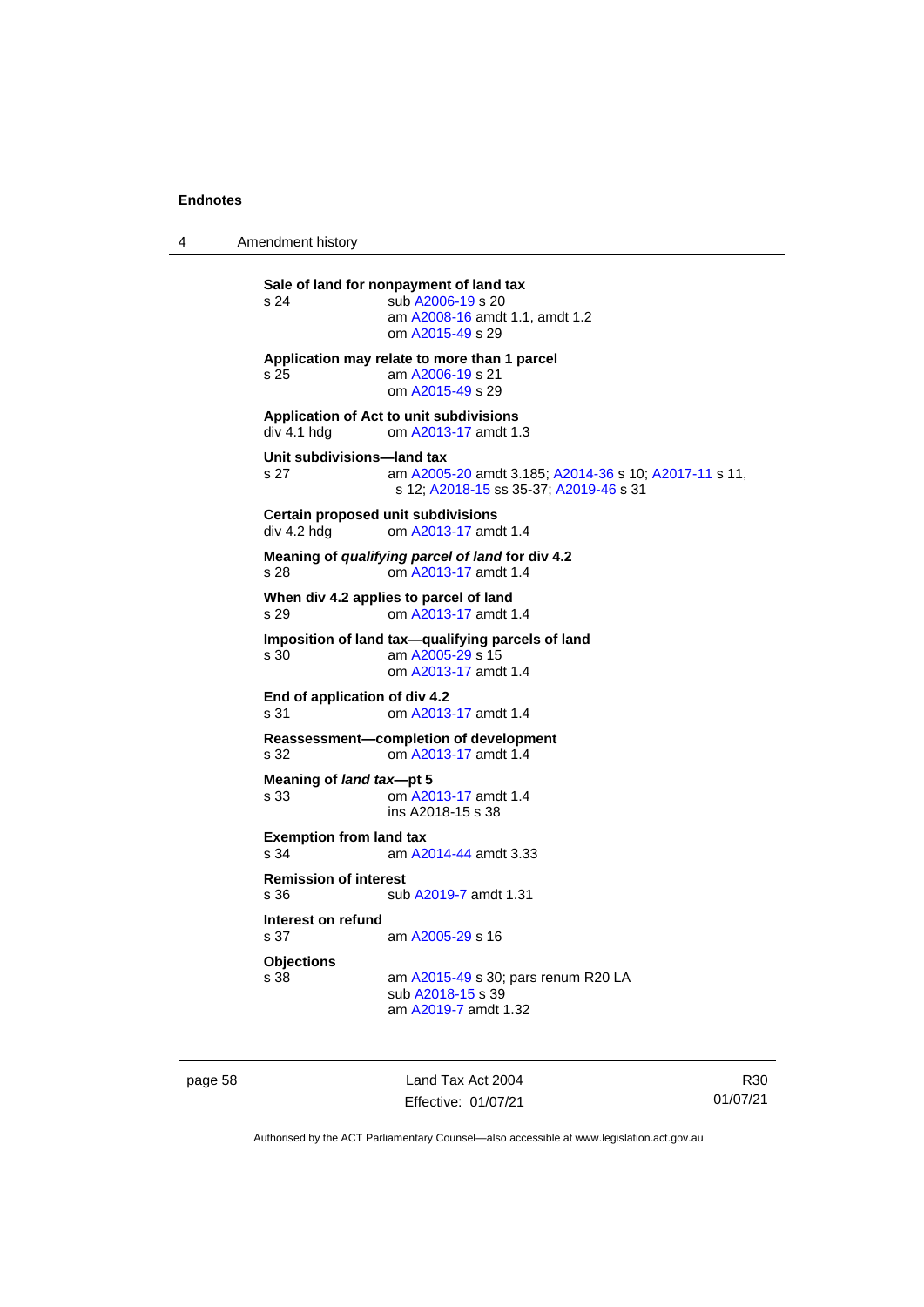4 Amendment history

**Sale of land for nonpayment of land tax**<br>s 24 sub A2006-19 s 20 sub [A2006-19](http://www.legislation.act.gov.au/a/2006-19) s 20 am [A2008-16](http://www.legislation.act.gov.au/a/2008-16) amdt 1.1, amdt 1.2 om [A2015-49](http://www.legislation.act.gov.au/a/2015-49/default.asp) s 29 **Application may relate to more than 1 parcel** s 25 am [A2006-19](http://www.legislation.act.gov.au/a/2006-19) s 21 om [A2015-49](http://www.legislation.act.gov.au/a/2015-49/default.asp) s 29 **Application of Act to unit subdivisions** om [A2013-17](http://www.legislation.act.gov.au/a/2013-17) amdt 1.3 **Unit subdivisions—land tax** s 27 am [A2005-20](http://www.legislation.act.gov.au/a/2005-20) amdt 3.185[; A2014-36](http://www.legislation.act.gov.au/a/2014-36) s 10; [A2017-11](http://www.legislation.act.gov.au/a/2017-11/default.asp) s 11, s 12; [A2018-15](http://www.legislation.act.gov.au/a/2018-15/default.asp) ss 35-37; [A2019-46](http://www.legislation.act.gov.au/a/2019-46) s 31 **Certain proposed unit subdivisions** div 4.2 hdg om [A2013-17](http://www.legislation.act.gov.au/a/2013-17) amdt 1.4 **Meaning of** *qualifying parcel of land* **for div 4.2** s 28 om [A2013-17](http://www.legislation.act.gov.au/a/2013-17) amdt 1.4 **When div 4.2 applies to parcel of land** s 29 om [A2013-17](http://www.legislation.act.gov.au/a/2013-17) amdt 1.4 **Imposition of land tax—qualifying parcels of land**<br>s 30 am A2005-29 s 15 am [A2005-29](http://www.legislation.act.gov.au/a/2005-29) s 15 om [A2013-17](http://www.legislation.act.gov.au/a/2013-17) amdt 1.4 **End of application of div 4.2** s 31 om [A2013-17](http://www.legislation.act.gov.au/a/2013-17) amdt 1.4 **Reassessment—completion of development**<br>s 32 om A2013-17 amdt 1.4 om [A2013-17](http://www.legislation.act.gov.au/a/2013-17) amdt 1.4 **Meaning of** *land tax***—pt 5** s 33 om [A2013-17](http://www.legislation.act.gov.au/a/2013-17) amdt 1.4 ins A2018-15 s 38 **Exemption from land tax** s 34 am [A2014-44](http://www.legislation.act.gov.au/a/2014-44) amdt 3.33 **Remission of interest** sub [A2019-7](http://www.legislation.act.gov.au/a/2019-7/default.asp) amdt 1.31 **Interest on refund** s 37 am [A2005-29](http://www.legislation.act.gov.au/a/2005-29) s 16 **Objections** am [A2015-49](http://www.legislation.act.gov.au/a/2015-49/default.asp) s 30; pars renum R20 LA sub [A2018-15](http://www.legislation.act.gov.au/a/2018-15/default.asp) s 39 am [A2019-7](http://www.legislation.act.gov.au/a/2019-7/default.asp) amdt 1.32

page 58 Land Tax Act 2004 Effective: 01/07/21

R30 01/07/21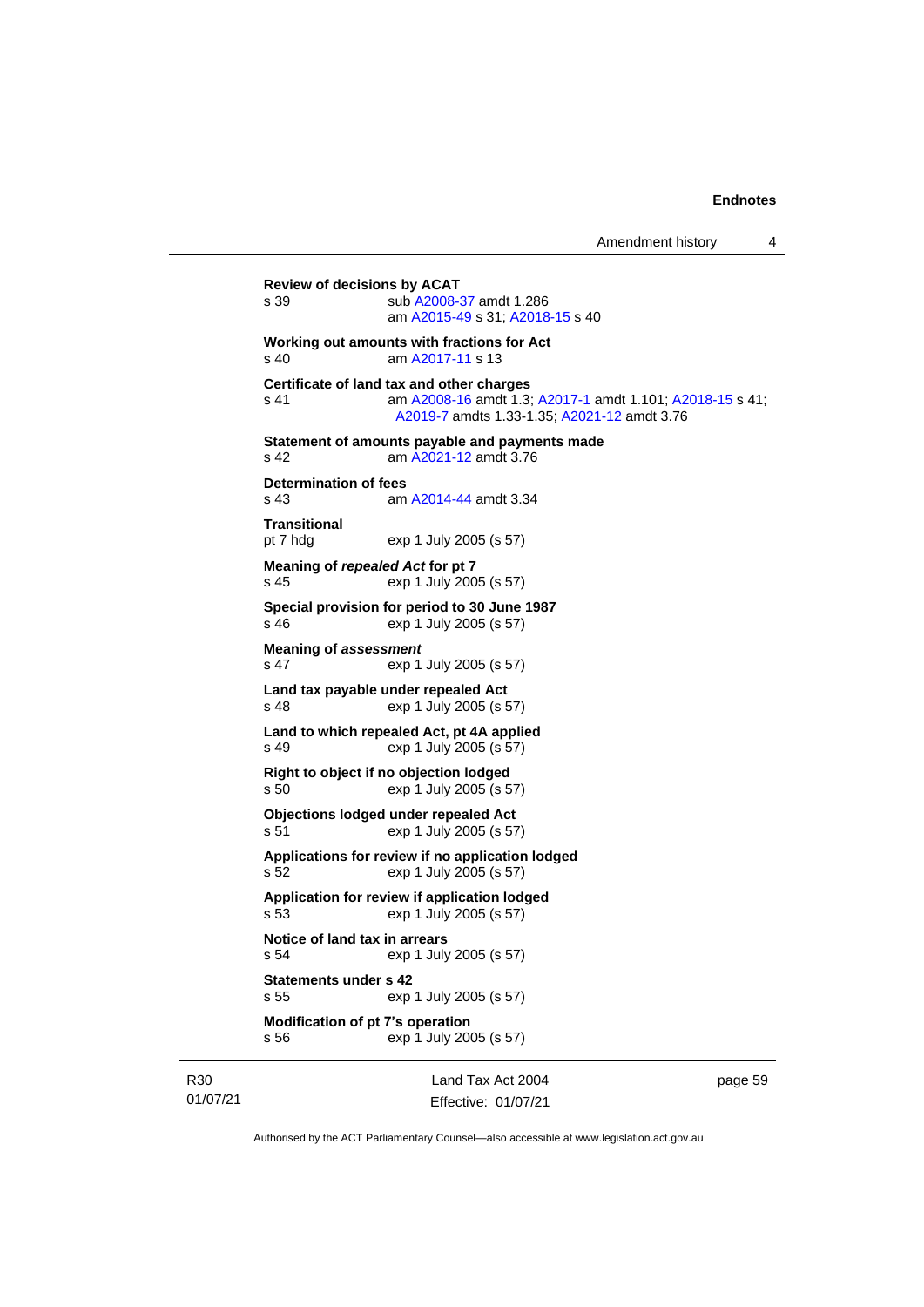```
Review of decisions by ACAT
s 39 sub A2008-37 amdt 1.286
               am A2015-49 s 31; A2018-15 s 40
Working out amounts with fractions for Act
s 40 am A2017-11 s 13
Certificate of land tax and other charges
s 41 am A2008-16 amdt 1.3; A2017-1 amdt 1.101; A2018-15 s 41; 
                 A2019-7 amdts 1.33-1.35; A2021-12 amdt 3.76
Statement of amounts payable and payments made
s 42 am A2021-12 amdt 3.76
Determination of fees<br>s 43 am
                A2014-44 amdt 3.34
Transitional
pt 7 hdg exp 1 July 2005 (s 57)
Meaning of repealed Act for pt 7
s 45 exp 1 July 2005 (s 57)
Special provision for period to 30 June 1987
s 46 exp 1 July 2005 (s 57)
Meaning of assessment
s 47 exp 1 July 2005 (s 57)
Land tax payable under repealed Act
s 48 exp 1 July 2005 (s 57)
Land to which repealed Act, pt 4A applied
s 49 exp 1 July 2005 (s 57)
Right to object if no objection lodged
s 50 exp 1 July 2005 (s 57)
Objections lodged under repealed Act
s 51 exp 1 July 2005 (s 57)
Applications for review if no application lodged
s 52 exp 1 July 2005 (s 57)
Application for review if application lodged
s 53 exp 1 July 2005 (s 57)
Notice of land tax in arrears
s 54 exp 1 July 2005 (s 57)
Statements under s 42
s 55 exp 1 July 2005 (s 57)
Modification of pt 7's operation
s 56 exp 1 July 2005 (s 57)
```
R30 01/07/21

Land Tax Act 2004 Effective: 01/07/21 page 59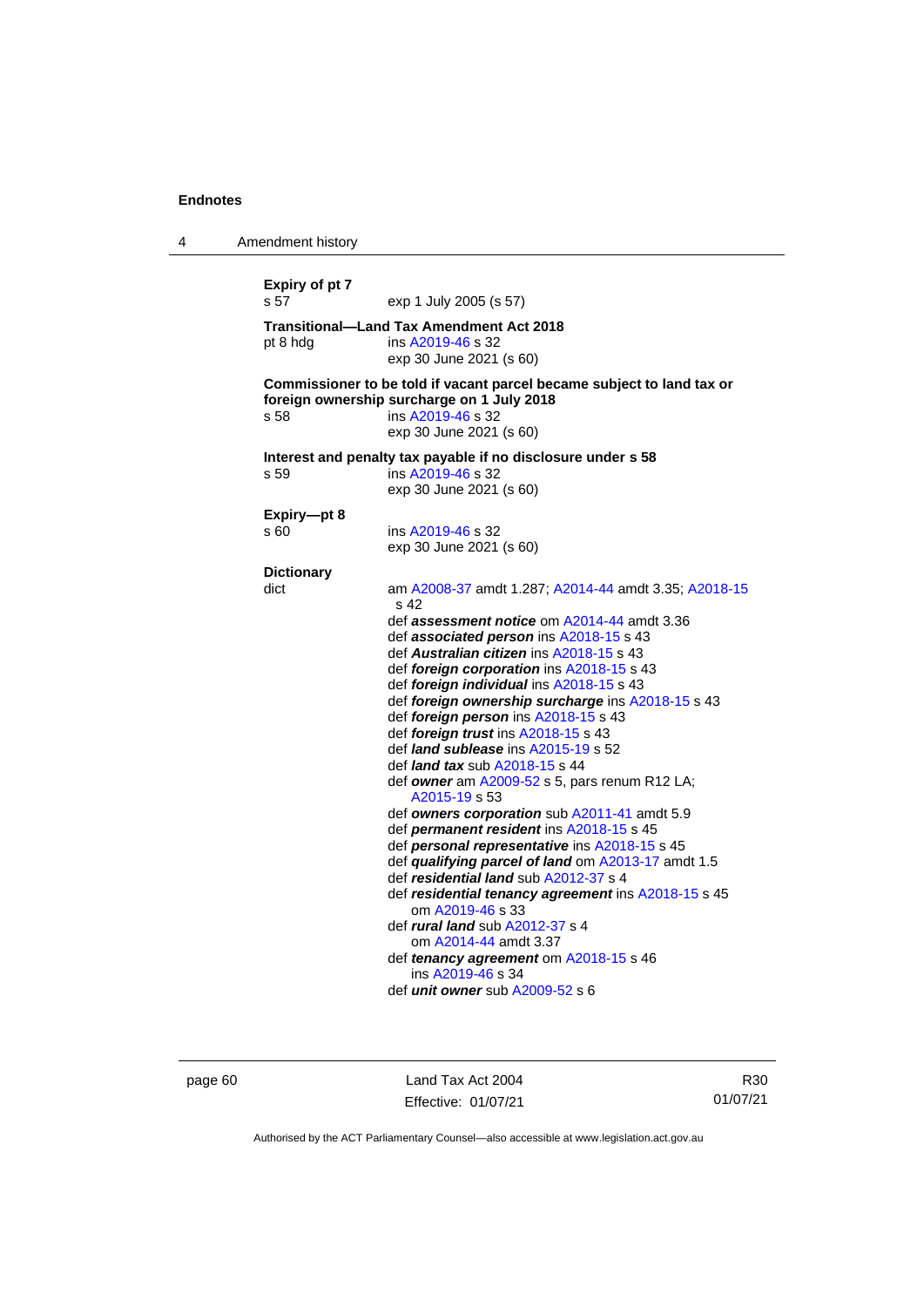| 4 | Amendment history         |                                                                                                                                                                                                                                                                                                                                                                                                                                                                                                                                                                                                                                                                                                                                                                                                                                                                                                                                                                                                                                                                                                               |
|---|---------------------------|---------------------------------------------------------------------------------------------------------------------------------------------------------------------------------------------------------------------------------------------------------------------------------------------------------------------------------------------------------------------------------------------------------------------------------------------------------------------------------------------------------------------------------------------------------------------------------------------------------------------------------------------------------------------------------------------------------------------------------------------------------------------------------------------------------------------------------------------------------------------------------------------------------------------------------------------------------------------------------------------------------------------------------------------------------------------------------------------------------------|
|   | Expiry of pt 7<br>s 57    | exp 1 July 2005 (s 57)                                                                                                                                                                                                                                                                                                                                                                                                                                                                                                                                                                                                                                                                                                                                                                                                                                                                                                                                                                                                                                                                                        |
|   | pt 8 hdg                  | <b>Transitional-Land Tax Amendment Act 2018</b><br>ins A2019-46 s 32<br>exp 30 June 2021 (s 60)                                                                                                                                                                                                                                                                                                                                                                                                                                                                                                                                                                                                                                                                                                                                                                                                                                                                                                                                                                                                               |
|   | s 58                      | Commissioner to be told if vacant parcel became subject to land tax or<br>foreign ownership surcharge on 1 July 2018<br>ins A2019-46 s 32<br>exp 30 June 2021 (s 60)                                                                                                                                                                                                                                                                                                                                                                                                                                                                                                                                                                                                                                                                                                                                                                                                                                                                                                                                          |
|   | s 59                      | Interest and penalty tax payable if no disclosure under s 58<br>ins A2019-46 s 32<br>exp 30 June 2021 (s 60)                                                                                                                                                                                                                                                                                                                                                                                                                                                                                                                                                                                                                                                                                                                                                                                                                                                                                                                                                                                                  |
|   | Expiry-pt 8<br>s 60       | ins A2019-46 s 32<br>exp 30 June 2021 (s 60)                                                                                                                                                                                                                                                                                                                                                                                                                                                                                                                                                                                                                                                                                                                                                                                                                                                                                                                                                                                                                                                                  |
|   | <b>Dictionary</b><br>dict | am A2008-37 amdt 1.287; A2014-44 amdt 3.35; A2018-15<br>s 42<br>def <b>assessment notice</b> om A2014-44 amdt 3.36<br>def <b>associated person</b> ins A2018-15 s 43<br>def Australian citizen ins A2018-15 s 43<br>def foreign corporation ins A2018-15 s 43<br>def foreign individual ins A2018-15 s 43<br>def foreign ownership surcharge ins A2018-15 s 43<br>def foreign person ins A2018-15 s 43<br>def foreign trust ins A2018-15 s 43<br>def <i>land sublease</i> ins A2015-19 s 52<br>def <i>land tax</i> sub $A2018-15$ s 44<br>def owner am A2009-52 s 5, pars renum R12 LA;<br>A2015-19 s 53<br>def owners corporation sub A2011-41 amdt 5.9<br>def permanent resident ins A2018-15 s 45<br>def personal representative ins A2018-15 s 45<br>def qualifying parcel of land om A2013-17 amdt 1.5<br>def residential land sub A2012-37 s 4<br>def residential tenancy agreement ins A2018-15 s 45<br>om A2019-46 s 33<br>def <i>rural land</i> sub A2012-37 s 4<br>om A2014-44 amdt 3.37<br>def tenancy agreement om A2018-15 s 46<br>ins A2019-46 s 34<br>def <i>unit</i> owner sub $A2009-52$ s 6 |

page 60 Land Tax Act 2004 Effective: 01/07/21

R30 01/07/21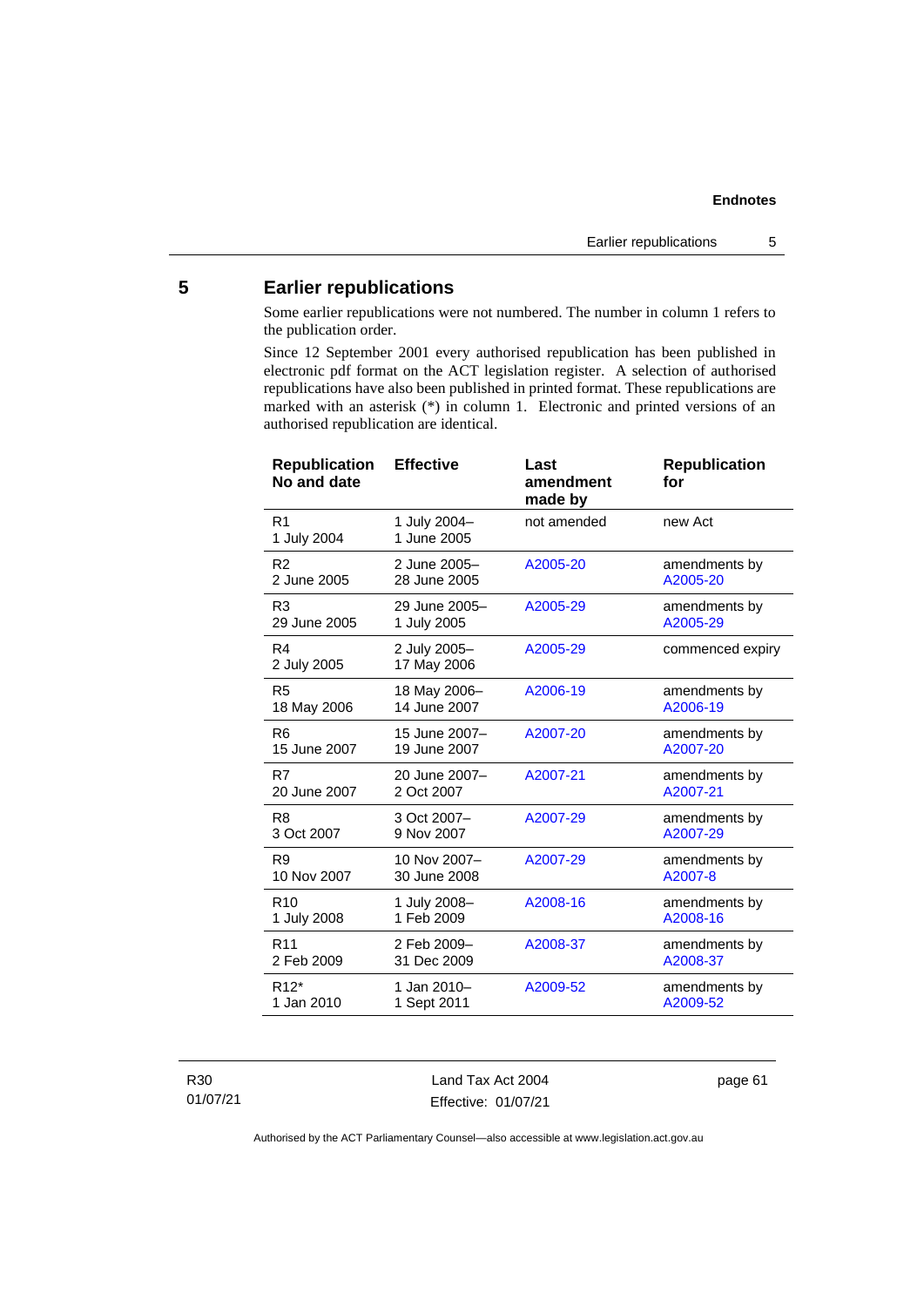## <span id="page-66-0"></span>**5 Earlier republications**

Some earlier republications were not numbered. The number in column 1 refers to the publication order.

Since 12 September 2001 every authorised republication has been published in electronic pdf format on the ACT legislation register. A selection of authorised republications have also been published in printed format. These republications are marked with an asterisk (\*) in column 1. Electronic and printed versions of an authorised republication are identical.

| R <sub>1</sub><br>1 July 2004-<br>new Act<br>not amended<br>1 June 2005<br>1 July 2004<br>2 June 2005-<br>R <sub>2</sub><br>A2005-20<br>amendments by<br>2 June 2005<br>28 June 2005<br>A2005-20<br>29 June 2005-<br>A2005-29<br>R <sub>3</sub><br>amendments by<br>A2005-29<br>29 June 2005<br>1 July 2005<br>R4<br>2 July 2005-<br>A2005-29<br>commenced expiry<br>17 May 2006<br>2 July 2005<br>R <sub>5</sub><br>18 May 2006-<br>A2006-19<br>amendments by<br>14 June 2007<br>A2006-19<br>18 May 2006<br>R <sub>6</sub><br>15 June 2007-<br>A2007-20<br>amendments by<br>15 June 2007<br>A2007-20<br>19 June 2007<br>R7<br>20 June 2007-<br>A2007-21<br>amendments by<br>20 June 2007<br>A2007-21<br>2 Oct 2007<br>3 Oct 2007-<br>amendments by<br>R <sub>8</sub><br>A2007-29<br>3 Oct 2007<br>9 Nov 2007<br>A2007-29<br>10 Nov 2007-<br>A2007-29<br>R <sub>9</sub><br>amendments by<br>10 Nov 2007<br>30 June 2008<br>A2007-8<br>R <sub>10</sub><br>1 July 2008-<br>A2008-16<br>amendments by<br>1 Feb 2009<br>A2008-16<br>1 July 2008<br>R <sub>11</sub><br>A2008-37<br>2 Feb 2009-<br>amendments by<br>2 Feb 2009<br>31 Dec 2009<br>A2008-37<br>$R12*$<br>1 Jan 2010-<br>A2009-52<br>amendments by<br>1 Jan 2010<br>1 Sept 2011<br>A2009-52 | <b>Republication</b><br>No and date | <b>Effective</b> | Last<br>amendment<br>made by | <b>Republication</b><br>for |
|----------------------------------------------------------------------------------------------------------------------------------------------------------------------------------------------------------------------------------------------------------------------------------------------------------------------------------------------------------------------------------------------------------------------------------------------------------------------------------------------------------------------------------------------------------------------------------------------------------------------------------------------------------------------------------------------------------------------------------------------------------------------------------------------------------------------------------------------------------------------------------------------------------------------------------------------------------------------------------------------------------------------------------------------------------------------------------------------------------------------------------------------------------------------------------------------------------------------------------------------------|-------------------------------------|------------------|------------------------------|-----------------------------|
|                                                                                                                                                                                                                                                                                                                                                                                                                                                                                                                                                                                                                                                                                                                                                                                                                                                                                                                                                                                                                                                                                                                                                                                                                                                    |                                     |                  |                              |                             |
|                                                                                                                                                                                                                                                                                                                                                                                                                                                                                                                                                                                                                                                                                                                                                                                                                                                                                                                                                                                                                                                                                                                                                                                                                                                    |                                     |                  |                              |                             |
|                                                                                                                                                                                                                                                                                                                                                                                                                                                                                                                                                                                                                                                                                                                                                                                                                                                                                                                                                                                                                                                                                                                                                                                                                                                    |                                     |                  |                              |                             |
|                                                                                                                                                                                                                                                                                                                                                                                                                                                                                                                                                                                                                                                                                                                                                                                                                                                                                                                                                                                                                                                                                                                                                                                                                                                    |                                     |                  |                              |                             |
|                                                                                                                                                                                                                                                                                                                                                                                                                                                                                                                                                                                                                                                                                                                                                                                                                                                                                                                                                                                                                                                                                                                                                                                                                                                    |                                     |                  |                              |                             |
|                                                                                                                                                                                                                                                                                                                                                                                                                                                                                                                                                                                                                                                                                                                                                                                                                                                                                                                                                                                                                                                                                                                                                                                                                                                    |                                     |                  |                              |                             |
|                                                                                                                                                                                                                                                                                                                                                                                                                                                                                                                                                                                                                                                                                                                                                                                                                                                                                                                                                                                                                                                                                                                                                                                                                                                    |                                     |                  |                              |                             |
|                                                                                                                                                                                                                                                                                                                                                                                                                                                                                                                                                                                                                                                                                                                                                                                                                                                                                                                                                                                                                                                                                                                                                                                                                                                    |                                     |                  |                              |                             |
|                                                                                                                                                                                                                                                                                                                                                                                                                                                                                                                                                                                                                                                                                                                                                                                                                                                                                                                                                                                                                                                                                                                                                                                                                                                    |                                     |                  |                              |                             |
|                                                                                                                                                                                                                                                                                                                                                                                                                                                                                                                                                                                                                                                                                                                                                                                                                                                                                                                                                                                                                                                                                                                                                                                                                                                    |                                     |                  |                              |                             |
|                                                                                                                                                                                                                                                                                                                                                                                                                                                                                                                                                                                                                                                                                                                                                                                                                                                                                                                                                                                                                                                                                                                                                                                                                                                    |                                     |                  |                              |                             |
|                                                                                                                                                                                                                                                                                                                                                                                                                                                                                                                                                                                                                                                                                                                                                                                                                                                                                                                                                                                                                                                                                                                                                                                                                                                    |                                     |                  |                              |                             |

R30 01/07/21

Land Tax Act 2004 Effective: 01/07/21 page 61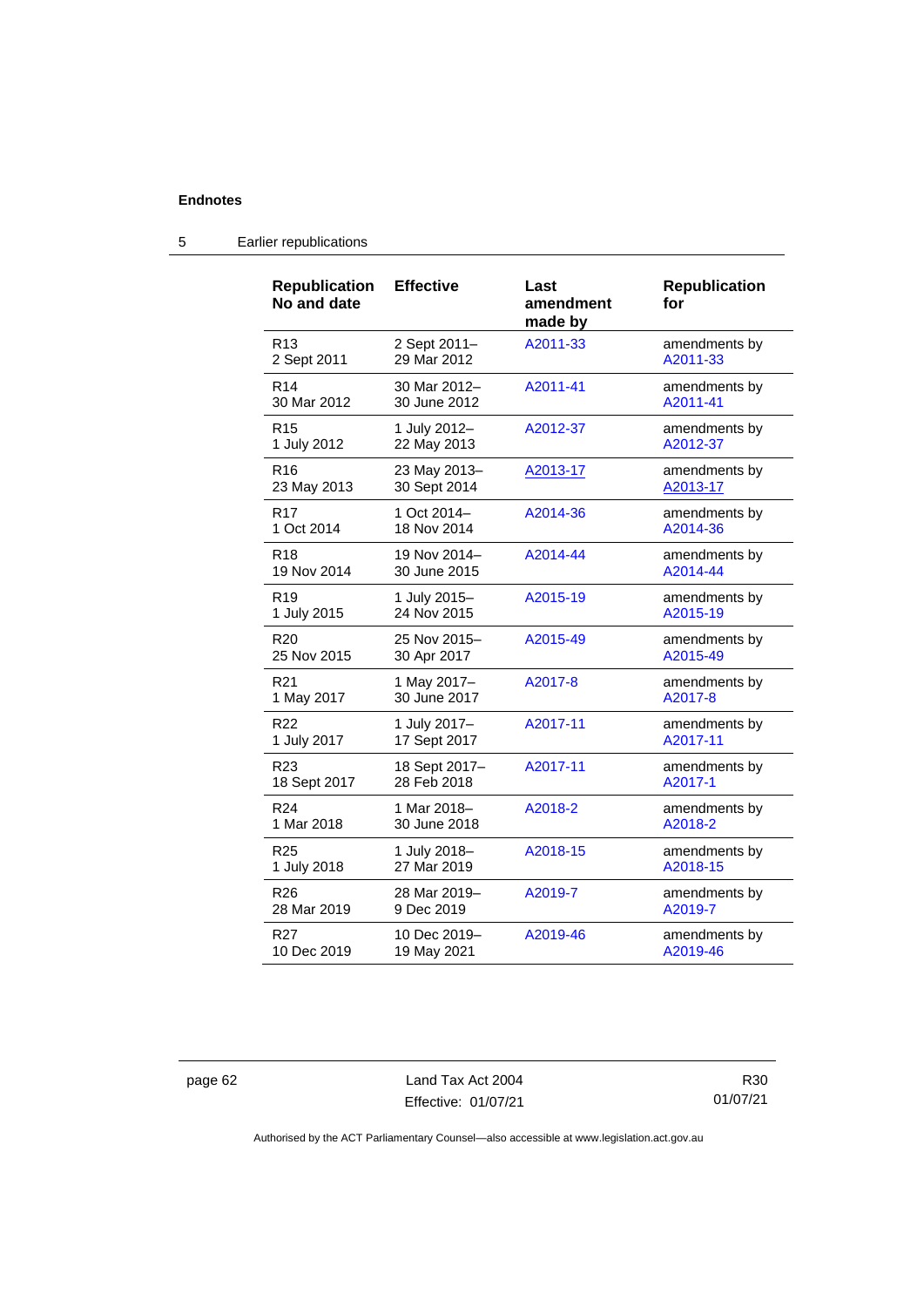| <b>Republication</b><br>No and date | <b>Effective</b> | Last<br>amendment<br>made by | <b>Republication</b><br>for |
|-------------------------------------|------------------|------------------------------|-----------------------------|
| R <sub>13</sub>                     | 2 Sept 2011-     | A2011-33                     | amendments by               |
| 2 Sept 2011                         | 29 Mar 2012      |                              | A2011-33                    |
| R <sub>14</sub>                     | 30 Mar 2012-     | A2011-41                     | amendments by               |
| 30 Mar 2012                         | 30 June 2012     |                              | A2011-41                    |
| R <sub>15</sub>                     | 1 July 2012-     | A2012-37                     | amendments by               |
| 1 July 2012                         | 22 May 2013      |                              | A2012-37                    |
| R <sub>16</sub>                     | 23 May 2013-     | A2013-17                     | amendments by               |
| 23 May 2013                         | 30 Sept 2014     |                              | A2013-17                    |
| R <sub>17</sub>                     | 1 Oct 2014-      | A2014-36                     | amendments by               |
| 1 Oct 2014                          | 18 Nov 2014      |                              | A2014-36                    |
| R <sub>18</sub>                     | 19 Nov 2014-     | A2014-44                     | amendments by               |
| 19 Nov 2014                         | 30 June 2015     |                              | A2014-44                    |
| R <sub>19</sub>                     | 1 July 2015-     | A2015-19                     | amendments by               |
| 1 July 2015                         | 24 Nov 2015      |                              | A2015-19                    |
| R <sub>20</sub>                     | 25 Nov 2015-     | A2015-49                     | amendments by               |
| 25 Nov 2015                         | 30 Apr 2017      |                              | A2015-49                    |
| R <sub>21</sub>                     | 1 May 2017-      | A2017-8                      | amendments by               |
| 1 May 2017                          | 30 June 2017     |                              | A2017-8                     |
| R22                                 | 1 July 2017-     | A2017-11                     | amendments by               |
| 1 July 2017                         | 17 Sept 2017     |                              | A2017-11                    |
| R23                                 | 18 Sept 2017-    | A2017-11                     | amendments by               |
| 18 Sept 2017                        | 28 Feb 2018      |                              | A2017-1                     |
| R <sub>24</sub>                     | 1 Mar 2018-      | A2018-2                      | amendments by               |
| 1 Mar 2018                          | 30 June 2018     |                              | A2018-2                     |
| R <sub>25</sub>                     | 1 July 2018-     | A2018-15                     | amendments by               |
| 1 July 2018                         | 27 Mar 2019      |                              | A2018-15                    |
| R <sub>26</sub>                     | 28 Mar 2019-     | A2019-7                      | amendments by               |
| 28 Mar 2019                         | 9 Dec 2019       |                              | A2019-7                     |
| R27                                 | 10 Dec 2019-     | A2019-46                     | amendments by               |
| 10 Dec 2019                         | 19 May 2021      |                              | A2019-46                    |

### 5 Earlier republications

page 62 Land Tax Act 2004 Effective: 01/07/21

R30 01/07/21